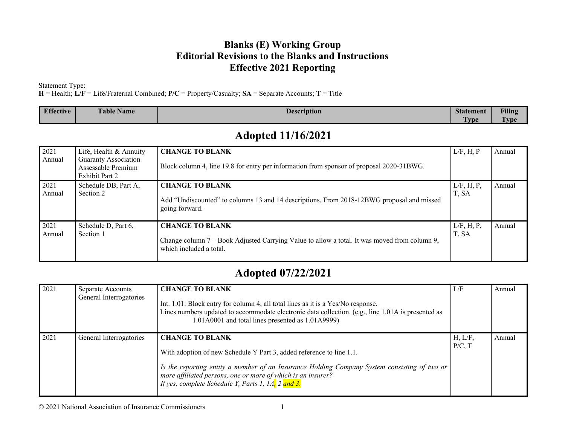#### **Blanks (E) Working Group Editorial Revisions to the Blanks and Instructions Effective 2021 Reporting**

Statement Type:

**H** = Health; **L/F** = Life/Fraternal Combined; **P/C** = Property/Casualty; **SA** = Separate Accounts; **T** = Title

| <b>Effective</b> | $\sim$<br>$\sim$<br><b>Name</b><br>able | <b>Description</b> | <b>Statement</b>      | <b>Filing</b>     |
|------------------|-----------------------------------------|--------------------|-----------------------|-------------------|
|                  |                                         |                    | $\overline{a}$<br>vpe | m<br><b>L</b> vpe |

#### **Adopted 11/16/2021**

| 2021<br>Annual | Life, Health & Annuity<br><b>Guaranty Association</b><br>Assessable Premium<br><b>Exhibit Part 2</b> | <b>CHANGE TO BLANK</b><br>Block column 4, line 19.8 for entry per information from sponsor of proposal 2020-31BWG.                                | L/F, H, P           | Annual |
|----------------|------------------------------------------------------------------------------------------------------|---------------------------------------------------------------------------------------------------------------------------------------------------|---------------------|--------|
| 2021<br>Annual | Schedule DB, Part A,<br>Section 2                                                                    | <b>CHANGE TO BLANK</b><br>Add "Undiscounted" to columns 13 and 14 descriptions. From 2018-12BWG proposal and missed<br>going forward.             | L/F, H, P,<br>T, SA | Annual |
| 2021<br>Annual | Schedule D, Part 6,<br>Section 1                                                                     | <b>CHANGE TO BLANK</b><br>Change column 7 – Book Adjusted Carrying Value to allow a total. It was moved from column 9,<br>which included a total. | L/F, H, P,<br>T, SA | Annual |

#### **Adopted 07/22/2021**

| 2021 | Separate Accounts<br>General Interrogatories | <b>CHANGE TO BLANK</b><br>Int. 1.01: Block entry for column 4, all total lines as it is a Yes/No response.<br>Lines numbers updated to accommodate electronic data collection. (e.g., line 1.01A is presented as<br>$1.01A0001$ and total lines presented as $1.01A9999$ )                                           | L/F               | Annual |
|------|----------------------------------------------|----------------------------------------------------------------------------------------------------------------------------------------------------------------------------------------------------------------------------------------------------------------------------------------------------------------------|-------------------|--------|
| 2021 | General Interrogatories                      | <b>CHANGE TO BLANK</b><br>With adoption of new Schedule Y Part 3, added reference to line 1.1.<br>Is the reporting entity a member of an Insurance Holding Company System consisting of two or<br>more affiliated persons, one or more of which is an insurer?<br>If yes, complete Schedule Y, Parts 1, 1A, 2 and 3. | H, L/F,<br>P/C, T | Annual |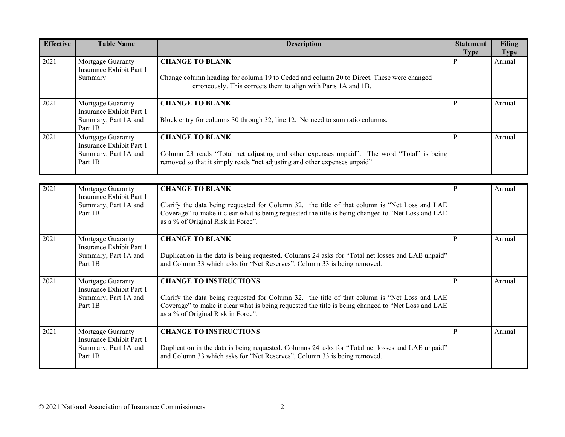| <b>Effective</b> | <b>Table Name</b>                                                                | <b>Description</b>                                                                                                                                                                                                                                                         | <b>Statement</b><br><b>Type</b> | <b>Filing</b><br><b>Type</b> |
|------------------|----------------------------------------------------------------------------------|----------------------------------------------------------------------------------------------------------------------------------------------------------------------------------------------------------------------------------------------------------------------------|---------------------------------|------------------------------|
| 2021             | Mortgage Guaranty<br>Insurance Exhibit Part 1<br>Summary                         | <b>CHANGE TO BLANK</b><br>Change column heading for column 19 to Ceded and column 20 to Direct. These were changed<br>erroneously. This corrects them to align with Parts 1A and 1B.                                                                                       | P                               | Annual                       |
| 2021             | Mortgage Guaranty<br>Insurance Exhibit Part 1<br>Summary, Part 1A and<br>Part 1B | <b>CHANGE TO BLANK</b><br>Block entry for columns 30 through 32, line 12. No need to sum ratio columns.                                                                                                                                                                    | $\mathbf{P}$                    | Annual                       |
| 2021             | Mortgage Guaranty<br>Insurance Exhibit Part 1<br>Summary, Part 1A and<br>Part 1B | <b>CHANGE TO BLANK</b><br>Column 23 reads "Total net adjusting and other expenses unpaid". The word "Total" is being<br>removed so that it simply reads "net adjusting and other expenses unpaid"                                                                          | P                               | Annual                       |
| 2021             | Mortgage Guaranty<br>Insurance Exhibit Part 1<br>Summary, Part 1A and<br>Part 1B | <b>CHANGE TO BLANK</b><br>Clarify the data being requested for Column 32. the title of that column is "Net Loss and LAE<br>Coverage" to make it clear what is being requested the title is being changed to "Net Loss and LAE<br>as a % of Original Risk in Force".        | P                               | Annual                       |
| 2021             | Mortgage Guaranty<br>Insurance Exhibit Part 1<br>Summary, Part 1A and<br>Part 1B | <b>CHANGE TO BLANK</b><br>Duplication in the data is being requested. Columns 24 asks for "Total net losses and LAE unpaid"<br>and Column 33 which asks for "Net Reserves", Column 33 is being removed.                                                                    | P                               | Annual                       |
| 2021             | Mortgage Guaranty<br>Insurance Exhibit Part 1<br>Summary, Part 1A and<br>Part 1B | <b>CHANGE TO INSTRUCTIONS</b><br>Clarify the data being requested for Column 32. the title of that column is "Net Loss and LAE<br>Coverage" to make it clear what is being requested the title is being changed to "Net Loss and LAE<br>as a % of Original Risk in Force". | P                               | Annual                       |
| 2021             | Mortgage Guaranty<br>Insurance Exhibit Part 1<br>Summary, Part 1A and<br>Part 1B | <b>CHANGE TO INSTRUCTIONS</b><br>Duplication in the data is being requested. Columns 24 asks for "Total net losses and LAE unpaid"<br>and Column 33 which asks for "Net Reserves", Column 33 is being removed.                                                             | $\mathbf{P}$                    | Annual                       |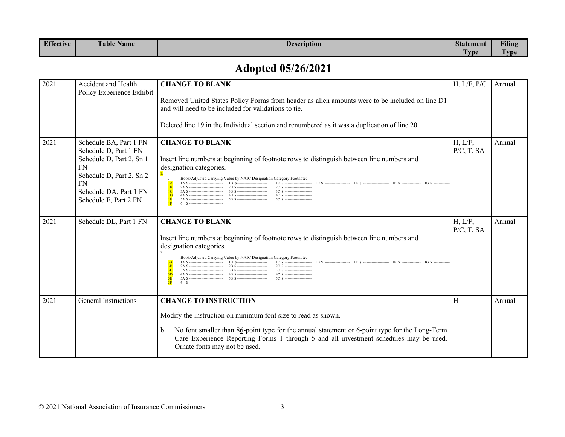| Effective | $-1$<br>'able<br><b>Name</b> | <b>Description</b> | Statement        | Filing   |
|-----------|------------------------------|--------------------|------------------|----------|
|           |                              |                    | <b>VD</b><br>. . | -<br>VD6 |

# **Adopted 05/26/2021**

| 2021 | Accident and Health<br>Policy Experience Exhibit                                                                                                                                     | <b>CHANGE TO BLANK</b><br>Removed United States Policy Forms from header as alien amounts were to be included on line D1<br>and will need to be included for validations to tie.<br>Deleted line 19 in the Individual section and renumbered as it was a duplication of line 20.                                                                                                                                                                                                                                                                                                                                                                                                        | H, L/F, P/C              | Annual |
|------|--------------------------------------------------------------------------------------------------------------------------------------------------------------------------------------|-----------------------------------------------------------------------------------------------------------------------------------------------------------------------------------------------------------------------------------------------------------------------------------------------------------------------------------------------------------------------------------------------------------------------------------------------------------------------------------------------------------------------------------------------------------------------------------------------------------------------------------------------------------------------------------------|--------------------------|--------|
| 2021 | Schedule BA, Part 1 FN<br>Schedule D, Part 1 FN<br>Schedule D, Part 2, Sn 1<br><b>FN</b><br>Schedule D, Part 2, Sn 2<br><b>FN</b><br>Schedule DA, Part 1 FN<br>Schedule E, Part 2 FN | <b>CHANGE TO BLANK</b><br>Insert line numbers at beginning of footnote rows to distinguish between line numbers and<br>designation categories.<br>Book/Adjusted Carrying Value by NAIC Designation Category Footnote:<br>1A \$ $\frac{1}{16}$ S $\frac{1}{16}$ $\frac{1}{5}$ $\frac{1}{16}$ $\frac{1}{5}$ $\frac{1}{16}$ $\frac{1}{5}$ $\frac{1}{16}$ $\frac{1}{5}$ $\frac{1}{16}$ $\frac{1}{5}$ $\frac{1}{16}$ $\frac{1}{5}$ $\frac{1}{16}$ $\frac{1}{5}$ $\frac{1}{16}$ $\frac{1}{5}$ $\frac{1}{16}$ $\frac{1}{5}$ $\frac{1}{16}$ $\frac$<br>2C \$ ----------------------<br>IB<br>1 <sub>C</sub><br>ID<br>5C \$ ---------------------<br>1E<br>$6 \quad S \quad \ldots$<br><b>IF</b> | H, L/F,<br>$P/C$ , T, SA | Annual |
| 2021 | Schedule DL, Part 1 FN                                                                                                                                                               | <b>CHANGE TO BLANK</b><br>Insert line numbers at beginning of footnote rows to distinguish between line numbers and<br>designation categories.<br>Book/Adjusted Carrying Value by NAIC Designation Category Footnote:<br>2C \$ ----------------------<br>3B<br>3D<br>5C \$ ----------------------<br>6 S -----------------------------                                                                                                                                                                                                                                                                                                                                                  | H, L/F,<br>$P/C$ , T, SA | Annual |
| 2021 | General Instructions                                                                                                                                                                 | <b>CHANGE TO INSTRUCTION</b><br>Modify the instruction on minimum font size to read as shown.<br>No font smaller than 86-point type for the annual statement or 6 point type for the Long Term<br>b.<br>Care Experience Reporting Forms 1 through 5 and all investment schedules-may be used.<br>Ornate fonts may not be used.                                                                                                                                                                                                                                                                                                                                                          | H                        | Annual |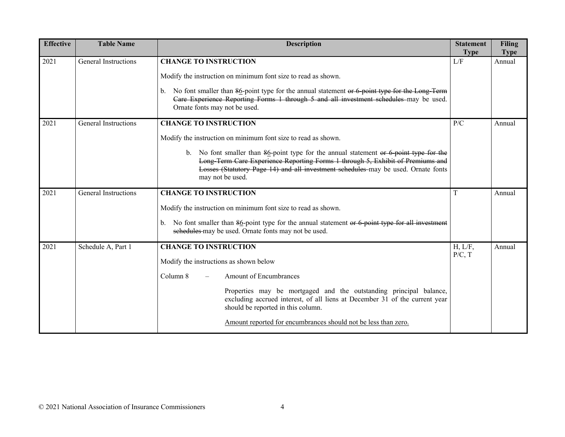| <b>Effective</b> | <b>Table Name</b>    | <b>Description</b>                                                                                                                                                                                                                                                                                                                                                                       | <b>Statement</b><br><b>Type</b> | <b>Filing</b><br><b>Type</b> |
|------------------|----------------------|------------------------------------------------------------------------------------------------------------------------------------------------------------------------------------------------------------------------------------------------------------------------------------------------------------------------------------------------------------------------------------------|---------------------------------|------------------------------|
| 2021             | General Instructions | <b>CHANGE TO INSTRUCTION</b><br>Modify the instruction on minimum font size to read as shown.<br>No font smaller than 86-point type for the annual statement or 6-point type for the Long-Term<br>b.<br>Care Experience Reporting Forms 1 through 5 and all investment schedules may be used.<br>Ornate fonts may not be used.                                                           | L/F                             | Annual                       |
| 2021             | General Instructions | <b>CHANGE TO INSTRUCTION</b><br>Modify the instruction on minimum font size to read as shown.<br>b. No font smaller than $86$ -point type for the annual statement or $6$ -point type for the<br>Long Term Care Experience Reporting Forms 1 through 5, Exhibit of Premiums and<br>Losses (Statutory Page 14) and all investment schedules may be used. Ornate fonts<br>may not be used. | P/C                             | Annual                       |
| 2021             | General Instructions | <b>CHANGE TO INSTRUCTION</b><br>Modify the instruction on minimum font size to read as shown.<br>No font smaller than $86$ -point type for the annual statement or 6 point type for all investment<br>b.<br>schedules may be used. Ornate fonts may not be used.                                                                                                                         | T                               | Annual                       |
| 2021             | Schedule A, Part 1   | <b>CHANGE TO INSTRUCTION</b><br>Modify the instructions as shown below<br>Column 8<br><b>Amount of Encumbrances</b><br>Properties may be mortgaged and the outstanding principal balance,<br>excluding accrued interest, of all liens at December 31 of the current year<br>should be reported in this column.<br>Amount reported for encumbrances should not be less than zero.         | H, L/F,<br>P/C, T               | Annual                       |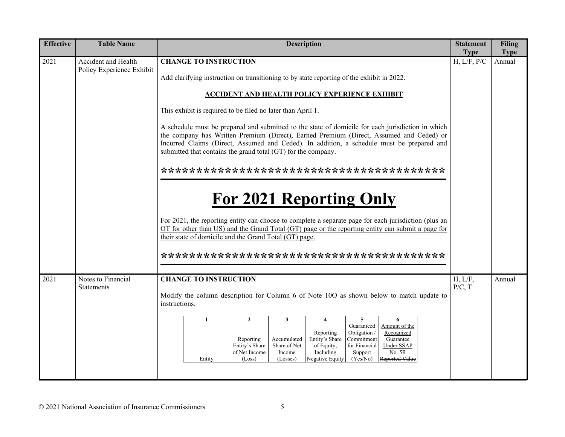| <b>Effective</b> | <b>Table Name</b>                                                                                                                                                                                                                                                                                                                                          | <b>Description</b>                                                                                                                                                                                                                                                                                                                                   | <b>Statement</b><br><b>Type</b> | <b>Filing</b><br><b>Type</b> |  |  |  |
|------------------|------------------------------------------------------------------------------------------------------------------------------------------------------------------------------------------------------------------------------------------------------------------------------------------------------------------------------------------------------------|------------------------------------------------------------------------------------------------------------------------------------------------------------------------------------------------------------------------------------------------------------------------------------------------------------------------------------------------------|---------------------------------|------------------------------|--|--|--|
| 2021             | Accident and Health<br>Policy Experience Exhibit                                                                                                                                                                                                                                                                                                           | <b>CHANGE TO INSTRUCTION</b>                                                                                                                                                                                                                                                                                                                         | H, L/F, P/C                     | Annual                       |  |  |  |
|                  |                                                                                                                                                                                                                                                                                                                                                            | Add clarifying instruction on transitioning to by state reporting of the exhibit in 2022.                                                                                                                                                                                                                                                            |                                 |                              |  |  |  |
|                  |                                                                                                                                                                                                                                                                                                                                                            | <b>ACCIDENT AND HEALTH POLICY EXPERIENCE EXHIBIT</b>                                                                                                                                                                                                                                                                                                 |                                 |                              |  |  |  |
|                  |                                                                                                                                                                                                                                                                                                                                                            | This exhibit is required to be filed no later than April 1.                                                                                                                                                                                                                                                                                          |                                 |                              |  |  |  |
|                  | A schedule must be prepared and submitted to the state of domicile-for each jurisdiction in which<br>the company has Written Premium (Direct), Earned Premium (Direct, Assumed and Ceded) or<br>Incurred Claims (Direct, Assumed and Ceded). In addition, a schedule must be prepared and<br>submitted that contains the grand total (GT) for the company. |                                                                                                                                                                                                                                                                                                                                                      |                                 |                              |  |  |  |
|                  |                                                                                                                                                                                                                                                                                                                                                            |                                                                                                                                                                                                                                                                                                                                                      |                                 |                              |  |  |  |
|                  |                                                                                                                                                                                                                                                                                                                                                            |                                                                                                                                                                                                                                                                                                                                                      |                                 |                              |  |  |  |
|                  |                                                                                                                                                                                                                                                                                                                                                            | <b>For 2021 Reporting Only</b>                                                                                                                                                                                                                                                                                                                       |                                 |                              |  |  |  |
|                  |                                                                                                                                                                                                                                                                                                                                                            | For 2021, the reporting entity can choose to complete a separate page for each jurisdiction (plus an                                                                                                                                                                                                                                                 |                                 |                              |  |  |  |
|                  |                                                                                                                                                                                                                                                                                                                                                            | OT for other than US) and the Grand Total (GT) page or the reporting entity can submit a page for<br>their state of domicile and the Grand Total (GT) page.                                                                                                                                                                                          |                                 |                              |  |  |  |
|                  |                                                                                                                                                                                                                                                                                                                                                            |                                                                                                                                                                                                                                                                                                                                                      |                                 |                              |  |  |  |
|                  |                                                                                                                                                                                                                                                                                                                                                            |                                                                                                                                                                                                                                                                                                                                                      |                                 |                              |  |  |  |
| 2021             | Notes to Financial<br><b>Statements</b>                                                                                                                                                                                                                                                                                                                    | <b>CHANGE TO INSTRUCTION</b>                                                                                                                                                                                                                                                                                                                         | H, L/F,<br>P/C, T               | Annual                       |  |  |  |
|                  |                                                                                                                                                                                                                                                                                                                                                            | Modify the column description for Column 6 of Note 10O as shown below to match update to<br>instructions.                                                                                                                                                                                                                                            |                                 |                              |  |  |  |
|                  |                                                                                                                                                                                                                                                                                                                                                            | $\overline{2}$<br>5<br>6<br>$\mathbf{1}$<br>3<br>$\overline{\mathbf{4}}$<br>Guaranteed<br>Amount of the                                                                                                                                                                                                                                              |                                 |                              |  |  |  |
|                  |                                                                                                                                                                                                                                                                                                                                                            | Reporting<br>Obligation /<br>Recognized<br>Entity's Share<br>Commitment<br>Accumulated<br>Guarantee<br>Reporting<br>Entity's Share<br>Share of Net<br>of Equity,<br>for Financial<br><b>Under SSAP</b><br>of Net Income<br>Income<br>Including<br>No. 5R<br>Support<br>Negative Equity<br>(Yes/No)<br>Reported Value<br>(Losses)<br>Entity<br>(Loss) |                                 |                              |  |  |  |
|                  |                                                                                                                                                                                                                                                                                                                                                            |                                                                                                                                                                                                                                                                                                                                                      |                                 |                              |  |  |  |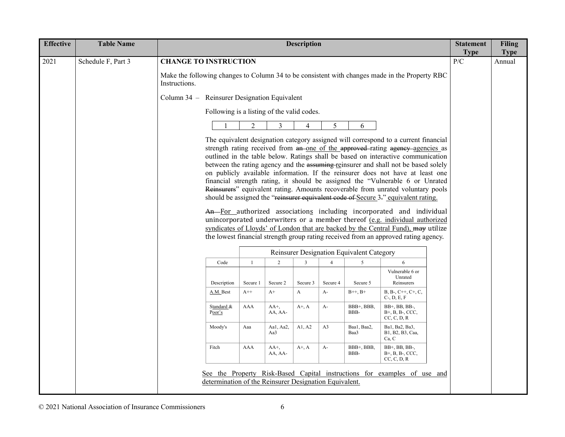| <b>Effective</b> | <b>Table Name</b>  |                                                                                                                 |                                                        |                    | <b>Description</b> |                |                                           |                                                                                                                                                                                                                                                                                                                                                                                                                                                                                                                                                                                                                                                                                                                                                                                                                                                                                                                                                                                                                                | <b>Statement</b><br><b>Type</b> | <b>Filing</b><br><b>Type</b> |
|------------------|--------------------|-----------------------------------------------------------------------------------------------------------------|--------------------------------------------------------|--------------------|--------------------|----------------|-------------------------------------------|--------------------------------------------------------------------------------------------------------------------------------------------------------------------------------------------------------------------------------------------------------------------------------------------------------------------------------------------------------------------------------------------------------------------------------------------------------------------------------------------------------------------------------------------------------------------------------------------------------------------------------------------------------------------------------------------------------------------------------------------------------------------------------------------------------------------------------------------------------------------------------------------------------------------------------------------------------------------------------------------------------------------------------|---------------------------------|------------------------------|
| 2021             | Schedule F, Part 3 | <b>CHANGE TO INSTRUCTION</b>                                                                                    |                                                        |                    |                    |                |                                           |                                                                                                                                                                                                                                                                                                                                                                                                                                                                                                                                                                                                                                                                                                                                                                                                                                                                                                                                                                                                                                | P/C                             | Annual                       |
|                  |                    | Make the following changes to Column 34 to be consistent with changes made in the Property RBC<br>Instructions. |                                                        |                    |                    |                |                                           |                                                                                                                                                                                                                                                                                                                                                                                                                                                                                                                                                                                                                                                                                                                                                                                                                                                                                                                                                                                                                                |                                 |                              |
|                  |                    | Column 34 – Reinsurer Designation Equivalent                                                                    |                                                        |                    |                    |                |                                           |                                                                                                                                                                                                                                                                                                                                                                                                                                                                                                                                                                                                                                                                                                                                                                                                                                                                                                                                                                                                                                |                                 |                              |
|                  |                    |                                                                                                                 | Following is a listing of the valid codes.             |                    |                    |                |                                           |                                                                                                                                                                                                                                                                                                                                                                                                                                                                                                                                                                                                                                                                                                                                                                                                                                                                                                                                                                                                                                |                                 |                              |
|                  |                    |                                                                                                                 | $\overline{2}$                                         | $\overline{3}$     | 4                  | 5              | 6                                         |                                                                                                                                                                                                                                                                                                                                                                                                                                                                                                                                                                                                                                                                                                                                                                                                                                                                                                                                                                                                                                |                                 |                              |
|                  |                    |                                                                                                                 |                                                        |                    |                    |                |                                           | The equivalent designation category assigned will correspond to a current financial<br>strength rating received from an one of the approved-rating agency agencies as<br>outlined in the table below. Ratings shall be based on interactive communication<br>between the rating agency and the assuming-reinsurer and shall not be based solely<br>on publicly available information. If the reinsurer does not have at least one<br>financial strength rating, it should be assigned the "Vulnerable 6 or Unrated<br>Reinsurers" equivalent rating. Amounts recoverable from unrated voluntary pools<br>should be assigned the "reinsurer equivalent code of Secure 3-" equivalent rating.<br>An-For authorized associations including incorporated and individual<br>unincorporated underwriters or a member thereof (e.g. individual authorized<br>syndicates of Lloyds' of London that are backed by the Central Fund), may utilize<br>the lowest financial strength group rating received from an approved rating agency. |                                 |                              |
|                  |                    |                                                                                                                 |                                                        |                    |                    |                | Reinsurer Designation Equivalent Category |                                                                                                                                                                                                                                                                                                                                                                                                                                                                                                                                                                                                                                                                                                                                                                                                                                                                                                                                                                                                                                |                                 |                              |
|                  |                    | Code                                                                                                            | $\overline{1}$                                         | $\sqrt{2}$         | $\mathbf{3}$       | $\overline{4}$ | 5                                         | 6                                                                                                                                                                                                                                                                                                                                                                                                                                                                                                                                                                                                                                                                                                                                                                                                                                                                                                                                                                                                                              |                                 |                              |
|                  |                    | Description                                                                                                     | Secure 1                                               | Secure 2           | Secure 3           | Secure 4       | Secure 5                                  | Vulnerable 6 or<br>Unrated<br>Reinsurers                                                                                                                                                                                                                                                                                                                                                                                                                                                                                                                                                                                                                                                                                                                                                                                                                                                                                                                                                                                       |                                 |                              |
|                  |                    | A.M. Best                                                                                                       | $A++$                                                  | $A+$               | A                  | $A-$           | $B++, B+$                                 | $B, B-, C++, C+, C,$<br>$C$ -, $D, E, F$                                                                                                                                                                                                                                                                                                                                                                                                                                                                                                                                                                                                                                                                                                                                                                                                                                                                                                                                                                                       |                                 |                              |
|                  |                    | Standard &<br>Poor's                                                                                            | AAA                                                    | $AA^+,$<br>AA, AA- | $A^+, A$           | $A-$           | BBB+, BBB,<br>BBB-                        | BB+, BB, BB-,<br>$B+$ , $B$ , $B-$ , CCC,<br>CC, C, D, R                                                                                                                                                                                                                                                                                                                                                                                                                                                                                                                                                                                                                                                                                                                                                                                                                                                                                                                                                                       |                                 |                              |
|                  |                    | Moody's                                                                                                         | Aaa                                                    | Aal, Aa2,<br>Aa3   | A1, A2             | A3             | Baa1, Baa2,<br>Baa3                       | Ba1, Ba2, Ba3,<br>B1, B2, B3, Caa,<br>Ca, C                                                                                                                                                                                                                                                                                                                                                                                                                                                                                                                                                                                                                                                                                                                                                                                                                                                                                                                                                                                    |                                 |                              |
|                  |                    | Fitch                                                                                                           | AAA                                                    | AA+,<br>AA, AA-    | $A^+$ , $A$        | $A-$           | BBB+, BBB,<br>BBB-                        | BB+, BB, BB-,<br>B+, B, B-, CCC,<br>CC, C, D, R                                                                                                                                                                                                                                                                                                                                                                                                                                                                                                                                                                                                                                                                                                                                                                                                                                                                                                                                                                                |                                 |                              |
|                  |                    |                                                                                                                 | determination of the Reinsurer Designation Equivalent. |                    |                    |                |                                           | See the Property Risk-Based Capital instructions for examples of use and                                                                                                                                                                                                                                                                                                                                                                                                                                                                                                                                                                                                                                                                                                                                                                                                                                                                                                                                                       |                                 |                              |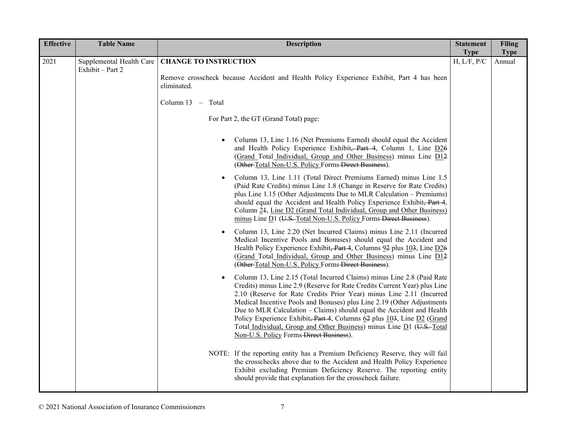| <b>Effective</b> | <b>Table Name</b>                            | <b>Description</b>                                                                                                                                                                                                                                                                                                                                                                                                                                                                                                                                                                        | <b>Statement</b>           | <b>Filing</b>         |
|------------------|----------------------------------------------|-------------------------------------------------------------------------------------------------------------------------------------------------------------------------------------------------------------------------------------------------------------------------------------------------------------------------------------------------------------------------------------------------------------------------------------------------------------------------------------------------------------------------------------------------------------------------------------------|----------------------------|-----------------------|
| 2021             | Supplemental Health Care<br>Exhibit - Part 2 | <b>CHANGE TO INSTRUCTION</b>                                                                                                                                                                                                                                                                                                                                                                                                                                                                                                                                                              | <b>Type</b><br>H, L/F, P/C | <b>Type</b><br>Annual |
|                  |                                              | Remove crosscheck because Accident and Health Policy Experience Exhibit, Part 4 has been<br>eliminated.                                                                                                                                                                                                                                                                                                                                                                                                                                                                                   |                            |                       |
|                  |                                              | Column 13 - Total                                                                                                                                                                                                                                                                                                                                                                                                                                                                                                                                                                         |                            |                       |
|                  |                                              | For Part 2, the GT (Grand Total) page:                                                                                                                                                                                                                                                                                                                                                                                                                                                                                                                                                    |                            |                       |
|                  |                                              | Column 13, Line 1.16 (Net Premiums Earned) should equal the Accident<br>$\bullet$<br>and Health Policy Experience Exhibit, Part 4, Column 1, Line D26<br>(Grand Total Individual, Group and Other Business) minus Line D12<br>(Other-Total Non-U.S. Policy Forms-Direct Business).                                                                                                                                                                                                                                                                                                        |                            |                       |
|                  |                                              | Column 13, Line 1.11 (Total Direct Premiums Earned) minus Line 1.5<br>$\bullet$<br>(Paid Rate Credits) minus Line 1.8 (Change in Reserve for Rate Credits)<br>plus Line 1.15 (Other Adjustments Due to MLR Calculation – Premiums)<br>should equal the Accident and Health Policy Experience Exhibit, Part 4,<br>Column 24, Line D2 (Grand Total Individual, Group and Other Business)<br>minus Line D1 (U.S. Total Non-U.S. Policy Forms Direct Business).                                                                                                                               |                            |                       |
|                  |                                              | Column 13, Line 2.20 (Net Incurred Claims) minus Line 2.11 (Incurred<br>$\bullet$<br>Medical Incentive Pools and Bonuses) should equal the Accident and<br>Health Policy Experience Exhibit, Part 4, Columns 92 plus 103, Line D26<br>(Grand Total Individual, Group and Other Business) minus Line D12<br>(Other-Total Non-U.S. Policy Forms-Direct Business).                                                                                                                                                                                                                           |                            |                       |
|                  |                                              | Column 13, Line 2.15 (Total Incurred Claims) minus Line 2.8 (Paid Rate<br>$\bullet$<br>Credits) minus Line 2.9 (Reserve for Rate Credits Current Year) plus Line<br>2.10 (Reserve for Rate Credits Prior Year) minus Line 2.11 (Incurred<br>Medical Incentive Pools and Bonuses) plus Line 2.19 (Other Adjustments<br>Due to MLR Calculation – Claims) should equal the Accident and Health<br>Policy Experience Exhibit, Part 4, Columns 62 plus 103, Line D2 (Grand<br>Total Individual, Group and Other Business) minus Line D1 (U.S. Total<br>Non-U.S. Policy Forms-Direct Business). |                            |                       |
|                  |                                              | NOTE: If the reporting entity has a Premium Deficiency Reserve, they will fail<br>the crosschecks above due to the Accident and Health Policy Experience<br>Exhibit excluding Premium Deficiency Reserve. The reporting entity<br>should provide that explanation for the crosscheck failure.                                                                                                                                                                                                                                                                                             |                            |                       |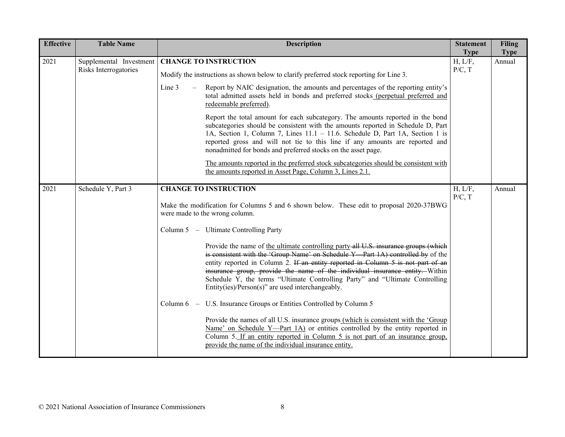| <b>Effective</b> | <b>Table Name</b>                                | <b>Description</b>                                                                                                                                                                                                                                                                                                                                                                                                                                                             | <b>Statement</b><br><b>Type</b> | <b>Filing</b><br><b>Type</b> |
|------------------|--------------------------------------------------|--------------------------------------------------------------------------------------------------------------------------------------------------------------------------------------------------------------------------------------------------------------------------------------------------------------------------------------------------------------------------------------------------------------------------------------------------------------------------------|---------------------------------|------------------------------|
| 2021             | Supplemental Investment<br>Risks Interrogatories | <b>CHANGE TO INSTRUCTION</b>                                                                                                                                                                                                                                                                                                                                                                                                                                                   | H, L/F,<br>P/C, T               | Annual                       |
|                  |                                                  | Modify the instructions as shown below to clarify preferred stock reporting for Line 3.                                                                                                                                                                                                                                                                                                                                                                                        |                                 |                              |
|                  |                                                  | Line 3<br>Report by NAIC designation, the amounts and percentages of the reporting entity's<br>total admitted assets held in bonds and preferred stocks (perpetual preferred and<br>redeemable preferred).                                                                                                                                                                                                                                                                     |                                 |                              |
|                  |                                                  | Report the total amount for each subcategory. The amounts reported in the bond<br>subcategories should be consistent with the amounts reported in Schedule D, Part<br>1A, Section 1, Column 7, Lines 11.1 - 11.6. Schedule D, Part 1A, Section 1 is<br>reported gross and will not tie to this line if any amounts are reported and<br>nonadmitted for bonds and preferred stocks on the asset page.                                                                           |                                 |                              |
|                  |                                                  | The amounts reported in the preferred stock subcategories should be consistent with<br>the amounts reported in Asset Page, Column 3, Lines 2.1.                                                                                                                                                                                                                                                                                                                                |                                 |                              |
| 2021             | Schedule Y, Part 3                               | <b>CHANGE TO INSTRUCTION</b>                                                                                                                                                                                                                                                                                                                                                                                                                                                   | H, L/F,<br>P/C, T               | Annual                       |
|                  |                                                  | Make the modification for Columns 5 and 6 shown below. These edit to proposal 2020-37BWG<br>were made to the wrong column.                                                                                                                                                                                                                                                                                                                                                     |                                 |                              |
|                  |                                                  | Column 5 - Ultimate Controlling Party                                                                                                                                                                                                                                                                                                                                                                                                                                          |                                 |                              |
|                  |                                                  | Provide the name of the ultimate controlling party all U.S. insurance groups (which<br>is consistent with the 'Group Name' on Schedule Y Part 1A) controlled by of the<br>entity reported in Column 2. If an entity reported in Column 5 is not part of an<br>insurance group, provide the name of the individual insurance entity. Within<br>Schedule Y, the terms "Ultimate Controlling Party" and "Ultimate Controlling<br>Entity(ies)/Person(s)" are used interchangeably. |                                 |                              |
|                  |                                                  | Column 6 – U.S. Insurance Groups or Entities Controlled by Column 5                                                                                                                                                                                                                                                                                                                                                                                                            |                                 |                              |
|                  |                                                  | Provide the names of all U.S. insurance groups (which is consistent with the 'Group<br>Name' on Schedule Y-Part 1A) or entities controlled by the entity reported in<br>Column 5. If an entity reported in Column 5 is not part of an insurance group,<br>provide the name of the individual insurance entity.                                                                                                                                                                 |                                 |                              |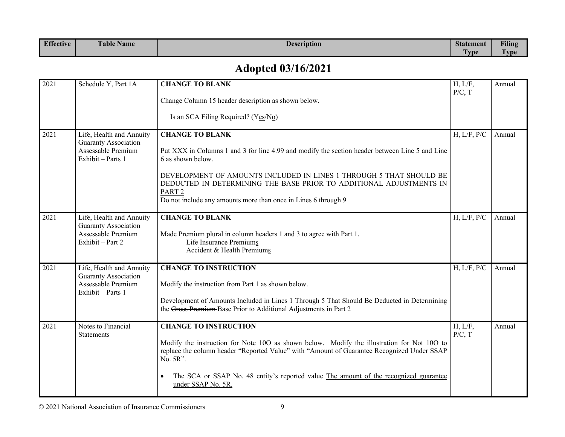| <b>Effective</b> | $\mathbf{r}$<br>$\overline{\phantom{a}}$<br>l'able Name | Description | <b>Statement</b>     | <b>Filing</b>      |
|------------------|---------------------------------------------------------|-------------|----------------------|--------------------|
|                  |                                                         |             | <b>Track</b><br>Lvpe | <b>COLO</b><br>vpe |

# **Adopted 03/16/2021**

| 2021 | Schedule Y, Part 1A                                                                                | <b>CHANGE TO BLANK</b>                                                                                                                                                                                                                                                                                                                                                             | H, L/F,           | Annual |
|------|----------------------------------------------------------------------------------------------------|------------------------------------------------------------------------------------------------------------------------------------------------------------------------------------------------------------------------------------------------------------------------------------------------------------------------------------------------------------------------------------|-------------------|--------|
|      |                                                                                                    | Change Column 15 header description as shown below.<br>Is an SCA Filing Required? ( $Y_{\text{CS}}/N_{\Omega}$ )                                                                                                                                                                                                                                                                   | P/C, T            |        |
| 2021 | Life, Health and Annuity<br><b>Guaranty Association</b><br>Assessable Premium<br>Exhibit - Parts 1 | <b>CHANGE TO BLANK</b><br>Put XXX in Columns 1 and 3 for line 4.99 and modify the section header between Line 5 and Line<br>6 as shown below.<br>DEVELOPMENT OF AMOUNTS INCLUDED IN LINES 1 THROUGH 5 THAT SHOULD BE<br>DEDUCTED IN DETERMINING THE BASE PRIOR TO ADDITIONAL ADJUSTMENTS IN<br>PART <sub>2</sub><br>Do not include any amounts more than once in Lines 6 through 9 | H, L/F, P/C       | Annual |
| 2021 | Life, Health and Annuity<br><b>Guaranty Association</b><br>Assessable Premium<br>Exhibit - Part 2  | <b>CHANGE TO BLANK</b><br>Made Premium plural in column headers 1 and 3 to agree with Part 1.<br>Life Insurance Premiums<br>Accident & Health Premiums                                                                                                                                                                                                                             | H, L/F, P/C       | Annual |
| 2021 | Life, Health and Annuity<br><b>Guaranty Association</b><br>Assessable Premium<br>Exhibit - Parts 1 | <b>CHANGE TO INSTRUCTION</b><br>Modify the instruction from Part 1 as shown below.<br>Development of Amounts Included in Lines 1 Through 5 That Should Be Deducted in Determining<br>the Gross Premium-Base Prior to Additional Adjustments in Part 2                                                                                                                              | H, L/F, P/C       | Annual |
| 2021 | Notes to Financial<br><b>Statements</b>                                                            | <b>CHANGE TO INSTRUCTION</b><br>Modify the instruction for Note 10O as shown below. Modify the illustration for Not 10O to<br>replace the column header "Reported Value" with "Amount of Guarantee Recognized Under SSAP<br>No. 5R".<br>The SCA or SSAP No. 48 entity's reported value The amount of the recognized guarantee<br>under SSAP No. 5R.                                | H, L/F,<br>P/C, T | Annual |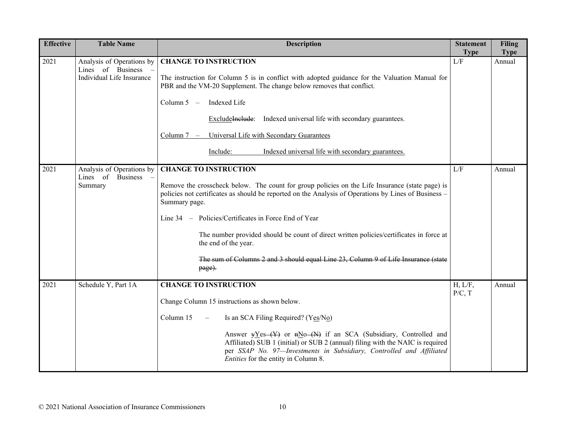| <b>Effective</b> | <b>Table Name</b>                                                           | <b>Description</b>                                                                                                                                                                                                                                                                                                                                                                                                                                                                                                                  | <b>Statement</b><br><b>Type</b> | <b>Filing</b><br><b>Type</b> |
|------------------|-----------------------------------------------------------------------------|-------------------------------------------------------------------------------------------------------------------------------------------------------------------------------------------------------------------------------------------------------------------------------------------------------------------------------------------------------------------------------------------------------------------------------------------------------------------------------------------------------------------------------------|---------------------------------|------------------------------|
| 2021             | Analysis of Operations by<br>Lines of Business<br>Individual Life Insurance | <b>CHANGE TO INSTRUCTION</b><br>The instruction for Column 5 is in conflict with adopted guidance for the Valuation Manual for<br>PBR and the VM-20 Supplement. The change below removes that conflict.<br>Column $5 -$<br>Indexed Life<br>ExcludeInelude: Indexed universal life with secondary guarantees.<br>Universal Life with Secondary Guarantees<br>Column $7 -$<br>Include:<br>Indexed universal life with secondary guarantees.                                                                                           | L/F                             | Annual                       |
| 2021             | Analysis of Operations by<br>Lines of Business<br>Summary                   | <b>CHANGE TO INSTRUCTION</b><br>Remove the crosscheck below. The count for group policies on the Life Insurance (state page) is<br>policies not certificates as should be reported on the Analysis of Operations by Lines of Business -<br>Summary page.<br>Line 34 - Policies/Certificates in Force End of Year<br>The number provided should be count of direct written policies/certificates in force at<br>the end of the year.<br>The sum of Columns 2 and 3 should equal Line 23, Column 9 of Life Insurance (state<br>page). | L/F                             | Annual                       |
| 2021             | Schedule Y, Part 1A                                                         | <b>CHANGE TO INSTRUCTION</b><br>Change Column 15 instructions as shown below.<br>Column 15<br>Is an SCA Filing Required? (Yes/No)<br>$\overline{\phantom{m}}$<br>Answer $yY$ es (Y) or $nNo$ (N) if an SCA (Subsidiary, Controlled and<br>Affiliated) SUB 1 (initial) or SUB 2 (annual) filing with the NAIC is required<br>per SSAP No. 97-Investments in Subsidiary, Controlled and Affiliated<br>Entities for the entity in Column 8.                                                                                            | H, L/F,<br>P/C, T               | Annual                       |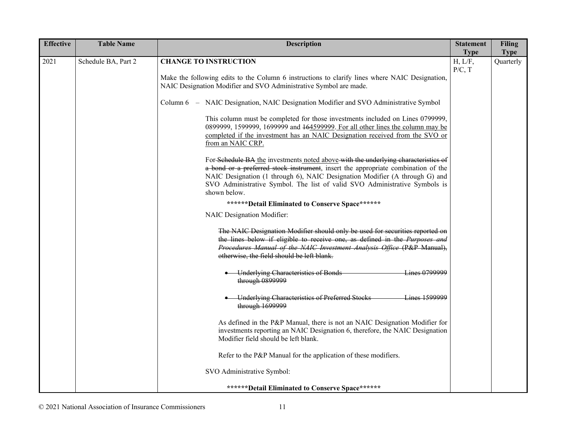| <b>Effective</b> | <b>Table Name</b>   | <b>Description</b>                                                                                                                                                                                                                                                                                                                                   | <b>Statement</b><br><b>Type</b> | <b>Filing</b>            |
|------------------|---------------------|------------------------------------------------------------------------------------------------------------------------------------------------------------------------------------------------------------------------------------------------------------------------------------------------------------------------------------------------------|---------------------------------|--------------------------|
| 2021             | Schedule BA, Part 2 | <b>CHANGE TO INSTRUCTION</b>                                                                                                                                                                                                                                                                                                                         | H, L/F,<br>P/C, T               | <b>Type</b><br>Quarterly |
|                  |                     | Make the following edits to the Column 6 instructions to clarify lines where NAIC Designation,<br>NAIC Designation Modifier and SVO Administrative Symbol are made.                                                                                                                                                                                  |                                 |                          |
|                  |                     | Column 6 – NAIC Designation, NAIC Designation Modifier and SVO Administrative Symbol                                                                                                                                                                                                                                                                 |                                 |                          |
|                  |                     | This column must be completed for those investments included on Lines 0799999,<br>0899999, 1599999, 1699999 and <del>164599999</del> . For all other lines the column may be<br>completed if the investment has an NAIC Designation received from the SVO or<br>from an NAIC CRP.                                                                    |                                 |                          |
|                  |                     | For Schedule BA the investments noted above with the underlying characteristics of<br>a bond or a preferred stock instrument, insert the appropriate combination of the<br>NAIC Designation (1 through 6), NAIC Designation Modifier (A through G) and<br>SVO Administrative Symbol. The list of valid SVO Administrative Symbols is<br>shown below. |                                 |                          |
|                  |                     | *******Detail Eliminated to Conserve Space******                                                                                                                                                                                                                                                                                                     |                                 |                          |
|                  |                     | NAIC Designation Modifier:                                                                                                                                                                                                                                                                                                                           |                                 |                          |
|                  |                     | The NAIC Designation Modifier should only be used for securities reported on<br>the lines below if eligible to receive one, as defined in the Purposes and<br>Procedures Manual of the NAIC Investment Analysis Office (P&P Manual),<br>otherwise, the field should be left blank.                                                                   |                                 |                          |
|                  |                     | • Underlying Characteristics of Bonds<br><b>Lines 0799999</b><br>through 0899999                                                                                                                                                                                                                                                                     |                                 |                          |
|                  |                     | Underlying Characteristics of Preferred Stocks<br>Lines 1599999<br>through 1699999                                                                                                                                                                                                                                                                   |                                 |                          |
|                  |                     | As defined in the P&P Manual, there is not an NAIC Designation Modifier for<br>investments reporting an NAIC Designation 6, therefore, the NAIC Designation<br>Modifier field should be left blank.                                                                                                                                                  |                                 |                          |
|                  |                     | Refer to the P&P Manual for the application of these modifiers.                                                                                                                                                                                                                                                                                      |                                 |                          |
|                  |                     | SVO Administrative Symbol:                                                                                                                                                                                                                                                                                                                           |                                 |                          |
|                  |                     | *******Detail Eliminated to Conserve Space******                                                                                                                                                                                                                                                                                                     |                                 |                          |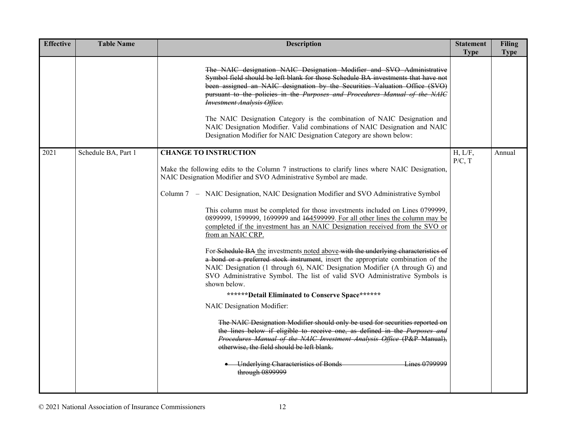| <b>Effective</b> | <b>Table Name</b>   | <b>Description</b>                                                                                                                                                                                                                                                                                                                                                                                                                                                                                                                                                                                                                                                                                                                                                                                                                                                                                                                                                                                                                                                                                                                                                                                                                                                                                                                                                                                 | <b>Statement</b><br><b>Type</b> | <b>Filing</b><br><b>Type</b> |
|------------------|---------------------|----------------------------------------------------------------------------------------------------------------------------------------------------------------------------------------------------------------------------------------------------------------------------------------------------------------------------------------------------------------------------------------------------------------------------------------------------------------------------------------------------------------------------------------------------------------------------------------------------------------------------------------------------------------------------------------------------------------------------------------------------------------------------------------------------------------------------------------------------------------------------------------------------------------------------------------------------------------------------------------------------------------------------------------------------------------------------------------------------------------------------------------------------------------------------------------------------------------------------------------------------------------------------------------------------------------------------------------------------------------------------------------------------|---------------------------------|------------------------------|
|                  |                     | The NAIC designation NAIC Designation Modifier and SVO Administrative<br>Symbol field should be left blank for those Schedule BA investments that have not<br>been assigned an NAIC designation by the Securities Valuation Office (SVO)<br>pursuant to the policies in the Purposes and Procedures Manual of the NAIC<br><b>Investment Analysis Office.</b><br>The NAIC Designation Category is the combination of NAIC Designation and<br>NAIC Designation Modifier. Valid combinations of NAIC Designation and NAIC<br>Designation Modifier for NAIC Designation Category are shown below:                                                                                                                                                                                                                                                                                                                                                                                                                                                                                                                                                                                                                                                                                                                                                                                                      |                                 |                              |
| 2021             | Schedule BA, Part 1 | <b>CHANGE TO INSTRUCTION</b><br>Make the following edits to the Column 7 instructions to clarify lines where NAIC Designation,<br>NAIC Designation Modifier and SVO Administrative Symbol are made.<br>Column 7 – NAIC Designation, NAIC Designation Modifier and SVO Administrative Symbol<br>This column must be completed for those investments included on Lines 0799999,<br>0899999, 1599999, 1699999 and <del>164599999</del> . For all other lines the column may be<br>completed if the investment has an NAIC Designation received from the SVO or<br>from an NAIC CRP.<br>For Schedule BA the investments noted above with the underlying characteristics of<br>a bond or a preferred stock instrument, insert the appropriate combination of the<br>NAIC Designation (1 through 6), NAIC Designation Modifier (A through G) and<br>SVO Administrative Symbol. The list of valid SVO Administrative Symbols is<br>shown below.<br>*******Detail Eliminated to Conserve Space******<br>NAIC Designation Modifier:<br>The NAIC Designation Modifier should only be used for securities reported on<br>the lines below if eligible to receive one, as defined in the Purposes and<br>Procedures Manual of the NAIC Investment Analysis Office (P&P Manual),<br>otherwise, the field should be left blank.<br>Lines 0799999<br><b>Underlying Characteristics of Bonds</b><br>through 0899999 | H, L/F,<br>P/C, T               | Annual                       |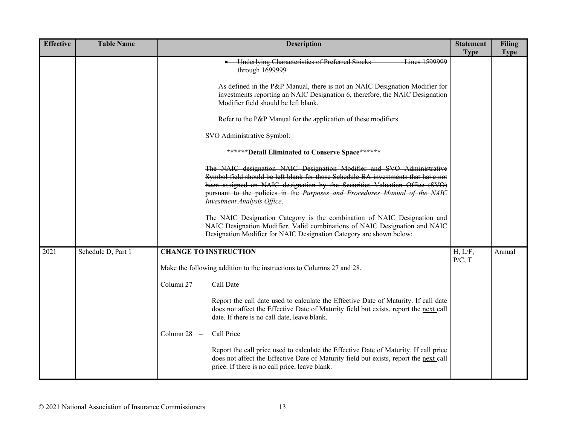| <b>Effective</b> | <b>Table Name</b>  | <b>Description</b>                                                                                                                                                                                                                                                                                                                                           | <b>Statement</b><br><b>Type</b> | <b>Filing</b><br><b>Type</b> |
|------------------|--------------------|--------------------------------------------------------------------------------------------------------------------------------------------------------------------------------------------------------------------------------------------------------------------------------------------------------------------------------------------------------------|---------------------------------|------------------------------|
|                  |                    | <b>Underlying Characteristics of Preferred Stocks</b><br>Lines 1599999<br>through 1699999                                                                                                                                                                                                                                                                    |                                 |                              |
|                  |                    | As defined in the P&P Manual, there is not an NAIC Designation Modifier for<br>investments reporting an NAIC Designation 6, therefore, the NAIC Designation<br>Modifier field should be left blank.                                                                                                                                                          |                                 |                              |
|                  |                    | Refer to the P&P Manual for the application of these modifiers.                                                                                                                                                                                                                                                                                              |                                 |                              |
|                  |                    | SVO Administrative Symbol:                                                                                                                                                                                                                                                                                                                                   |                                 |                              |
|                  |                    | *******Detail Eliminated to Conserve Space*******                                                                                                                                                                                                                                                                                                            |                                 |                              |
|                  |                    | The NAIC designation NAIC Designation Modifier and SVO Administrative<br>Symbol field should be left blank for those Schedule BA investments that have not<br>been assigned an NAIC designation by the Securities Valuation Office (SVO)<br>pursuant to the policies in the Purposes and Procedures Manual of the NAIC<br><b>Investment Analysis Office.</b> |                                 |                              |
|                  |                    | The NAIC Designation Category is the combination of NAIC Designation and<br>NAIC Designation Modifier. Valid combinations of NAIC Designation and NAIC<br>Designation Modifier for NAIC Designation Category are shown below:                                                                                                                                |                                 |                              |
| 2021             | Schedule D, Part 1 | <b>CHANGE TO INSTRUCTION</b>                                                                                                                                                                                                                                                                                                                                 | H, L/F,<br>P/C, T               | Annual                       |
|                  |                    | Make the following addition to the instructions to Columns 27 and 28.                                                                                                                                                                                                                                                                                        |                                 |                              |
|                  |                    | Call Date<br>Column 27 -                                                                                                                                                                                                                                                                                                                                     |                                 |                              |
|                  |                    | Report the call date used to calculate the Effective Date of Maturity. If call date<br>does not affect the Effective Date of Maturity field but exists, report the next call<br>date. If there is no call date, leave blank.                                                                                                                                 |                                 |                              |
|                  |                    | Column $28 -$<br>Call Price                                                                                                                                                                                                                                                                                                                                  |                                 |                              |
|                  |                    | Report the call price used to calculate the Effective Date of Maturity. If call price<br>does not affect the Effective Date of Maturity field but exists, report the next call<br>price. If there is no call price, leave blank.                                                                                                                             |                                 |                              |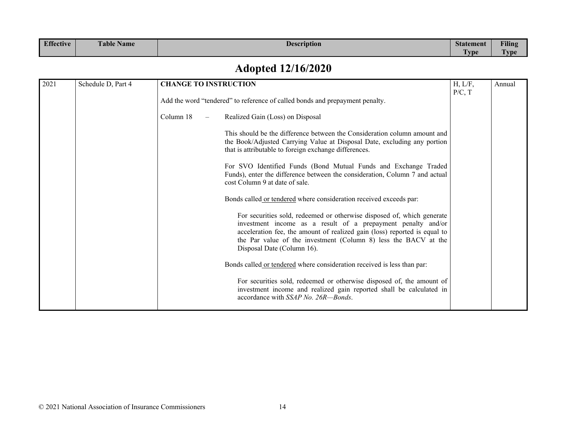| <b>Effective</b> | $\mathbf{r}$<br><b>Table Name</b> | <b>Description</b> | <b>Statement</b>           | <b>Filing</b>        |
|------------------|-----------------------------------|--------------------|----------------------------|----------------------|
|                  |                                   |                    | <b>CONTRACTOR</b><br>l vpe | <b>CENT</b><br>l vpe |

# **Adopted 12/16/2020**

| 2021 | Schedule D, Part 4<br><b>CHANGE TO INSTRUCTION</b> |           |  | H, L/F,<br>P/C, T                                                                                                                                                                                                                                                                                                    | Annual |  |
|------|----------------------------------------------------|-----------|--|----------------------------------------------------------------------------------------------------------------------------------------------------------------------------------------------------------------------------------------------------------------------------------------------------------------------|--------|--|
|      |                                                    |           |  | Add the word "tendered" to reference of called bonds and prepayment penalty.                                                                                                                                                                                                                                         |        |  |
|      |                                                    | Column 18 |  | Realized Gain (Loss) on Disposal                                                                                                                                                                                                                                                                                     |        |  |
|      |                                                    |           |  | This should be the difference between the Consideration column amount and<br>the Book/Adjusted Carrying Value at Disposal Date, excluding any portion<br>that is attributable to foreign exchange differences.                                                                                                       |        |  |
|      |                                                    |           |  | For SVO Identified Funds (Bond Mutual Funds and Exchange Traded<br>Funds), enter the difference between the consideration, Column 7 and actual<br>cost Column 9 at date of sale.                                                                                                                                     |        |  |
|      |                                                    |           |  | Bonds called or tendered where consideration received exceeds par:                                                                                                                                                                                                                                                   |        |  |
|      |                                                    |           |  | For securities sold, redeemed or otherwise disposed of, which generate<br>investment income as a result of a prepayment penalty and/or<br>acceleration fee, the amount of realized gain (loss) reported is equal to<br>the Par value of the investment (Column 8) less the BACV at the<br>Disposal Date (Column 16). |        |  |
|      |                                                    |           |  | Bonds called or tendered where consideration received is less than par:                                                                                                                                                                                                                                              |        |  |
|      |                                                    |           |  | For securities sold, redeemed or otherwise disposed of, the amount of<br>investment income and realized gain reported shall be calculated in<br>accordance with SSAP No. 26R-Bonds.                                                                                                                                  |        |  |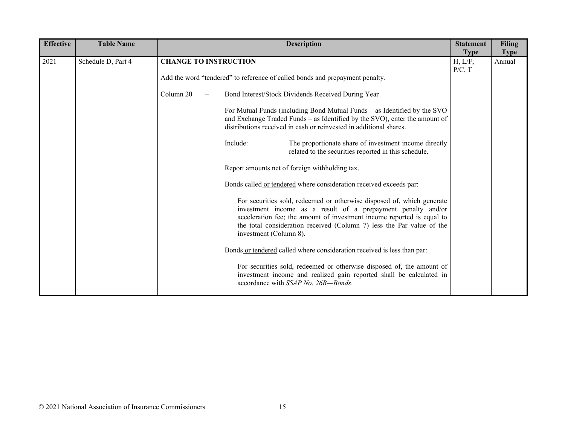| <b>Effective</b> | <b>Table Name</b>  | <b>Description</b> |                                                                                                                                                                                                                                                                                                                     |  | <b>Statement</b><br><b>Type</b> | <b>Filing</b><br><b>Type</b> |  |
|------------------|--------------------|--------------------|---------------------------------------------------------------------------------------------------------------------------------------------------------------------------------------------------------------------------------------------------------------------------------------------------------------------|--|---------------------------------|------------------------------|--|
| 2021             | Schedule D, Part 4 |                    | <b>CHANGE TO INSTRUCTION</b><br>H, L/F,<br>P/C, T                                                                                                                                                                                                                                                                   |  |                                 | Annual                       |  |
|                  |                    |                    | Add the word "tendered" to reference of called bonds and prepayment penalty.                                                                                                                                                                                                                                        |  |                                 |                              |  |
|                  |                    | Column 20          | Bond Interest/Stock Dividends Received During Year                                                                                                                                                                                                                                                                  |  |                                 |                              |  |
|                  |                    |                    | For Mutual Funds (including Bond Mutual Funds – as Identified by the SVO<br>and Exchange Traded Funds - as Identified by the SVO), enter the amount of<br>distributions received in cash or reinvested in additional shares.                                                                                        |  |                                 |                              |  |
|                  |                    |                    | The proportionate share of investment income directly<br>Include:<br>related to the securities reported in this schedule.                                                                                                                                                                                           |  |                                 |                              |  |
|                  |                    |                    | Report amounts net of foreign withholding tax.<br>Bonds called or tendered where consideration received exceeds par:                                                                                                                                                                                                |  |                                 |                              |  |
|                  |                    |                    |                                                                                                                                                                                                                                                                                                                     |  |                                 |                              |  |
|                  |                    |                    | For securities sold, redeemed or otherwise disposed of, which generate<br>investment income as a result of a prepayment penalty and/or<br>acceleration fee; the amount of investment income reported is equal to<br>the total consideration received (Column 7) less the Par value of the<br>investment (Column 8). |  |                                 |                              |  |
|                  |                    |                    | Bonds or tendered called where consideration received is less than par:                                                                                                                                                                                                                                             |  |                                 |                              |  |
|                  |                    |                    | For securities sold, redeemed or otherwise disposed of, the amount of<br>investment income and realized gain reported shall be calculated in<br>accordance with SSAP No. 26R-Bonds.                                                                                                                                 |  |                                 |                              |  |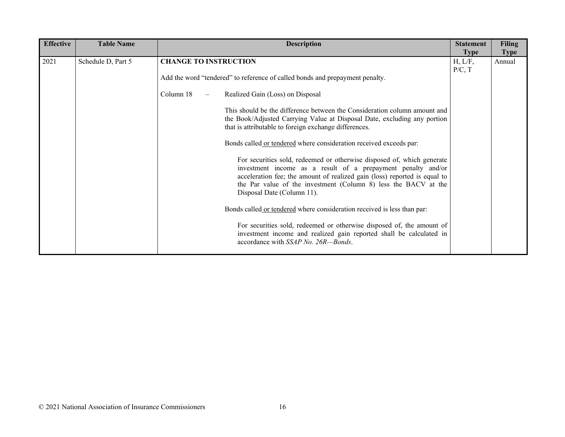| <b>Effective</b> | <b>Table Name</b>  | <b>Description</b>                                                                                                                                                                                                                                                                                                   | <b>Statement</b>                 | <b>Filing</b>         |
|------------------|--------------------|----------------------------------------------------------------------------------------------------------------------------------------------------------------------------------------------------------------------------------------------------------------------------------------------------------------------|----------------------------------|-----------------------|
| 2021             | Schedule D, Part 5 | <b>CHANGE TO INSTRUCTION</b>                                                                                                                                                                                                                                                                                         | <b>Type</b><br>H, L/F,<br>P/C, T | <b>Type</b><br>Annual |
|                  |                    | Add the word "tendered" to reference of called bonds and prepayment penalty.                                                                                                                                                                                                                                         |                                  |                       |
|                  |                    | Column 18<br>Realized Gain (Loss) on Disposal                                                                                                                                                                                                                                                                        |                                  |                       |
|                  |                    | This should be the difference between the Consideration column amount and<br>the Book/Adjusted Carrying Value at Disposal Date, excluding any portion<br>that is attributable to foreign exchange differences.                                                                                                       |                                  |                       |
|                  |                    | Bonds called or tendered where consideration received exceeds par:                                                                                                                                                                                                                                                   |                                  |                       |
|                  |                    | For securities sold, redeemed or otherwise disposed of, which generate<br>investment income as a result of a prepayment penalty and/or<br>acceleration fee; the amount of realized gain (loss) reported is equal to<br>the Par value of the investment (Column 8) less the BACV at the<br>Disposal Date (Column 11). |                                  |                       |
|                  |                    | Bonds called or tendered where consideration received is less than par:                                                                                                                                                                                                                                              |                                  |                       |
|                  |                    | For securities sold, redeemed or otherwise disposed of, the amount of<br>investment income and realized gain reported shall be calculated in<br>accordance with SSAP No. 26R—Bonds.                                                                                                                                  |                                  |                       |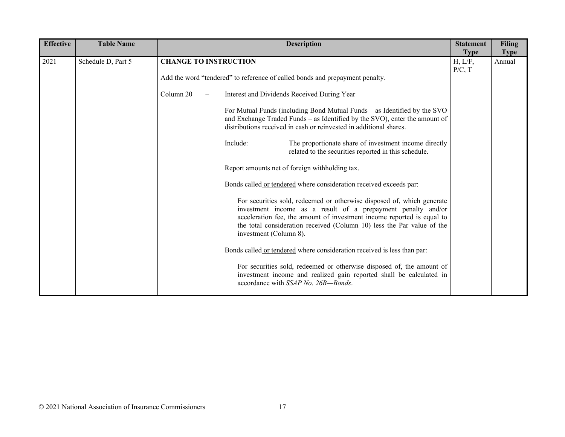| <b>Effective</b> | <b>Table Name</b>  | <b>Description</b>             |                                                                                                                      |                                                                                                                                                                                                                                                                                            | <b>Statement</b><br><b>Type</b> | <b>Filing</b><br><b>Type</b> |  |
|------------------|--------------------|--------------------------------|----------------------------------------------------------------------------------------------------------------------|--------------------------------------------------------------------------------------------------------------------------------------------------------------------------------------------------------------------------------------------------------------------------------------------|---------------------------------|------------------------------|--|
| 2021             | Schedule D, Part 5 |                                | <b>CHANGE TO INSTRUCTION</b>                                                                                         |                                                                                                                                                                                                                                                                                            | H, L/F,<br>P/C, T               | Annual                       |  |
|                  |                    |                                | Add the word "tendered" to reference of called bonds and prepayment penalty.                                         |                                                                                                                                                                                                                                                                                            |                                 |                              |  |
|                  |                    | Column 20<br>$\qquad \qquad -$ | Interest and Dividends Received During Year                                                                          |                                                                                                                                                                                                                                                                                            |                                 |                              |  |
|                  |                    |                                |                                                                                                                      | For Mutual Funds (including Bond Mutual Funds – as Identified by the SVO<br>and Exchange Traded Funds - as Identified by the SVO), enter the amount of<br>distributions received in cash or reinvested in additional shares.                                                               |                                 |                              |  |
|                  |                    |                                | Include:                                                                                                             | The proportionate share of investment income directly<br>related to the securities reported in this schedule.                                                                                                                                                                              |                                 |                              |  |
|                  |                    |                                | Report amounts net of foreign withholding tax.<br>Bonds called or tendered where consideration received exceeds par: |                                                                                                                                                                                                                                                                                            |                                 |                              |  |
|                  |                    |                                |                                                                                                                      |                                                                                                                                                                                                                                                                                            |                                 |                              |  |
|                  |                    |                                | investment (Column 8).                                                                                               | For securities sold, redeemed or otherwise disposed of, which generate<br>investment income as a result of a prepayment penalty and/or<br>acceleration fee, the amount of investment income reported is equal to<br>the total consideration received (Column 10) less the Par value of the |                                 |                              |  |
|                  |                    |                                |                                                                                                                      | Bonds called or tendered where consideration received is less than par:                                                                                                                                                                                                                    |                                 |                              |  |
|                  |                    |                                |                                                                                                                      | For securities sold, redeemed or otherwise disposed of, the amount of<br>investment income and realized gain reported shall be calculated in<br>accordance with SSAP No. 26R-Bonds.                                                                                                        |                                 |                              |  |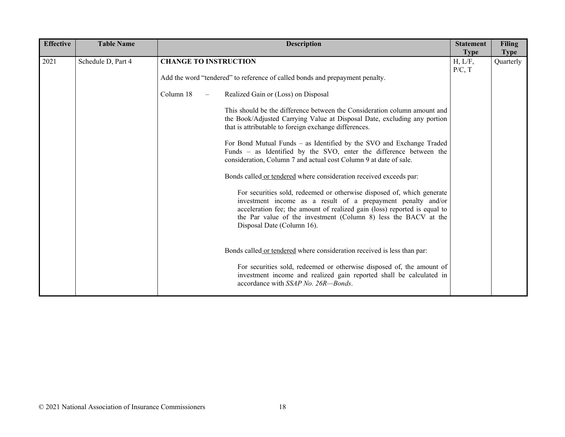| <b>Effective</b> | <b>Table Name</b>  | <b>Description</b>                                                                                                                                                                                                                                                                                                   | <b>Statement</b><br><b>Type</b> | <b>Filing</b><br><b>Type</b> |
|------------------|--------------------|----------------------------------------------------------------------------------------------------------------------------------------------------------------------------------------------------------------------------------------------------------------------------------------------------------------------|---------------------------------|------------------------------|
| 2021             | Schedule D, Part 4 | <b>CHANGE TO INSTRUCTION</b><br>H, L/F,<br>P/C, T                                                                                                                                                                                                                                                                    |                                 | Quarterly                    |
|                  |                    | Add the word "tendered" to reference of called bonds and prepayment penalty.                                                                                                                                                                                                                                         |                                 |                              |
|                  |                    | Column 18<br>Realized Gain or (Loss) on Disposal<br>$\overline{\phantom{0}}$                                                                                                                                                                                                                                         |                                 |                              |
|                  |                    | This should be the difference between the Consideration column amount and<br>the Book/Adjusted Carrying Value at Disposal Date, excluding any portion<br>that is attributable to foreign exchange differences.                                                                                                       |                                 |                              |
|                  |                    | For Bond Mutual Funds – as Identified by the SVO and Exchange Traded<br>Funds - as Identified by the SVO, enter the difference between the<br>consideration, Column 7 and actual cost Column 9 at date of sale.                                                                                                      |                                 |                              |
|                  |                    | Bonds called or tendered where consideration received exceeds par:                                                                                                                                                                                                                                                   |                                 |                              |
|                  |                    | For securities sold, redeemed or otherwise disposed of, which generate<br>investment income as a result of a prepayment penalty and/or<br>acceleration fee; the amount of realized gain (loss) reported is equal to<br>the Par value of the investment (Column 8) less the BACV at the<br>Disposal Date (Column 16). |                                 |                              |
|                  |                    | Bonds called or tendered where consideration received is less than par:                                                                                                                                                                                                                                              |                                 |                              |
|                  |                    | For securities sold, redeemed or otherwise disposed of, the amount of<br>investment income and realized gain reported shall be calculated in<br>accordance with SSAP No. 26R-Bonds.                                                                                                                                  |                                 |                              |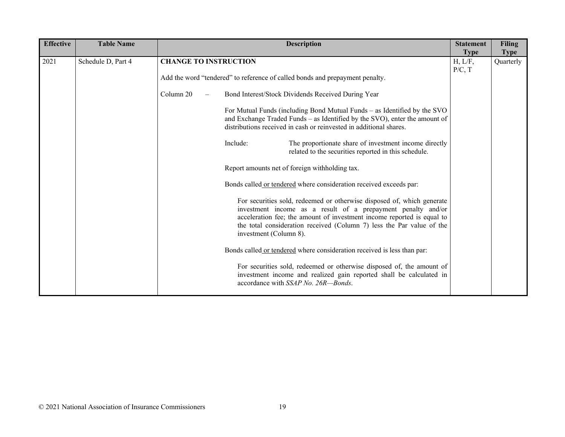| <b>Effective</b> | <b>Table Name</b>  | <b>Description</b>           |                                                                                                                      |                                                                                                                                                                                                                                                                                           |                                  | <b>Filing</b><br><b>Type</b> |  |
|------------------|--------------------|------------------------------|----------------------------------------------------------------------------------------------------------------------|-------------------------------------------------------------------------------------------------------------------------------------------------------------------------------------------------------------------------------------------------------------------------------------------|----------------------------------|------------------------------|--|
| 2021             | Schedule D, Part 4 | <b>CHANGE TO INSTRUCTION</b> |                                                                                                                      |                                                                                                                                                                                                                                                                                           | <b>Type</b><br>H, L/F,<br>P/C, T | Quarterly                    |  |
|                  |                    |                              | Add the word "tendered" to reference of called bonds and prepayment penalty.                                         |                                                                                                                                                                                                                                                                                           |                                  |                              |  |
|                  |                    | Column 20                    |                                                                                                                      | Bond Interest/Stock Dividends Received During Year                                                                                                                                                                                                                                        |                                  |                              |  |
|                  |                    |                              |                                                                                                                      | For Mutual Funds (including Bond Mutual Funds – as Identified by the SVO<br>and Exchange Traded Funds - as Identified by the SVO), enter the amount of<br>distributions received in cash or reinvested in additional shares.                                                              |                                  |                              |  |
|                  |                    |                              | Include:                                                                                                             | The proportionate share of investment income directly<br>related to the securities reported in this schedule.                                                                                                                                                                             |                                  |                              |  |
|                  |                    |                              | Report amounts net of foreign withholding tax.<br>Bonds called or tendered where consideration received exceeds par: |                                                                                                                                                                                                                                                                                           |                                  |                              |  |
|                  |                    |                              |                                                                                                                      |                                                                                                                                                                                                                                                                                           |                                  |                              |  |
|                  |                    |                              | investment (Column 8).                                                                                               | For securities sold, redeemed or otherwise disposed of, which generate<br>investment income as a result of a prepayment penalty and/or<br>acceleration fee; the amount of investment income reported is equal to<br>the total consideration received (Column 7) less the Par value of the |                                  |                              |  |
|                  |                    |                              |                                                                                                                      | Bonds called or tendered where consideration received is less than par:                                                                                                                                                                                                                   |                                  |                              |  |
|                  |                    |                              |                                                                                                                      | For securities sold, redeemed or otherwise disposed of, the amount of<br>investment income and realized gain reported shall be calculated in<br>accordance with SSAP No. 26R-Bonds.                                                                                                       |                                  |                              |  |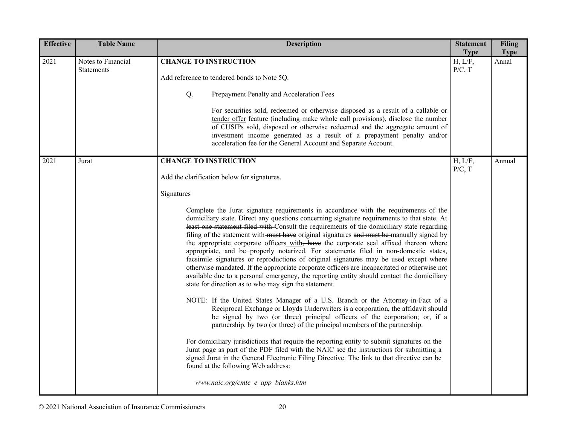| <b>Effective</b> | <b>Table Name</b>                       | <b>Description</b>                                                                                                                                                                                                                                                                                                                                                                                                                                                                                                                                                                                                                                                                                                                                                                                                                                                                                                                                                                                                                                                                                                                                                                                                                                                                                                                                                                                                                                                                                                                                                                                                                                                                                                        | <b>Statement</b><br><b>Type</b> | <b>Filing</b><br><b>Type</b> |
|------------------|-----------------------------------------|---------------------------------------------------------------------------------------------------------------------------------------------------------------------------------------------------------------------------------------------------------------------------------------------------------------------------------------------------------------------------------------------------------------------------------------------------------------------------------------------------------------------------------------------------------------------------------------------------------------------------------------------------------------------------------------------------------------------------------------------------------------------------------------------------------------------------------------------------------------------------------------------------------------------------------------------------------------------------------------------------------------------------------------------------------------------------------------------------------------------------------------------------------------------------------------------------------------------------------------------------------------------------------------------------------------------------------------------------------------------------------------------------------------------------------------------------------------------------------------------------------------------------------------------------------------------------------------------------------------------------------------------------------------------------------------------------------------------------|---------------------------------|------------------------------|
| 2021             | Notes to Financial<br><b>Statements</b> | <b>CHANGE TO INSTRUCTION</b><br>Add reference to tendered bonds to Note 5Q.<br>Q.<br>Prepayment Penalty and Acceleration Fees<br>For securities sold, redeemed or otherwise disposed as a result of a callable or<br>tender offer feature (including make whole call provisions), disclose the number<br>of CUSIPs sold, disposed or otherwise redeemed and the aggregate amount of<br>investment income generated as a result of a prepayment penalty and/or<br>acceleration fee for the General Account and Separate Account.                                                                                                                                                                                                                                                                                                                                                                                                                                                                                                                                                                                                                                                                                                                                                                                                                                                                                                                                                                                                                                                                                                                                                                                           | H, L/F,<br>P/C, T               | Annal                        |
| 2021             | Jurat                                   | <b>CHANGE TO INSTRUCTION</b><br>Add the clarification below for signatures.<br>Signatures<br>Complete the Jurat signature requirements in accordance with the requirements of the<br>domiciliary state. Direct any questions concerning signature requirements to that state. At<br>least one statement filed with Consult the requirements of the domiciliary state regarding<br>filing of the statement with must have original signatures and must be manually signed by<br>the appropriate corporate officers_with, have the corporate seal affixed thereon where<br>appropriate, and be-properly notarized. For statements filed in non-domestic states,<br>facsimile signatures or reproductions of original signatures may be used except where<br>otherwise mandated. If the appropriate corporate officers are incapacitated or otherwise not<br>available due to a personal emergency, the reporting entity should contact the domiciliary<br>state for direction as to who may sign the statement.<br>NOTE: If the United States Manager of a U.S. Branch or the Attorney-in-Fact of a<br>Reciprocal Exchange or Lloyds Underwriters is a corporation, the affidavit should<br>be signed by two (or three) principal officers of the corporation; or, if a<br>partnership, by two (or three) of the principal members of the partnership.<br>For domiciliary jurisdictions that require the reporting entity to submit signatures on the<br>Jurat page as part of the PDF filed with the NAIC see the instructions for submitting a<br>signed Jurat in the General Electronic Filing Directive. The link to that directive can be<br>found at the following Web address:<br>www.naic.org/cmte e app blanks.htm | H, L/F,<br>P/C, T               | Annual                       |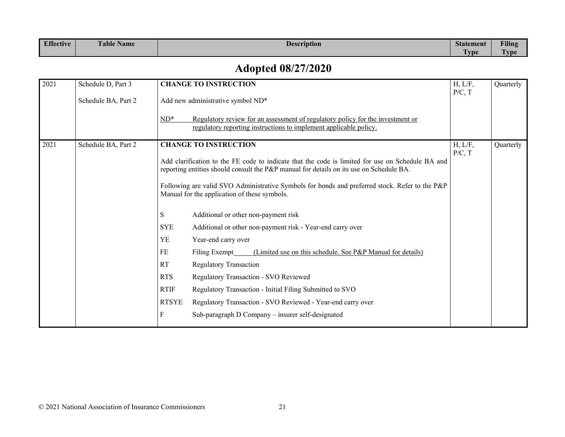| <b>Effective</b> | $\mathbf{r}$ $\mathbf{r}$<br>$\mathbf{r}$<br><b>Table Name</b> | $\sim$<br><b>Description</b> | <b>Statement</b> | <b>Filing</b>        |
|------------------|----------------------------------------------------------------|------------------------------|------------------|----------------------|
|                  |                                                                |                              | mm.<br>I vpe     | $\mathbf{r}$<br>"vpe |

## **Adopted 08/27/2020**

| 2021 | Schedule D, Part 3  | <b>CHANGE TO INSTRUCTION</b>                                                                                                                                                                | H, L/F,           | Quarterly |
|------|---------------------|---------------------------------------------------------------------------------------------------------------------------------------------------------------------------------------------|-------------------|-----------|
|      | Schedule BA, Part 2 | Add new administrative symbol ND*                                                                                                                                                           | P/C, T            |           |
|      |                     | $ND^*$<br>Regulatory review for an assessment of regulatory policy for the investment or<br>regulatory reporting instructions to implement applicable policy.                               |                   |           |
| 2021 | Schedule BA, Part 2 | <b>CHANGE TO INSTRUCTION</b>                                                                                                                                                                | H, L/F,<br>P/C, T | Quarterly |
|      |                     | Add clarification to the FE code to indicate that the code is limited for use on Schedule BA and<br>reporting entities should consult the P&P manual for details on its use on Schedule BA. |                   |           |
|      |                     | Following are valid SVO Administrative Symbols for bonds and preferred stock. Refer to the P&P<br>Manual for the application of these symbols.                                              |                   |           |
|      |                     | Additional or other non-payment risk<br>S                                                                                                                                                   |                   |           |
|      |                     | <b>SYE</b><br>Additional or other non-payment risk - Year-end carry over                                                                                                                    |                   |           |
|      |                     | <b>YE</b><br>Year-end carry over                                                                                                                                                            |                   |           |
|      |                     | FE<br>(Limited use on this schedule. See P&P Manual for details)<br>Filing Exempt                                                                                                           |                   |           |
|      |                     | RT<br><b>Regulatory Transaction</b>                                                                                                                                                         |                   |           |
|      |                     | <b>RTS</b><br>Regulatory Transaction - SVO Reviewed                                                                                                                                         |                   |           |
|      |                     | <b>RTIF</b><br>Regulatory Transaction - Initial Filing Submitted to SVO                                                                                                                     |                   |           |
|      |                     | <b>RTSYE</b><br>Regulatory Transaction - SVO Reviewed - Year-end carry over                                                                                                                 |                   |           |
|      |                     | Sub-paragraph D Company - insurer self-designated<br>F                                                                                                                                      |                   |           |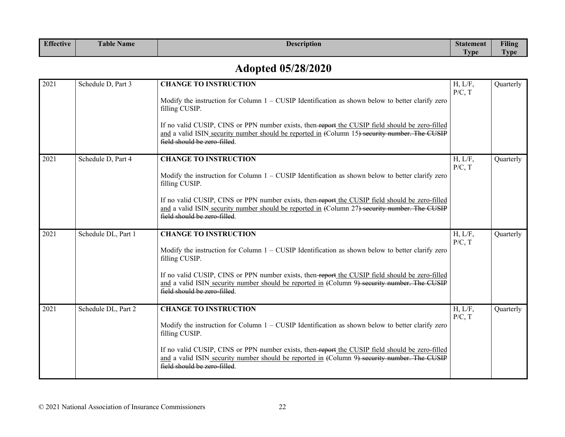| Effective | $\rightarrow$<br>$\mathbf{r}$<br>Table Name | $\sim$<br><b>Description</b> | <b>Statement</b> | Filing                          |
|-----------|---------------------------------------------|------------------------------|------------------|---------------------------------|
|           |                                             |                              | l vpe<br>. .     | $\overline{\phantom{a}}$<br>vpe |

## **Adopted 05/28/2020**

| 2021 | Schedule D, Part 3  | <b>CHANGE TO INSTRUCTION</b>                                                                                                                                                                                                     | H, L/F,<br>P/C, T | Quarterly |
|------|---------------------|----------------------------------------------------------------------------------------------------------------------------------------------------------------------------------------------------------------------------------|-------------------|-----------|
|      |                     | Modify the instruction for Column $1 -$ CUSIP Identification as shown below to better clarify zero<br>filling CUSIP.                                                                                                             |                   |           |
|      |                     | If no valid CUSIP, CINS or PPN number exists, then-report the CUSIP field should be zero-filled<br>and a valid ISIN security number should be reported in (Column 15) security number. The CUSIP<br>field should be zero-filled. |                   |           |
| 2021 | Schedule D, Part 4  | <b>CHANGE TO INSTRUCTION</b>                                                                                                                                                                                                     | H, L/F,<br>P/C, T | Quarterly |
|      |                     | Modify the instruction for Column $1 -$ CUSIP Identification as shown below to better clarify zero<br>filling CUSIP.                                                                                                             |                   |           |
|      |                     | If no valid CUSIP, CINS or PPN number exists, then-report the CUSIP field should be zero-filled<br>and a valid ISIN security number should be reported in (Column 27) security number. The CUSIP<br>field should be zero filled. |                   |           |
| 2021 | Schedule DL, Part 1 | <b>CHANGE TO INSTRUCTION</b>                                                                                                                                                                                                     | H, L/F,<br>P/C, T | Quarterly |
|      |                     | Modify the instruction for Column $1 -$ CUSIP Identification as shown below to better clarify zero<br>filling CUSIP.                                                                                                             |                   |           |
|      |                     | If no valid CUSIP, CINS or PPN number exists, then-report the CUSIP field should be zero-filled<br>and a valid ISIN security number should be reported in (Column 9) security number. The CUSIP<br>field should be zero-filled.  |                   |           |
| 2021 | Schedule DL, Part 2 | <b>CHANGE TO INSTRUCTION</b>                                                                                                                                                                                                     | H, L/F,<br>P/C, T | Quarterly |
|      |                     | Modify the instruction for Column $1 -$ CUSIP Identification as shown below to better clarify zero<br>filling CUSIP.                                                                                                             |                   |           |
|      |                     | If no valid CUSIP, CINS or PPN number exists, then-report the CUSIP field should be zero-filled<br>and a valid ISIN security number should be reported in (Column 9) security number. The CUSIP<br>field should be zero-filled.  |                   |           |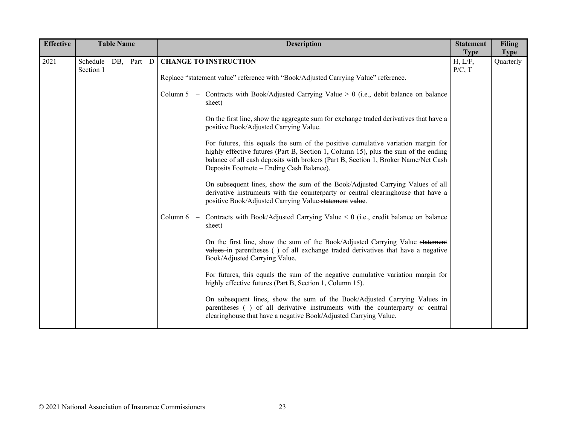| <b>Effective</b> |                                  | <b>Table Name</b> |  | <b>Description</b>                                                                                                                                                                                                                                                                                                                                                                                                                                                                                                                                                                                                                                                                                                                                                                                                                                                                                                                                                                                                                                                                                                                                                                                                                                                                                                                                                                                                                                                                                                                                                                                                  | <b>Statement</b><br><b>Type</b> | <b>Filing</b><br><b>Type</b> |
|------------------|----------------------------------|-------------------|--|---------------------------------------------------------------------------------------------------------------------------------------------------------------------------------------------------------------------------------------------------------------------------------------------------------------------------------------------------------------------------------------------------------------------------------------------------------------------------------------------------------------------------------------------------------------------------------------------------------------------------------------------------------------------------------------------------------------------------------------------------------------------------------------------------------------------------------------------------------------------------------------------------------------------------------------------------------------------------------------------------------------------------------------------------------------------------------------------------------------------------------------------------------------------------------------------------------------------------------------------------------------------------------------------------------------------------------------------------------------------------------------------------------------------------------------------------------------------------------------------------------------------------------------------------------------------------------------------------------------------|---------------------------------|------------------------------|
| 2021             | Schedule DB, Part D<br>Section 1 |                   |  | <b>CHANGE TO INSTRUCTION</b><br>Replace "statement value" reference with "Book/Adjusted Carrying Value" reference.<br>Column 5 - Contracts with Book/Adjusted Carrying Value $> 0$ (i.e., debit balance on balance<br>sheet)<br>On the first line, show the aggregate sum for exchange traded derivatives that have a<br>positive Book/Adjusted Carrying Value.<br>For futures, this equals the sum of the positive cumulative variation margin for<br>highly effective futures (Part B, Section 1, Column 15), plus the sum of the ending<br>balance of all cash deposits with brokers (Part B, Section 1, Broker Name/Net Cash<br>Deposits Footnote – Ending Cash Balance).<br>On subsequent lines, show the sum of the Book/Adjusted Carrying Values of all<br>derivative instruments with the counterparty or central clearinghouse that have a<br>positive Book/Adjusted Carrying Value-statement value.<br>Column 6 - Contracts with Book/Adjusted Carrying Value $\leq 0$ (i.e., credit balance on balance<br>sheet)<br>On the first line, show the sum of the Book/Adjusted Carrying Value statement<br>values in parentheses () of all exchange traded derivatives that have a negative<br>Book/Adjusted Carrying Value.<br>For futures, this equals the sum of the negative cumulative variation margin for<br>highly effective futures (Part B, Section 1, Column 15).<br>On subsequent lines, show the sum of the Book/Adjusted Carrying Values in<br>parentheses () of all derivative instruments with the counterparty or central<br>clearinghouse that have a negative Book/Adjusted Carrying Value. | H, L/F,<br>P/C, T               | Quarterly                    |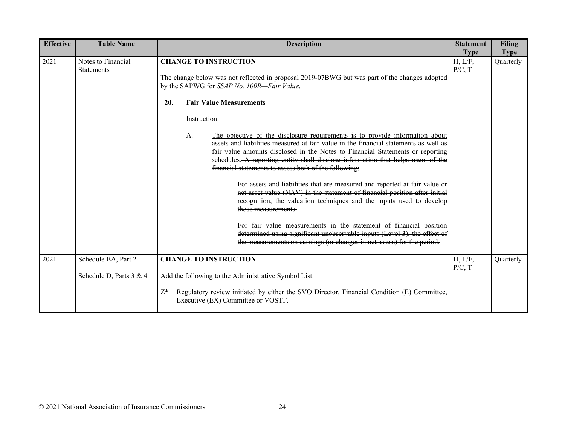| <b>Effective</b> | <b>Table Name</b>                                | <b>Description</b>                                                                                                                                                                                                                                                                                                                                                                                                                                                                                                                                                                                                                                                                                                                                                                                                                                                                                           | <b>Statement</b><br><b>Type</b> | Filing<br><b>Type</b> |
|------------------|--------------------------------------------------|--------------------------------------------------------------------------------------------------------------------------------------------------------------------------------------------------------------------------------------------------------------------------------------------------------------------------------------------------------------------------------------------------------------------------------------------------------------------------------------------------------------------------------------------------------------------------------------------------------------------------------------------------------------------------------------------------------------------------------------------------------------------------------------------------------------------------------------------------------------------------------------------------------------|---------------------------------|-----------------------|
| 2021             | Notes to Financial<br><b>Statements</b>          | <b>CHANGE TO INSTRUCTION</b><br>The change below was not reflected in proposal 2019-07BWG but was part of the changes adopted<br>by the SAPWG for SSAP No. 100R-Fair Value.<br><b>Fair Value Measurements</b><br>20.<br>Instruction:<br>The objective of the disclosure requirements is to provide information about<br>A.<br>assets and liabilities measured at fair value in the financial statements as well as<br>fair value amounts disclosed in the Notes to Financial Statements or reporting<br>schedules. A reporting entity shall disclose information that helps users of the<br>financial statements to assess both of the following:<br>For assets and liabilities that are measured and reported at fair value or<br>net asset value (NAV) in the statement of financial position after initial<br>recognition, the valuation techniques and the inputs used to develop<br>those measurements. | H, L/F,<br>P/C, T               | Quarterly             |
|                  |                                                  | For fair value measurements in the statement of financial position<br>determined using significant unobservable inputs (Level 3), the effect of<br>the measurements on earnings (or changes in net assets) for the period.                                                                                                                                                                                                                                                                                                                                                                                                                                                                                                                                                                                                                                                                                   |                                 |                       |
| 2021             | Schedule BA, Part 2<br>Schedule D, Parts $3 & 4$ | <b>CHANGE TO INSTRUCTION</b><br>Add the following to the Administrative Symbol List.<br>Regulatory review initiated by either the SVO Director, Financial Condition (E) Committee,<br>$Z^*$<br>Executive (EX) Committee or VOSTF.                                                                                                                                                                                                                                                                                                                                                                                                                                                                                                                                                                                                                                                                            | H, L/F,<br>P/C, T               | Quarterly             |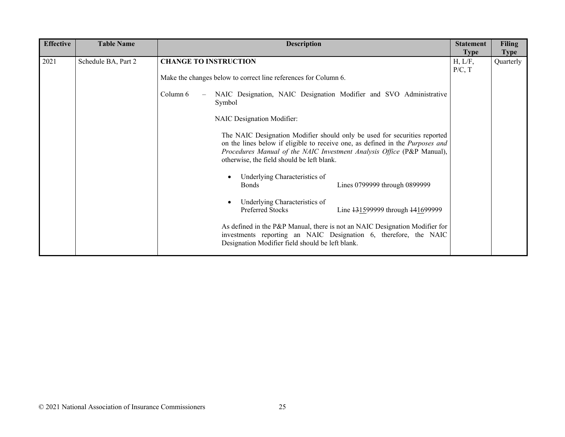| <b>Effective</b> | <b>Table Name</b>   | <b>Description</b>                                                                                                                                                                                                                                                                 | <b>Statement</b>  | <b>Filing</b> |
|------------------|---------------------|------------------------------------------------------------------------------------------------------------------------------------------------------------------------------------------------------------------------------------------------------------------------------------|-------------------|---------------|
|                  |                     |                                                                                                                                                                                                                                                                                    | <b>Type</b>       | <b>Type</b>   |
| 2021             | Schedule BA, Part 2 | <b>CHANGE TO INSTRUCTION</b>                                                                                                                                                                                                                                                       | H, L/F,<br>P/C, T | Quarterly     |
|                  |                     | Make the changes below to correct line references for Column 6.                                                                                                                                                                                                                    |                   |               |
|                  |                     | NAIC Designation, NAIC Designation Modifier and SVO Administrative<br>Column 6<br>Symbol                                                                                                                                                                                           |                   |               |
|                  |                     | NAIC Designation Modifier:                                                                                                                                                                                                                                                         |                   |               |
|                  |                     | The NAIC Designation Modifier should only be used for securities reported<br>on the lines below if eligible to receive one, as defined in the Purposes and<br>Procedures Manual of the NAIC Investment Analysis Office (P&P Manual),<br>otherwise, the field should be left blank. |                   |               |
|                  |                     | Underlying Characteristics of<br>Lines 0799999 through 0899999<br><b>Bonds</b>                                                                                                                                                                                                     |                   |               |
|                  |                     | Underlying Characteristics of<br>Preferred Stocks<br>Line 131599999 through 141699999                                                                                                                                                                                              |                   |               |
|                  |                     | As defined in the P&P Manual, there is not an NAIC Designation Modifier for<br>investments reporting an NAIC Designation 6, therefore, the NAIC<br>Designation Modifier field should be left blank.                                                                                |                   |               |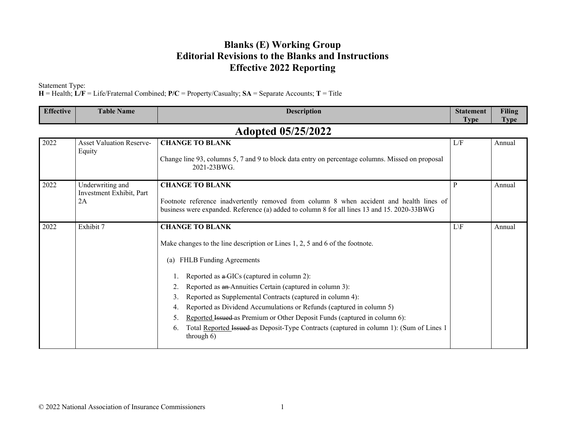#### **Blanks (E) Working Group Editorial Revisions to the Blanks and Instructions Effective 2022 Reporting**

Statement Type:

**H** = Health; **L/F** = Life/Fraternal Combined; **P/C** = Property/Casualty; **SA** = Separate Accounts; **T** = Title

| <b>Effective</b>          | <b>Table Name</b>                                  | <b>Description</b>                                                                                                                                                                                                                                                                                                                                                                                                                                                                                                                                                                                              | <b>Statement</b><br><b>Type</b> | <b>Filing</b><br><b>Type</b> |  |  |  |
|---------------------------|----------------------------------------------------|-----------------------------------------------------------------------------------------------------------------------------------------------------------------------------------------------------------------------------------------------------------------------------------------------------------------------------------------------------------------------------------------------------------------------------------------------------------------------------------------------------------------------------------------------------------------------------------------------------------------|---------------------------------|------------------------------|--|--|--|
| <b>Adopted 05/25/2022</b> |                                                    |                                                                                                                                                                                                                                                                                                                                                                                                                                                                                                                                                                                                                 |                                 |                              |  |  |  |
| 2022                      | <b>Asset Valuation Reserve-</b><br>Equity          | <b>CHANGE TO BLANK</b><br>Change line 93, columns 5, 7 and 9 to block data entry on percentage columns. Missed on proposal<br>2021-23BWG.                                                                                                                                                                                                                                                                                                                                                                                                                                                                       | L/F                             | Annual                       |  |  |  |
| 2022                      | Underwriting and<br>Investment Exhibit, Part<br>2A | <b>CHANGE TO BLANK</b><br>Footnote reference inadvertently removed from column 8 when accident and health lines of<br>business were expanded. Reference (a) added to column 8 for all lines 13 and 15. 2020-33BWG                                                                                                                                                                                                                                                                                                                                                                                               | P                               | Annual                       |  |  |  |
| 2022                      | Exhibit 7                                          | <b>CHANGE TO BLANK</b><br>Make changes to the line description or Lines 1, 2, 5 and 6 of the footnote.<br>FHLB Funding Agreements<br>(a)<br>Reported as a GICs (captured in column 2):<br>Reported as an Annuities Certain (captured in column 3):<br>2.<br>Reported as Supplemental Contracts (captured in column 4):<br>3.<br>Reported as Dividend Accumulations or Refunds (captured in column 5)<br>4.<br>Reported Issued as Premium or Other Deposit Funds (captured in column 6):<br>5.<br>Total Reported Issued as Deposit-Type Contracts (captured in column 1): (Sum of Lines 1<br>6.<br>through $6$ ) | $L \backslash F$                | Annual                       |  |  |  |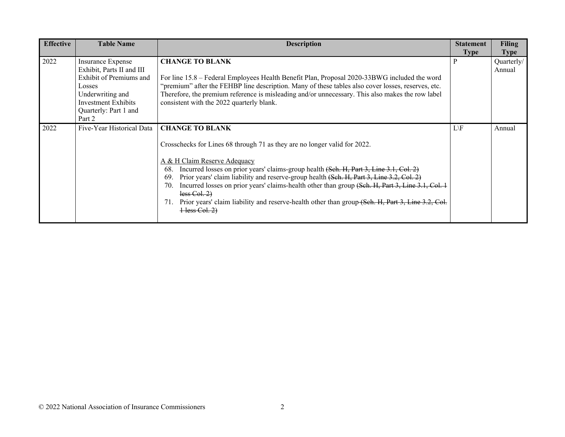| <b>Effective</b> | <b>Table Name</b>                                                                                                                                                        | <b>Description</b>                                                                                                                                                                                                                                                                                                                                                                                                                                                                                                                                                                            | <b>Statement</b><br><b>Type</b> | Filing<br><b>Type</b> |
|------------------|--------------------------------------------------------------------------------------------------------------------------------------------------------------------------|-----------------------------------------------------------------------------------------------------------------------------------------------------------------------------------------------------------------------------------------------------------------------------------------------------------------------------------------------------------------------------------------------------------------------------------------------------------------------------------------------------------------------------------------------------------------------------------------------|---------------------------------|-----------------------|
| 2022             | Insurance Expense<br>Exhibit, Parts II and III<br>Exhibit of Premiums and<br>Losses<br>Underwriting and<br><b>Investment Exhibits</b><br>Quarterly: Part 1 and<br>Part 2 | <b>CHANGE TO BLANK</b><br>For line 15.8 – Federal Employees Health Benefit Plan, Proposal 2020-33BWG included the word<br>"premium" after the FEHBP line description. Many of these tables also cover losses, reserves, etc.<br>Therefore, the premium reference is misleading and/or unnecessary. This also makes the row label<br>consistent with the 2022 quarterly blank.                                                                                                                                                                                                                 | P                               | Quarterly/<br>Annual  |
| 2022             | Five-Year Historical Data                                                                                                                                                | <b>CHANGE TO BLANK</b><br>Crosschecks for Lines 68 through 71 as they are no longer valid for 2022.<br>A & H Claim Reserve Adequacy<br>Incurred losses on prior years' claims-group health (Seh. H, Part 3, Line 3.1, Col. 2)<br>68.<br>Prior years' claim liability and reserve-group health (Seh. H, Part 3, Line 3.2, Col. 2)<br>69.<br>Incurred losses on prior years' claims-health other than group (Seh. H, Part 3, Line 3.1, Col. 1)<br>70.<br>less Col. 2)<br>Prior years' claim liability and reserve-health other than group (Seh. H, Part 3, Line 3.2, Col.<br>71.<br>Hess Col. 2 | $L \backslash F$                | Annual                |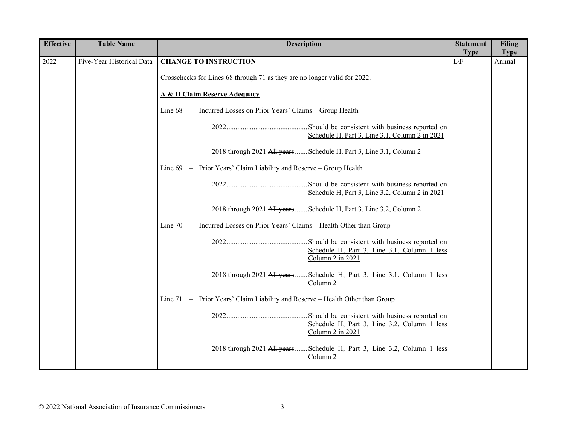| <b>Effective</b> | <b>Table Name</b>         | <b>Description</b>                                                                              | <b>Statement</b><br><b>Type</b> | <b>Filing</b>         |
|------------------|---------------------------|-------------------------------------------------------------------------------------------------|---------------------------------|-----------------------|
| 2022             | Five-Year Historical Data | <b>CHANGE TO INSTRUCTION</b>                                                                    | $L \backslash F$                | <b>Type</b><br>Annual |
|                  |                           | Crosschecks for Lines 68 through 71 as they are no longer valid for 2022.                       |                                 |                       |
|                  |                           | <b>A &amp; H Claim Reserve Adequacy</b>                                                         |                                 |                       |
|                  |                           | Line 68 – Incurred Losses on Prior Years' Claims – Group Health                                 |                                 |                       |
|                  |                           | Schedule H, Part 3, Line 3.1, Column 2 in 2021                                                  |                                 |                       |
|                  |                           | 2018 through 2021 All years  Schedule H, Part 3, Line 3.1, Column 2                             |                                 |                       |
|                  |                           | Line 69 - Prior Years' Claim Liability and Reserve - Group Health                               |                                 |                       |
|                  |                           | Schedule H, Part 3, Line 3.2, Column 2 in 2021                                                  |                                 |                       |
|                  |                           | 2018 through 2021 All years  Schedule H, Part 3, Line 3.2, Column 2                             |                                 |                       |
|                  |                           | Line 70 - Incurred Losses on Prior Years' Claims - Health Other than Group                      |                                 |                       |
|                  |                           | Schedule H, Part 3, Line 3.1, Column 1 less<br>Column 2 in 2021                                 |                                 |                       |
|                  |                           | 2018 through 2021 All years  Schedule H, Part 3, Line 3.1, Column 1 less<br>Column 2            |                                 |                       |
|                  |                           | Line 71 - Prior Years' Claim Liability and Reserve - Health Other than Group                    |                                 |                       |
|                  |                           | Schedule H, Part 3, Line 3.2, Column 1 less<br>Column 2 in 2021                                 |                                 |                       |
|                  |                           | 2018 through 2021 All years  Schedule H, Part 3, Line 3.2, Column 1 less<br>Column <sub>2</sub> |                                 |                       |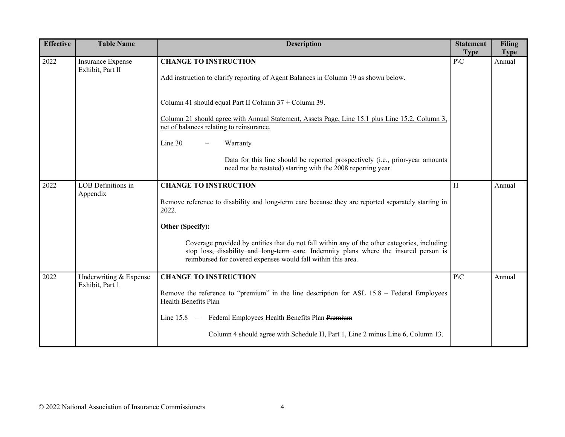| <b>Effective</b> | <b>Table Name</b>                            | <b>Description</b>                                                                                                                                                                                                                                                 | <b>Statement</b><br><b>Type</b> | <b>Filing</b><br><b>Type</b> |
|------------------|----------------------------------------------|--------------------------------------------------------------------------------------------------------------------------------------------------------------------------------------------------------------------------------------------------------------------|---------------------------------|------------------------------|
| 2022             | <b>Insurance Expense</b><br>Exhibit, Part II | <b>CHANGE TO INSTRUCTION</b><br>Add instruction to clarify reporting of Agent Balances in Column 19 as shown below.                                                                                                                                                | $P\setminus C$                  | Annual                       |
|                  |                                              | Column 41 should equal Part II Column 37 + Column 39.                                                                                                                                                                                                              |                                 |                              |
|                  |                                              | Column 21 should agree with Annual Statement, Assets Page, Line 15.1 plus Line 15.2, Column 3,<br>net of balances relating to reinsurance.                                                                                                                         |                                 |                              |
|                  |                                              | Line 30<br>Warranty<br>$\overline{\phantom{m}}$                                                                                                                                                                                                                    |                                 |                              |
|                  |                                              | Data for this line should be reported prospectively (i.e., prior-year amounts<br>need not be restated) starting with the 2008 reporting year.                                                                                                                      |                                 |                              |
| 2022             | LOB Definitions in<br>Appendix               | <b>CHANGE TO INSTRUCTION</b>                                                                                                                                                                                                                                       | $\rm H$                         | Annual                       |
|                  |                                              | Remove reference to disability and long-term care because they are reported separately starting in<br>2022.                                                                                                                                                        |                                 |                              |
|                  |                                              | Other (Specify):                                                                                                                                                                                                                                                   |                                 |                              |
|                  |                                              | Coverage provided by entities that do not fall within any of the other categories, including<br>stop loss <del>, disability and long-term care</del> . Indemnity plans where the insured person is<br>reimbursed for covered expenses would fall within this area. |                                 |                              |
| 2022             | Underwriting & Expense<br>Exhibit, Part 1    | <b>CHANGE TO INSTRUCTION</b>                                                                                                                                                                                                                                       | $P\setminus C$                  | Annual                       |
|                  |                                              | Remove the reference to "premium" in the line description for ASL 15.8 – Federal Employees<br>Health Benefits Plan                                                                                                                                                 |                                 |                              |
|                  |                                              | Federal Employees Health Benefits Plan Premium<br>Line $15.8 -$                                                                                                                                                                                                    |                                 |                              |
|                  |                                              | Column 4 should agree with Schedule H, Part 1, Line 2 minus Line 6, Column 13.                                                                                                                                                                                     |                                 |                              |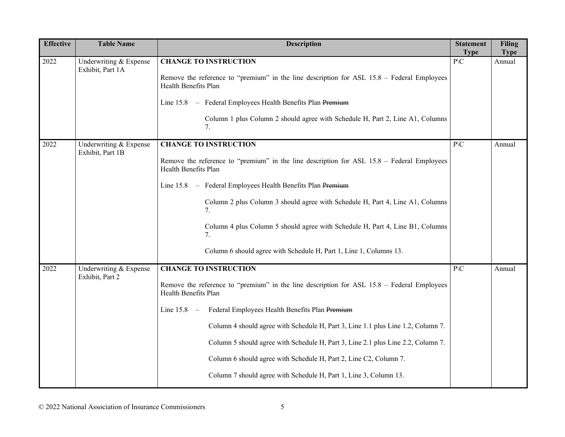| <b>Effective</b> | <b>Table Name</b>                          | <b>Description</b>                                                                                                                                                                                                                                                                                                                                                                                                                                                                                                                 | <b>Statement</b><br><b>Type</b>  | Filing<br><b>Type</b> |
|------------------|--------------------------------------------|------------------------------------------------------------------------------------------------------------------------------------------------------------------------------------------------------------------------------------------------------------------------------------------------------------------------------------------------------------------------------------------------------------------------------------------------------------------------------------------------------------------------------------|----------------------------------|-----------------------|
| 2022             | Underwriting & Expense<br>Exhibit, Part 1A | <b>CHANGE TO INSTRUCTION</b><br>Remove the reference to "premium" in the line description for ASL 15.8 – Federal Employees<br>Health Benefits Plan<br>Line 15.8 - Federal Employees Health Benefits Plan Premium<br>Column 1 plus Column 2 should agree with Schedule H, Part 2, Line A1, Columns<br>7.                                                                                                                                                                                                                            | $\mathbf{P}\backslash\mathbf{C}$ | Annual                |
| 2022             | Underwriting & Expense<br>Exhibit, Part 1B | <b>CHANGE TO INSTRUCTION</b><br>Remove the reference to "premium" in the line description for ASL 15.8 - Federal Employees<br>Health Benefits Plan<br>Line 15.8 - Federal Employees Health Benefits Plan Premium<br>Column 2 plus Column 3 should agree with Schedule H, Part 4, Line A1, Columns<br>7.<br>Column 4 plus Column 5 should agree with Schedule H, Part 4, Line B1, Columns<br>7.<br>Column 6 should agree with Schedule H, Part 1, Line 1, Columns 13.                                                               | $P\setminus C$                   | Annual                |
| 2022             | Underwriting & Expense<br>Exhibit, Part 2  | <b>CHANGE TO INSTRUCTION</b><br>Remove the reference to "premium" in the line description for ASL 15.8 – Federal Employees<br>Health Benefits Plan<br>Line 15.8 - Federal Employees Health Benefits Plan Premium<br>Column 4 should agree with Schedule H, Part 3, Line 1.1 plus Line 1.2, Column 7.<br>Column 5 should agree with Schedule H, Part 3, Line 2.1 plus Line 2.2, Column 7.<br>Column 6 should agree with Schedule H, Part 2, Line C2, Column 7.<br>Column 7 should agree with Schedule H, Part 1, Line 3, Column 13. | $\mathbf{P}\backslash\mathbf{C}$ | Annual                |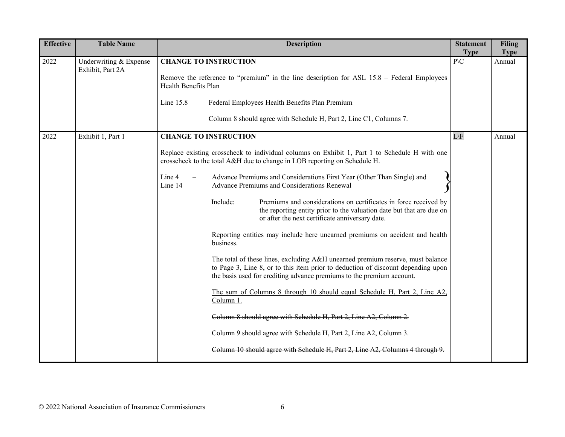| <b>Effective</b> | <b>Table Name</b>                          | <b>Description</b>                                                                                                                                                                                                                                                                                                                                                                                                                                                                                                                                                                                                                                                                                                                                                                                                                                                                                                                                                                                                                                                                                                                                                                                                                               | <b>Statement</b><br><b>Type</b> | <b>Filing</b><br><b>Type</b> |
|------------------|--------------------------------------------|--------------------------------------------------------------------------------------------------------------------------------------------------------------------------------------------------------------------------------------------------------------------------------------------------------------------------------------------------------------------------------------------------------------------------------------------------------------------------------------------------------------------------------------------------------------------------------------------------------------------------------------------------------------------------------------------------------------------------------------------------------------------------------------------------------------------------------------------------------------------------------------------------------------------------------------------------------------------------------------------------------------------------------------------------------------------------------------------------------------------------------------------------------------------------------------------------------------------------------------------------|---------------------------------|------------------------------|
| 2022             | Underwriting & Expense<br>Exhibit, Part 2A | <b>CHANGE TO INSTRUCTION</b><br>Remove the reference to "premium" in the line description for ASL 15.8 – Federal Employees<br>Health Benefits Plan<br>Line 15.8 - Federal Employees Health Benefits Plan Premium<br>Column 8 should agree with Schedule H, Part 2, Line C1, Columns 7.                                                                                                                                                                                                                                                                                                                                                                                                                                                                                                                                                                                                                                                                                                                                                                                                                                                                                                                                                           | $P\backslash C$                 | Annual                       |
| 2022             | Exhibit 1, Part 1                          | <b>CHANGE TO INSTRUCTION</b><br>Replace existing crosscheck to individual columns on Exhibit 1, Part 1 to Schedule H with one<br>crosscheck to the total A&H due to change in LOB reporting on Schedule H.<br>Advance Premiums and Considerations First Year (Other Than Single) and<br>Line 4<br>Line 14<br>Advance Premiums and Considerations Renewal<br>$\equiv$<br>Include:<br>Premiums and considerations on certificates in force received by<br>the reporting entity prior to the valuation date but that are due on<br>or after the next certificate anniversary date.<br>Reporting entities may include here unearned premiums on accident and health<br>business.<br>The total of these lines, excluding A&H unearned premium reserve, must balance<br>to Page 3, Line 8, or to this item prior to deduction of discount depending upon<br>the basis used for crediting advance premiums to the premium account.<br>The sum of Columns 8 through 10 should equal Schedule H, Part 2, Line A2,<br>Column 1.<br>Column 8 should agree with Schedule H, Part 2, Line A2, Column 2.<br>Column 9 should agree with Schedule H, Part 2, Line A2, Column 3.<br>Column 10 should agree with Schedule H, Part 2, Line A2, Columns 4 through 9. | $L \backslash F$                | Annual                       |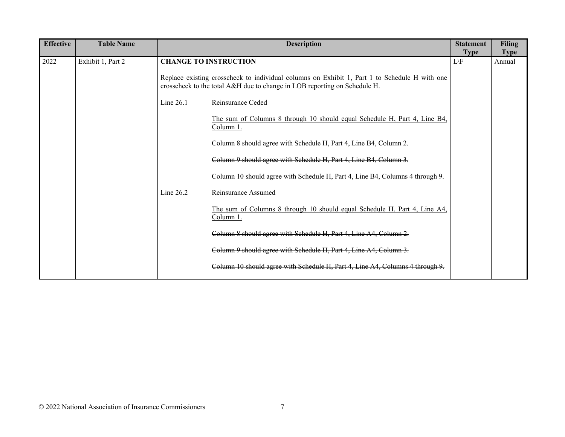| <b>Effective</b> | <b>Table Name</b> |               | <b>Description</b>                                                                                                                                                         | <b>Statement</b><br><b>Type</b> | <b>Filing</b><br><b>Type</b> |
|------------------|-------------------|---------------|----------------------------------------------------------------------------------------------------------------------------------------------------------------------------|---------------------------------|------------------------------|
| 2022             | Exhibit 1, Part 2 |               | <b>CHANGE TO INSTRUCTION</b>                                                                                                                                               | $L \backslash F$                | Annual                       |
|                  |                   |               | Replace existing crosscheck to individual columns on Exhibit 1, Part 1 to Schedule H with one<br>crosscheck to the total A&H due to change in LOB reporting on Schedule H. |                                 |                              |
|                  |                   | Line $26.1 -$ | Reinsurance Ceded                                                                                                                                                          |                                 |                              |
|                  |                   |               | The sum of Columns 8 through 10 should equal Schedule H, Part 4, Line B4,<br>Column 1.                                                                                     |                                 |                              |
|                  |                   |               | Column 8 should agree with Schedule H, Part 4, Line B4, Column 2.                                                                                                          |                                 |                              |
|                  |                   |               | Column 9 should agree with Schedule H, Part 4, Line B4, Column 3.                                                                                                          |                                 |                              |
|                  |                   |               | Column 10 should agree with Schedule H, Part 4, Line B4, Columns 4 through 9.                                                                                              |                                 |                              |
|                  |                   | Line $26.2 -$ | Reinsurance Assumed                                                                                                                                                        |                                 |                              |
|                  |                   |               | The sum of Columns 8 through 10 should equal Schedule H, Part 4, Line A4,<br>Column 1.                                                                                     |                                 |                              |
|                  |                   |               | Column 8 should agree with Schedule H, Part 4, Line A4, Column 2.                                                                                                          |                                 |                              |
|                  |                   |               | Column 9 should agree with Schedule H, Part 4, Line A4, Column 3.                                                                                                          |                                 |                              |
|                  |                   |               | Column 10 should agree with Schedule H, Part 4, Line A4, Columns 4 through 9.                                                                                              |                                 |                              |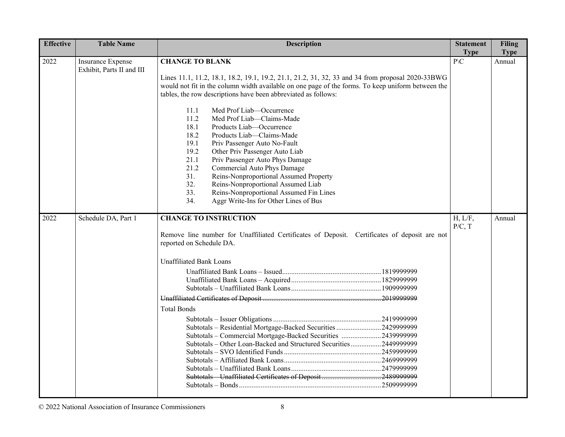| <b>Effective</b> | <b>Table Name</b>         | <b>Description</b>                                                                                                                                                                                                                                                      | <b>Statement</b><br><b>Type</b> | <b>Filing</b>         |
|------------------|---------------------------|-------------------------------------------------------------------------------------------------------------------------------------------------------------------------------------------------------------------------------------------------------------------------|---------------------------------|-----------------------|
| 2022             | <b>Insurance Expense</b>  | <b>CHANGE TO BLANK</b>                                                                                                                                                                                                                                                  | $\overline{P}$                  | <b>Type</b><br>Annual |
|                  | Exhibit, Parts II and III | Lines 11.1, 11.2, 18.1, 18.2, 19.1, 19.2, 21.1, 21.2, 31, 32, 33 and 34 from proposal 2020-33BWG<br>would not fit in the column width available on one page of the forms. To keep uniform between the<br>tables, the row descriptions have been abbreviated as follows: |                                 |                       |
|                  |                           | Med Prof Liab-Occurrence<br>11.1<br>11.2<br>Med Prof Liab-Claims-Made<br>18.1<br>Products Liab-Occurrence                                                                                                                                                               |                                 |                       |
|                  |                           | 18.2<br>Products Liab-Claims-Made<br>19.1<br>Priv Passenger Auto No-Fault<br>19.2<br>Other Priv Passenger Auto Liab<br>21.1<br>Priv Passenger Auto Phys Damage                                                                                                          |                                 |                       |
|                  |                           | 21.2<br>Commercial Auto Phys Damage<br>31.<br>Reins-Nonproportional Assumed Property<br>32.<br>Reins-Nonproportional Assumed Liab<br>33.<br>Reins-Nonproportional Assumed Fin Lines                                                                                     |                                 |                       |
|                  |                           | 34.<br>Aggr Write-Ins for Other Lines of Bus                                                                                                                                                                                                                            |                                 |                       |
| 2022             | Schedule DA, Part 1       | <b>CHANGE TO INSTRUCTION</b><br>Remove line number for Unaffiliated Certificates of Deposit. Certificates of deposit are not<br>reported on Schedule DA.                                                                                                                | H, L/F,<br>P/C, T               | Annual                |
|                  |                           | <b>Unaffiliated Bank Loans</b>                                                                                                                                                                                                                                          |                                 |                       |
|                  |                           |                                                                                                                                                                                                                                                                         |                                 |                       |
|                  |                           |                                                                                                                                                                                                                                                                         |                                 |                       |
|                  |                           | <b>Total Bonds</b>                                                                                                                                                                                                                                                      |                                 |                       |
|                  |                           | Subtotals - Residential Mortgage-Backed Securities 2429999999<br>Subtotals - Commercial Mortgage-Backed Securities 2439999999<br>Subtotals - Other Loan-Backed and Structured Securities2449999999                                                                      |                                 |                       |
|                  |                           | Subtotals Unaffiliated Certificates of Deposit 24899999999                                                                                                                                                                                                              |                                 |                       |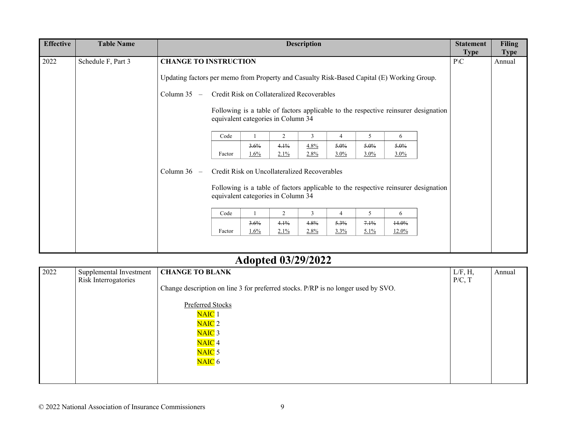| <b>Effective</b> | <b>Table Name</b>  |                                                                                            |                                                                                    |      |      | <b>Description</b> |         |      |         |                                                                                    | <b>Statement</b><br><b>Type</b> | <b>Filing</b><br><b>Type</b> |
|------------------|--------------------|--------------------------------------------------------------------------------------------|------------------------------------------------------------------------------------|------|------|--------------------|---------|------|---------|------------------------------------------------------------------------------------|---------------------------------|------------------------------|
| 2022             | Schedule F, Part 3 | <b>CHANGE TO INSTRUCTION</b>                                                               |                                                                                    |      |      |                    |         |      |         |                                                                                    | $P\setminus C$                  | Annual                       |
|                  |                    | Updating factors per memo from Property and Casualty Risk-Based Capital (E) Working Group. |                                                                                    |      |      |                    |         |      |         |                                                                                    |                                 |                              |
|                  |                    | Column $35 -$                                                                              | Credit Risk on Collateralized Recoverables                                         |      |      |                    |         |      |         |                                                                                    |                                 |                              |
|                  |                    |                                                                                            | equivalent categories in Column 34                                                 |      |      |                    |         |      |         | Following is a table of factors applicable to the respective reinsurer designation |                                 |                              |
|                  |                    |                                                                                            | Code                                                                               |      | 2    | 3                  | 4       | 5    | 6       |                                                                                    |                                 |                              |
|                  |                    |                                                                                            |                                                                                    | 3.6% | 4.1% | 4.8%               | $5.0\%$ | 5.0% | 5.0%    |                                                                                    |                                 |                              |
|                  |                    |                                                                                            | Factor                                                                             | 1.6% | 2.1% | 2.8%               | $3.0\%$ | 3.0% | $3.0\%$ |                                                                                    |                                 |                              |
|                  |                    | Column $36 -$                                                                              | Credit Risk on Uncollateralized Recoverables<br>equivalent categories in Column 34 |      |      |                    |         |      |         | Following is a table of factors applicable to the respective reinsurer designation |                                 |                              |
|                  |                    |                                                                                            | Code                                                                               |      | 2    | 3                  | 4       | 5    | 6       |                                                                                    |                                 |                              |
|                  |                    |                                                                                            |                                                                                    | 3.6% | 4.1% | 4.8%               | 5.3%    | 7.1% | 14.0%   |                                                                                    |                                 |                              |
|                  |                    |                                                                                            | Factor                                                                             | 1.6% | 2.1% | 2.8%               | 3.3%    | 5.1% | 12.0%   |                                                                                    |                                 |                              |
|                  |                    |                                                                                            |                                                                                    |      |      |                    |         |      |         |                                                                                    |                                 |                              |

### **Adopted 03/29/2022**

| 2022 | Supplemental Investment | <b>CHANGE TO BLANK</b>                                                            | L/F, H, | Annual |
|------|-------------------------|-----------------------------------------------------------------------------------|---------|--------|
|      | Risk Interrogatories    |                                                                                   | P/C, T  |        |
|      |                         | Change description on line 3 for preferred stocks. P/RP is no longer used by SVO. |         |        |
|      |                         |                                                                                   |         |        |
|      |                         | <b>Preferred Stocks</b>                                                           |         |        |
|      |                         | NAIC <sub>1</sub>                                                                 |         |        |
|      |                         | NAIC <sub>2</sub>                                                                 |         |        |
|      |                         | NAIC <sub>3</sub>                                                                 |         |        |
|      |                         | NAIC <sub>4</sub>                                                                 |         |        |
|      |                         | NAIC <sub>5</sub>                                                                 |         |        |
|      |                         | NAIC 6                                                                            |         |        |
|      |                         |                                                                                   |         |        |
|      |                         |                                                                                   |         |        |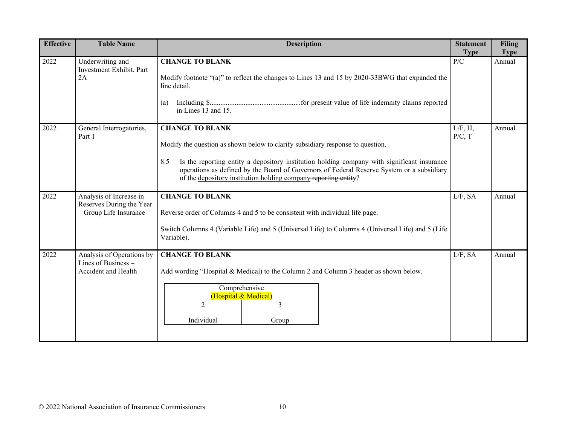| <b>Effective</b> | <b>Table Name</b>                                                             | <b>Description</b>                                                                                                                                                                                                                                                                                                                                                             | <b>Statement</b><br><b>Type</b> | <b>Filing</b><br><b>Type</b> |
|------------------|-------------------------------------------------------------------------------|--------------------------------------------------------------------------------------------------------------------------------------------------------------------------------------------------------------------------------------------------------------------------------------------------------------------------------------------------------------------------------|---------------------------------|------------------------------|
| 2022             | Underwriting and<br>Investment Exhibit, Part<br>2A                            | <b>CHANGE TO BLANK</b><br>Modify footnote "(a)" to reflect the changes to Lines 13 and 15 by 2020-33BWG that expanded the<br>line detail.<br>(a)<br>in Lines 13 and 15.                                                                                                                                                                                                        | P/C                             | Annual                       |
| 2022             | General Interrogatories,<br>Part 1                                            | <b>CHANGE TO BLANK</b><br>Modify the question as shown below to clarify subsidiary response to question.<br>Is the reporting entity a depository institution holding company with significant insurance<br>8.5<br>operations as defined by the Board of Governors of Federal Reserve System or a subsidiary<br>of the depository institution holding company-reporting entity? | L/F, H,<br>P/C, T               | Annual                       |
| 2022             | Analysis of Increase in<br>Reserves During the Year<br>- Group Life Insurance | <b>CHANGE TO BLANK</b><br>Reverse order of Columns 4 and 5 to be consistent with individual life page.<br>Switch Columns 4 (Variable Life) and 5 (Universal Life) to Columns 4 (Universal Life) and 5 (Life<br>Variable).                                                                                                                                                      | $L/F$ , SA                      | Annual                       |
| 2022             | Analysis of Operations by<br>Lines of Business -<br>Accident and Health       | <b>CHANGE TO BLANK</b><br>Add wording "Hospital & Medical) to the Column 2 and Column 3 header as shown below.<br>Comprehensive<br>(Hospital & Medical)<br>$\overline{2}$<br>3<br>Individual<br>Group                                                                                                                                                                          | $L/F$ , SA                      | Annual                       |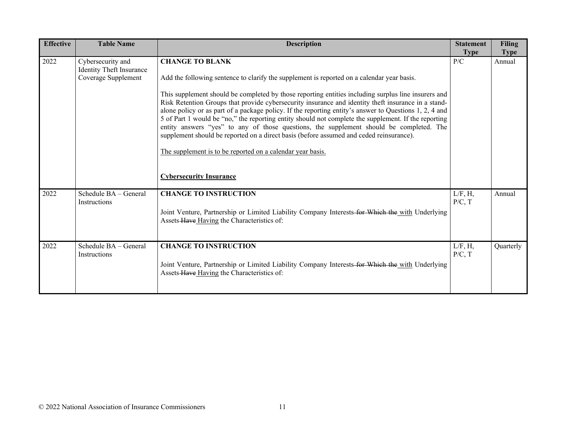| <b>Effective</b> | <b>Table Name</b>                                                    | <b>Description</b>                                                                                                                                                                                                                                                                                                                                                                                                                                                                                                                                                                                                                                                                                                                                                                                                                         | <b>Statement</b><br><b>Type</b> | <b>Filing</b><br><b>Type</b> |
|------------------|----------------------------------------------------------------------|--------------------------------------------------------------------------------------------------------------------------------------------------------------------------------------------------------------------------------------------------------------------------------------------------------------------------------------------------------------------------------------------------------------------------------------------------------------------------------------------------------------------------------------------------------------------------------------------------------------------------------------------------------------------------------------------------------------------------------------------------------------------------------------------------------------------------------------------|---------------------------------|------------------------------|
| 2022             | Cybersecurity and<br>Identity Theft Insurance<br>Coverage Supplement | <b>CHANGE TO BLANK</b><br>Add the following sentence to clarify the supplement is reported on a calendar year basis.<br>This supplement should be completed by those reporting entities including surplus line insurers and<br>Risk Retention Groups that provide cybersecurity insurance and identity theft insurance in a stand-<br>alone policy or as part of a package policy. If the reporting entity's answer to Questions 1, 2, 4 and<br>5 of Part 1 would be "no," the reporting entity should not complete the supplement. If the reporting<br>entity answers "yes" to any of those questions, the supplement should be completed. The<br>supplement should be reported on a direct basis (before assumed and ceded reinsurance).<br>The supplement is to be reported on a calendar year basis.<br><b>Cybersecurity Insurance</b> | P/C                             | Annual                       |
| 2022             | Schedule BA - General<br>Instructions                                | <b>CHANGE TO INSTRUCTION</b><br>Joint Venture, Partnership or Limited Liability Company Interests-for Which the with Underlying<br>Assets-Have Having the Characteristics of:                                                                                                                                                                                                                                                                                                                                                                                                                                                                                                                                                                                                                                                              | L/F, H,<br>P/C, T               | Annual                       |
| 2022             | Schedule BA - General<br><b>Instructions</b>                         | <b>CHANGE TO INSTRUCTION</b><br>Joint Venture, Partnership or Limited Liability Company Interests-for Which the with Underlying<br>Assets Have Having the Characteristics of:                                                                                                                                                                                                                                                                                                                                                                                                                                                                                                                                                                                                                                                              | L/F, H,<br>P/C, T               | Quarterly                    |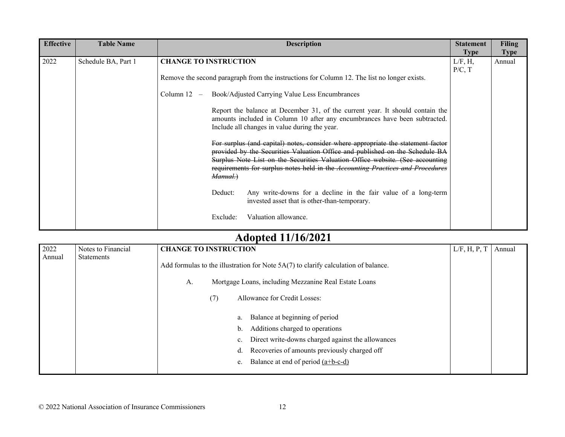| 2022<br><b>CHANGE TO INSTRUCTION</b><br>L/F, H,<br>Schedule BA, Part 1<br>P/C, T<br>Remove the second paragraph from the instructions for Column 12. The list no longer exists.<br>Book/Adjusted Carrying Value Less Encumbrances<br>Column $12 -$<br>Report the balance at December 31, of the current year. It should contain the                                                                                                                                                                                                                               | <b>Effective</b> | <b>Table Name</b> | <b>Description</b>                                                         | <b>Statement</b> | <b>Filing</b>         |
|-------------------------------------------------------------------------------------------------------------------------------------------------------------------------------------------------------------------------------------------------------------------------------------------------------------------------------------------------------------------------------------------------------------------------------------------------------------------------------------------------------------------------------------------------------------------|------------------|-------------------|----------------------------------------------------------------------------|------------------|-----------------------|
| Include all changes in value during the year.<br>For surplus (and capital) notes, consider where appropriate the statement factor<br>provided by the Securities Valuation Office and published on the Schedule BA<br>Surplus Note List on the Securities Valuation Office website. (See accounting<br>requirements for surplus notes held in the Accounting Practices and Procedures<br>Manual.)<br>Any write-downs for a decline in the fair value of a long-term<br>Deduct:<br>invested asset that is other-than-temporary.<br>Valuation allowance.<br>Exclude: |                  |                   | amounts included in Column 10 after any encumbrances have been subtracted. | <b>Type</b>      | <b>Type</b><br>Annual |

## **Adopted 11/16/2021**

| 2022   | Notes to Financial | <b>CHANGE TO INSTRUCTION</b>                                                                                                                        | L/F, H, P, T | Annual |
|--------|--------------------|-----------------------------------------------------------------------------------------------------------------------------------------------------|--------------|--------|
| Annual | <b>Statements</b>  | Add formulas to the illustration for Note $5A(7)$ to clarify calculation of balance.<br>Mortgage Loans, including Mezzanine Real Estate Loans<br>A. |              |        |
|        |                    | Allowance for Credit Losses:<br>(7)                                                                                                                 |              |        |
|        |                    |                                                                                                                                                     |              |        |
|        |                    | Balance at beginning of period<br>a.                                                                                                                |              |        |
|        |                    | Additions charged to operations<br>b.                                                                                                               |              |        |
|        |                    | Direct write-downs charged against the allowances<br>$\mathbf{c}$ .                                                                                 |              |        |
|        |                    | Recoveries of amounts previously charged off<br>d.                                                                                                  |              |        |
|        |                    | Balance at end of period (a+b-c-d)<br>e.                                                                                                            |              |        |
|        |                    |                                                                                                                                                     |              |        |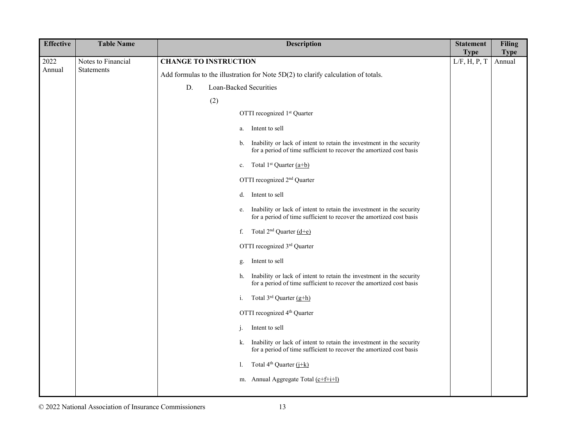| <b>Effective</b> | <b>Table Name</b>  |    | <b>Description</b>                                                                                                                                | <b>Statement</b><br><b>Type</b> | <b>Filing</b><br><b>Type</b> |
|------------------|--------------------|----|---------------------------------------------------------------------------------------------------------------------------------------------------|---------------------------------|------------------------------|
| 2022             | Notes to Financial |    | <b>CHANGE TO INSTRUCTION</b>                                                                                                                      | L/F, H, P, T                    | Annual                       |
| Annual           | Statements         |    | Add formulas to the illustration for Note 5D(2) to clarify calculation of totals.                                                                 |                                 |                              |
|                  |                    | D. | Loan-Backed Securities                                                                                                                            |                                 |                              |
|                  |                    |    | (2)                                                                                                                                               |                                 |                              |
|                  |                    |    | OTTI recognized 1st Quarter                                                                                                                       |                                 |                              |
|                  |                    |    | Intent to sell<br>a.                                                                                                                              |                                 |                              |
|                  |                    |    | Inability or lack of intent to retain the investment in the security<br>b.<br>for a period of time sufficient to recover the amortized cost basis |                                 |                              |
|                  |                    |    | Total 1 <sup>st</sup> Quarter $(a+b)$<br>c.                                                                                                       |                                 |                              |
|                  |                    |    | OTTI recognized 2 <sup>nd</sup> Quarter                                                                                                           |                                 |                              |
|                  |                    |    | Intent to sell<br>d.                                                                                                                              |                                 |                              |
|                  |                    |    | Inability or lack of intent to retain the investment in the security<br>e.<br>for a period of time sufficient to recover the amortized cost basis |                                 |                              |
|                  |                    |    | Total $2^{nd}$ Quarter $(d+e)$<br>f.                                                                                                              |                                 |                              |
|                  |                    |    | OTTI recognized 3rd Quarter                                                                                                                       |                                 |                              |
|                  |                    |    | Intent to sell<br>g.                                                                                                                              |                                 |                              |
|                  |                    |    | Inability or lack of intent to retain the investment in the security<br>h.<br>for a period of time sufficient to recover the amortized cost basis |                                 |                              |
|                  |                    |    | Total 3rd Quarter (g+h)<br>i.                                                                                                                     |                                 |                              |
|                  |                    |    | OTTI recognized 4 <sup>th</sup> Quarter                                                                                                           |                                 |                              |
|                  |                    |    | Intent to sell<br>j.                                                                                                                              |                                 |                              |
|                  |                    |    | Inability or lack of intent to retain the investment in the security<br>k.<br>for a period of time sufficient to recover the amortized cost basis |                                 |                              |
|                  |                    |    | Total 4 <sup>th</sup> Quarter (j+k)<br>1.                                                                                                         |                                 |                              |
|                  |                    |    | m. Annual Aggregate Total (c+f+i+l)                                                                                                               |                                 |                              |
|                  |                    |    |                                                                                                                                                   |                                 |                              |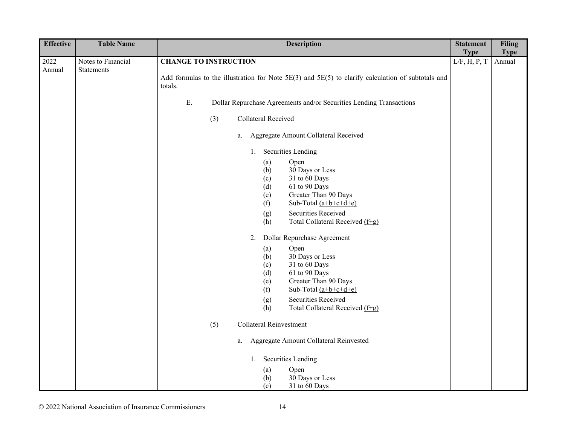| <b>Effective</b> | <b>Table Name</b>  | <b>Description</b>                                                                                                                                                                                                                                                                                                                                                                                                                                                        | <b>Statement</b> | <b>Filing</b> |
|------------------|--------------------|---------------------------------------------------------------------------------------------------------------------------------------------------------------------------------------------------------------------------------------------------------------------------------------------------------------------------------------------------------------------------------------------------------------------------------------------------------------------------|------------------|---------------|
|                  |                    |                                                                                                                                                                                                                                                                                                                                                                                                                                                                           | <b>Type</b>      | <b>Type</b>   |
| 2022             | Notes to Financial | <b>CHANGE TO INSTRUCTION</b>                                                                                                                                                                                                                                                                                                                                                                                                                                              | L/F, H, P, T     | Annual        |
| Annual           | Statements         | Add formulas to the illustration for Note 5E(3) and 5E(5) to clarify calculation of subtotals and<br>totals.                                                                                                                                                                                                                                                                                                                                                              |                  |               |
|                  |                    | E.<br>Dollar Repurchase Agreements and/or Securities Lending Transactions                                                                                                                                                                                                                                                                                                                                                                                                 |                  |               |
|                  |                    | Collateral Received<br>(3)                                                                                                                                                                                                                                                                                                                                                                                                                                                |                  |               |
|                  |                    | Aggregate Amount Collateral Received<br>a.                                                                                                                                                                                                                                                                                                                                                                                                                                |                  |               |
|                  |                    | <b>Securities Lending</b><br>1.                                                                                                                                                                                                                                                                                                                                                                                                                                           |                  |               |
|                  |                    | Open<br>(a)<br>30 Days or Less<br>(b)<br>31 to 60 Days<br>(c)<br>61 to 90 Days<br>(d)<br>Greater Than 90 Days<br>(e)<br>Sub-Total $(a+b+c+d+e)$<br>(f)<br><b>Securities Received</b><br>(g)<br>Total Collateral Received (f+g)<br>(h)<br>2.<br>Dollar Repurchase Agreement<br>Open<br>(a)<br>30 Days or Less<br>(b)<br>31 to 60 Days<br>(c)<br>61 to 90 Days<br>(d)<br>Greater Than 90 Days<br>(e)<br>Sub-Total $(a+b+c+d+e)$<br>(f)<br><b>Securities Received</b><br>(g) |                  |               |
|                  |                    | Total Collateral Received (f+g)<br>(h)                                                                                                                                                                                                                                                                                                                                                                                                                                    |                  |               |
|                  |                    | Collateral Reinvestment<br>(5)                                                                                                                                                                                                                                                                                                                                                                                                                                            |                  |               |
|                  |                    | Aggregate Amount Collateral Reinvested<br>a.                                                                                                                                                                                                                                                                                                                                                                                                                              |                  |               |
|                  |                    | Securities Lending<br>1.                                                                                                                                                                                                                                                                                                                                                                                                                                                  |                  |               |
|                  |                    | (a)<br>Open<br>30 Days or Less<br>(b)<br>31 to 60 Days<br>(c)                                                                                                                                                                                                                                                                                                                                                                                                             |                  |               |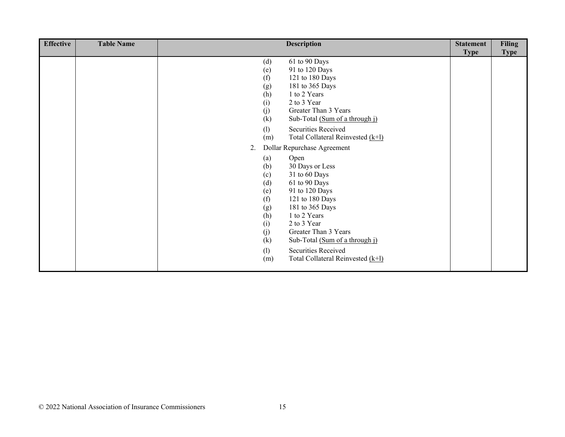| <b>Effective</b> | <b>Table Name</b> | <b>Description</b>                                                                                                                                                                                                                                                                                                    | <b>Statement</b> | <b>Filing</b> |
|------------------|-------------------|-----------------------------------------------------------------------------------------------------------------------------------------------------------------------------------------------------------------------------------------------------------------------------------------------------------------------|------------------|---------------|
|                  |                   |                                                                                                                                                                                                                                                                                                                       | <b>Type</b>      | <b>Type</b>   |
|                  |                   | 61 to 90 Days<br>(d)<br>91 to 120 Days<br>(e)<br>(f)<br>121 to 180 Days<br>(g)<br>181 to 365 Days<br>1 to 2 Years<br>(h)<br>2 to 3 Year<br>(i)<br>(j)<br>Greater Than 3 Years<br>(k)<br>Sub-Total (Sum of a through j)                                                                                                |                  |               |
|                  |                   | Securities Received<br>(1)<br>Total Collateral Reinvested (k+l)<br>(m)                                                                                                                                                                                                                                                |                  |               |
|                  |                   | Dollar Repurchase Agreement<br>2.                                                                                                                                                                                                                                                                                     |                  |               |
|                  |                   | Open<br>(a)<br>30 Days or Less<br>(b)<br>31 to 60 Days<br>(c)<br>(d)<br>61 to 90 Days<br>91 to 120 Days<br>(e)<br>(f)<br>121 to 180 Days<br>181 to 365 Days<br>(g)<br>1 to 2 Years<br>(h)<br>(i)<br>2 to 3 Year<br>Greater Than 3 Years<br>(j)<br>(k)<br>Sub-Total (Sum of a through j)<br>Securities Received<br>(1) |                  |               |
|                  |                   | Total Collateral Reinvested (k+1)<br>(m)                                                                                                                                                                                                                                                                              |                  |               |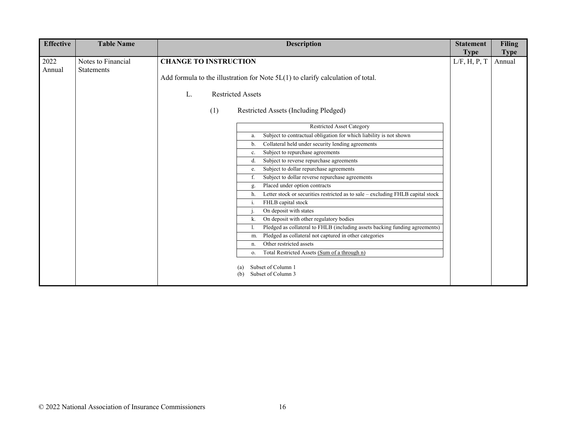| <b>Effective</b> | <b>Table Name</b>  | <b>Description</b>                                                                      | <b>Statement</b>            | <b>Filing</b>         |
|------------------|--------------------|-----------------------------------------------------------------------------------------|-----------------------------|-----------------------|
| 2022             | Notes to Financial | <b>CHANGE TO INSTRUCTION</b>                                                            | <b>Type</b><br>L/F, H, P, T | <b>Type</b><br>Annual |
| Annual           | <b>Statements</b>  | Add formula to the illustration for Note $5L(1)$ to clarify calculation of total.       |                             |                       |
|                  |                    | <b>Restricted Assets</b><br>L.                                                          |                             |                       |
|                  |                    | Restricted Assets (Including Pledged)<br>(1)                                            |                             |                       |
|                  |                    | Restricted Asset Category                                                               |                             |                       |
|                  |                    | Subject to contractual obligation for which liability is not shown<br>a.                |                             |                       |
|                  |                    | Collateral held under security lending agreements<br>b.                                 |                             |                       |
|                  |                    | Subject to repurchase agreements<br>c.                                                  |                             |                       |
|                  |                    | Subject to reverse repurchase agreements<br>d.                                          |                             |                       |
|                  |                    | Subject to dollar repurchase agreements<br>e.                                           |                             |                       |
|                  |                    | Subject to dollar reverse repurchase agreements                                         |                             |                       |
|                  |                    | Placed under option contracts<br>g.                                                     |                             |                       |
|                  |                    | Letter stock or securities restricted as to sale – excluding FHLB capital stock<br>h.   |                             |                       |
|                  |                    | FHLB capital stock<br>i.                                                                |                             |                       |
|                  |                    | On deposit with states                                                                  |                             |                       |
|                  |                    | On deposit with other regulatory bodies<br>k.                                           |                             |                       |
|                  |                    | Pledged as collateral to FHLB (including assets backing funding agreements)             |                             |                       |
|                  |                    | Pledged as collateral not captured in other categories<br>m.<br>Other restricted assets |                             |                       |
|                  |                    | n.                                                                                      |                             |                       |
|                  |                    | Total Restricted Assets (Sum of a through n)<br>0.                                      |                             |                       |
|                  |                    | Subset of Column 1<br>Subset of Column 3<br>(b)                                         |                             |                       |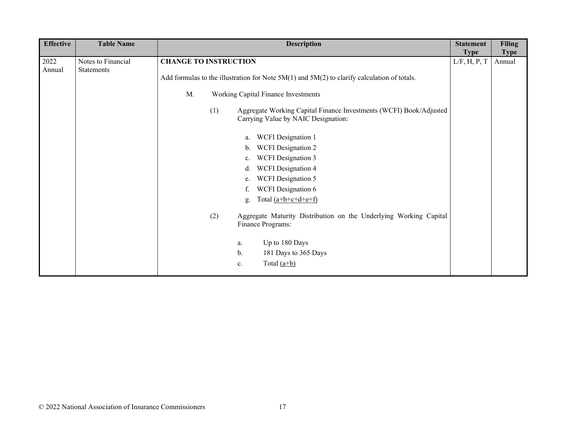| <b>Effective</b> | <b>Table Name</b>  | <b>Description</b>                                                                              | <b>Statement</b> | <b>Filing</b> |
|------------------|--------------------|-------------------------------------------------------------------------------------------------|------------------|---------------|
|                  |                    |                                                                                                 | <b>Type</b>      | <b>Type</b>   |
| 2022             | Notes to Financial | <b>CHANGE TO INSTRUCTION</b>                                                                    | L/F, H, P, T     | Annual        |
| Annual           | Statements         |                                                                                                 |                  |               |
|                  |                    | Add formulas to the illustration for Note $5M(1)$ and $5M(2)$ to clarify calculation of totals. |                  |               |
|                  |                    | Working Capital Finance Investments<br>M.                                                       |                  |               |
|                  |                    | Aggregate Working Capital Finance Investments (WCFI) Book/Adjusted<br>(1)                       |                  |               |
|                  |                    | Carrying Value by NAIC Designation:                                                             |                  |               |
|                  |                    | <b>WCFI</b> Designation 1<br>a.                                                                 |                  |               |
|                  |                    | <b>WCFI</b> Designation 2<br>b.                                                                 |                  |               |
|                  |                    | <b>WCFI</b> Designation 3<br>c.                                                                 |                  |               |
|                  |                    | <b>WCFI</b> Designation 4<br>d.                                                                 |                  |               |
|                  |                    | <b>WCFI</b> Designation 5<br>e.                                                                 |                  |               |
|                  |                    | WCFI Designation 6                                                                              |                  |               |
|                  |                    | Total $(a+b+c+d+e+f)$<br>g.                                                                     |                  |               |
|                  |                    | Aggregate Maturity Distribution on the Underlying Working Capital<br>(2)                        |                  |               |
|                  |                    | Finance Programs:                                                                               |                  |               |
|                  |                    |                                                                                                 |                  |               |
|                  |                    | Up to 180 Days<br>a.                                                                            |                  |               |
|                  |                    | 181 Days to 365 Days<br>b.                                                                      |                  |               |
|                  |                    | Total $(a+b)$<br>c.                                                                             |                  |               |
|                  |                    |                                                                                                 |                  |               |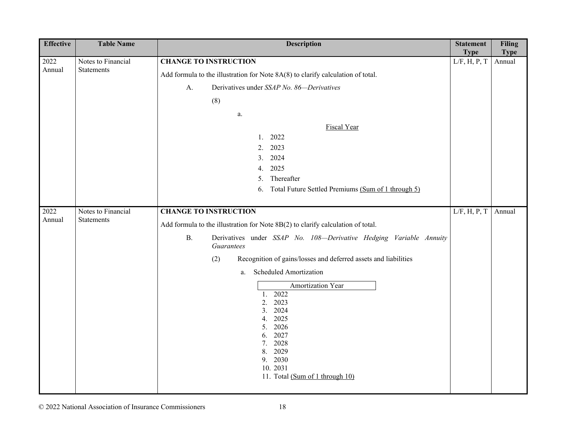| <b>Effective</b> | <b>Table Name</b>  | <b>Description</b>                                                                                                                                                                            | <b>Statement</b><br><b>Type</b> | <b>Filing</b><br><b>Type</b> |
|------------------|--------------------|-----------------------------------------------------------------------------------------------------------------------------------------------------------------------------------------------|---------------------------------|------------------------------|
| 2022             | Notes to Financial | <b>CHANGE TO INSTRUCTION</b>                                                                                                                                                                  | L/F, H, P, T                    | Annual                       |
| Annual           | Statements         | Add formula to the illustration for Note 8A(8) to clarify calculation of total.                                                                                                               |                                 |                              |
|                  |                    | Derivatives under SSAP No. 86-Derivatives<br>A.                                                                                                                                               |                                 |                              |
|                  |                    | (8)                                                                                                                                                                                           |                                 |                              |
|                  |                    | a.                                                                                                                                                                                            |                                 |                              |
|                  |                    | Fiscal Year                                                                                                                                                                                   |                                 |                              |
|                  |                    | 2022<br>1.                                                                                                                                                                                    |                                 |                              |
|                  |                    | 2023<br>2.                                                                                                                                                                                    |                                 |                              |
|                  |                    | 2024<br>3.                                                                                                                                                                                    |                                 |                              |
|                  |                    | 2025<br>4.                                                                                                                                                                                    |                                 |                              |
|                  |                    | Thereafter<br>5.                                                                                                                                                                              |                                 |                              |
|                  |                    | Total Future Settled Premiums (Sum of 1 through 5)<br>6.                                                                                                                                      |                                 |                              |
| 2022             | Notes to Financial | <b>CHANGE TO INSTRUCTION</b>                                                                                                                                                                  | L/F, H, P, T                    | Annual                       |
| Annual           | <b>Statements</b>  | Add formula to the illustration for Note 8B(2) to clarify calculation of total.                                                                                                               |                                 |                              |
|                  |                    | <b>B.</b><br>Derivatives under SSAP No. 108-Derivative Hedging Variable Annuity<br>Guarantees                                                                                                 |                                 |                              |
|                  |                    | Recognition of gains/losses and deferred assets and liabilities<br>(2)                                                                                                                        |                                 |                              |
|                  |                    | Scheduled Amortization<br>a.                                                                                                                                                                  |                                 |                              |
|                  |                    | Amortization Year<br>2022<br>1.<br>2023<br>2.<br>2024<br>3.<br>2025<br>4.<br>2026<br>5.<br>2027<br>6.<br>2028<br>7.<br>2029<br>8.<br>2030<br>9.<br>10.2031<br>11. Total (Sum of 1 through 10) |                                 |                              |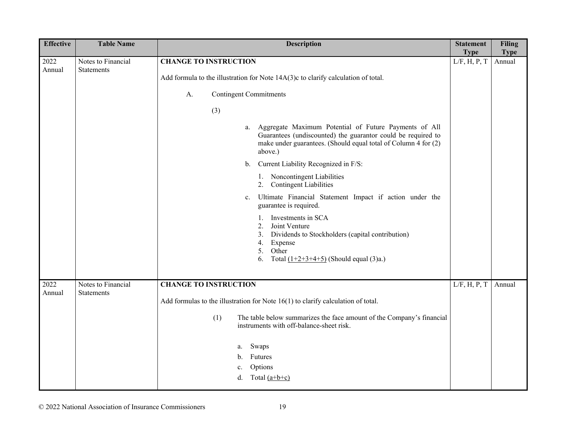| <b>Effective</b> | <b>Table Name</b>                       | <b>Description</b>                                                                                                                                                                                       | <b>Statement</b><br><b>Type</b> | <b>Filing</b><br><b>Type</b> |
|------------------|-----------------------------------------|----------------------------------------------------------------------------------------------------------------------------------------------------------------------------------------------------------|---------------------------------|------------------------------|
| 2022             | Notes to Financial<br><b>Statements</b> | <b>CHANGE TO INSTRUCTION</b>                                                                                                                                                                             | L/F, H, P, T                    | Annual                       |
| Annual           |                                         | Add formula to the illustration for Note 14A(3)c to clarify calculation of total.                                                                                                                        |                                 |                              |
|                  |                                         | <b>Contingent Commitments</b><br>A.                                                                                                                                                                      |                                 |                              |
|                  |                                         | (3)                                                                                                                                                                                                      |                                 |                              |
|                  |                                         | Aggregate Maximum Potential of Future Payments of All<br>a.<br>Guarantees (undiscounted) the guarantor could be required to<br>make under guarantees. (Should equal total of Column 4 for (2)<br>above.) |                                 |                              |
|                  |                                         | Current Liability Recognized in F/S:<br>$\mathbf{b}$ .                                                                                                                                                   |                                 |                              |
|                  |                                         | 1. Noncontingent Liabilities<br><b>Contingent Liabilities</b><br>2.                                                                                                                                      |                                 |                              |
|                  |                                         | Ultimate Financial Statement Impact if action under the<br>c.<br>guarantee is required.                                                                                                                  |                                 |                              |
|                  |                                         | Investments in SCA<br>1.<br>Joint Venture<br>2.<br>Dividends to Stockholders (capital contribution)<br>3.<br>4.<br>Expense<br>5.<br>Other<br>6.<br>Total $(1+2+3+4+5)$ (Should equal (3)a.)              |                                 |                              |
| 2022             | Notes to Financial                      | <b>CHANGE TO INSTRUCTION</b>                                                                                                                                                                             | L/F, H, P, T                    | Annual                       |
| Annual           | <b>Statements</b>                       | Add formulas to the illustration for Note $16(1)$ to clarify calculation of total.                                                                                                                       |                                 |                              |
|                  |                                         | (1)<br>The table below summarizes the face amount of the Company's financial<br>instruments with off-balance-sheet risk.                                                                                 |                                 |                              |
|                  |                                         | Swaps<br>a.<br>Futures<br>b.<br>Options<br>c.<br>Total $(a+b+c)$<br>d.                                                                                                                                   |                                 |                              |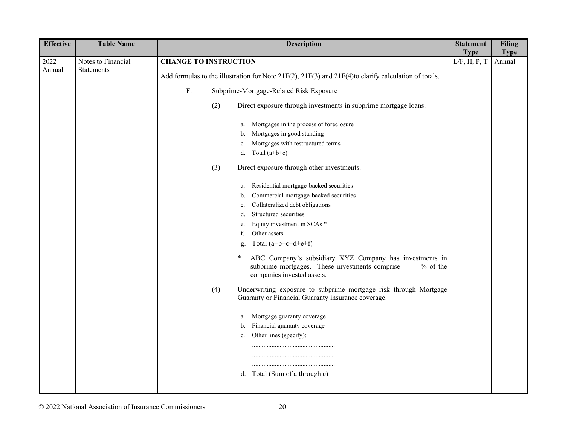| <b>Effective</b> | <b>Table Name</b>  | <b>Description</b>                                                                                                                                      | <b>Statement</b> | <b>Filing</b>         |
|------------------|--------------------|---------------------------------------------------------------------------------------------------------------------------------------------------------|------------------|-----------------------|
|                  |                    |                                                                                                                                                         | <b>Type</b>      |                       |
| 2022<br>Annual   | Notes to Financial | <b>CHANGE TO INSTRUCTION</b>                                                                                                                            | L/F, H, P, T     | <b>Type</b><br>Annual |
|                  | <b>Statements</b>  | Add formulas to the illustration for Note $21F(2)$ , $21F(3)$ and $21F(4)$ to clarify calculation of totals.                                            |                  |                       |
|                  |                    | ${\bf F}.$<br>Subprime-Mortgage-Related Risk Exposure                                                                                                   |                  |                       |
|                  |                    | (2)<br>Direct exposure through investments in subprime mortgage loans.                                                                                  |                  |                       |
|                  |                    | Mortgages in the process of foreclosure<br>a.                                                                                                           |                  |                       |
|                  |                    | Mortgages in good standing<br>b.                                                                                                                        |                  |                       |
|                  |                    | Mortgages with restructured terms<br>c.                                                                                                                 |                  |                       |
|                  |                    | Total $(a+b+c)$<br>d.                                                                                                                                   |                  |                       |
|                  |                    | (3)<br>Direct exposure through other investments.                                                                                                       |                  |                       |
|                  |                    | Residential mortgage-backed securities<br>a.                                                                                                            |                  |                       |
|                  |                    | Commercial mortgage-backed securities<br>b.                                                                                                             |                  |                       |
|                  |                    | Collateralized debt obligations<br>c.                                                                                                                   |                  |                       |
|                  |                    | Structured securities<br>d.                                                                                                                             |                  |                       |
|                  |                    | Equity investment in SCAs *<br>e.                                                                                                                       |                  |                       |
|                  |                    | Other assets<br>f.                                                                                                                                      |                  |                       |
|                  |                    | Total $(a+b+c+d+e+f)$<br>g.                                                                                                                             |                  |                       |
|                  |                    | ABC Company's subsidiary XYZ Company has investments in<br>*<br>subprime mortgages. These investments comprise 50% of the<br>companies invested assets. |                  |                       |
|                  |                    | Underwriting exposure to subprime mortgage risk through Mortgage<br>(4)<br>Guaranty or Financial Guaranty insurance coverage.                           |                  |                       |
|                  |                    | Mortgage guaranty coverage<br>a.                                                                                                                        |                  |                       |
|                  |                    | b. Financial guaranty coverage                                                                                                                          |                  |                       |
|                  |                    | Other lines (specify):<br>c.                                                                                                                            |                  |                       |
|                  |                    |                                                                                                                                                         |                  |                       |
|                  |                    |                                                                                                                                                         |                  |                       |
|                  |                    | Total (Sum of a through c)<br>d.                                                                                                                        |                  |                       |
|                  |                    |                                                                                                                                                         |                  |                       |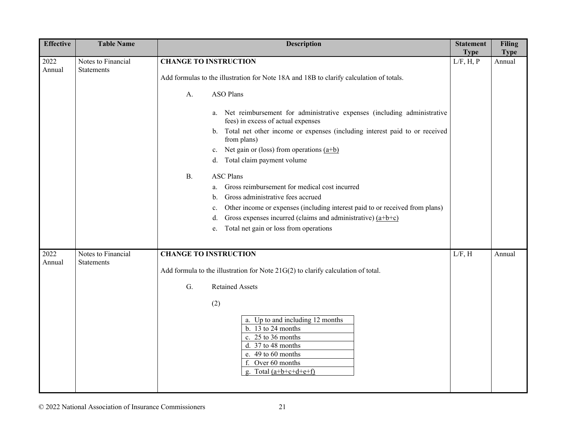| <b>Effective</b> | <b>Table Name</b>                | <b>Description</b>                                                                                                                                                                                                                                                                                                                                                                                                                                                                                                                                                                                                                                                                          | <b>Statement</b><br><b>Type</b> | <b>Filing</b><br><b>Type</b> |
|------------------|----------------------------------|---------------------------------------------------------------------------------------------------------------------------------------------------------------------------------------------------------------------------------------------------------------------------------------------------------------------------------------------------------------------------------------------------------------------------------------------------------------------------------------------------------------------------------------------------------------------------------------------------------------------------------------------------------------------------------------------|---------------------------------|------------------------------|
| 2022<br>Annual   | Notes to Financial<br>Statements | <b>CHANGE TO INSTRUCTION</b><br>Add formulas to the illustration for Note 18A and 18B to clarify calculation of totals.                                                                                                                                                                                                                                                                                                                                                                                                                                                                                                                                                                     | L/F, H, P                       | Annual                       |
|                  |                                  | <b>ASO Plans</b><br>A.<br>a. Net reimbursement for administrative expenses (including administrative<br>fees) in excess of actual expenses<br>Total net other income or expenses (including interest paid to or received<br>b.<br>from plans)<br>Net gain or (loss) from operations $(a+b)$<br>$c_{\cdot}$<br>Total claim payment volume<br>d.<br><b>ASC Plans</b><br><b>B.</b><br>a. Gross reimbursement for medical cost incurred<br>Gross administrative fees accrued<br>b.<br>Other income or expenses (including interest paid to or received from plans)<br>c.<br>Gross expenses incurred (claims and administrative) $(a+b+c)$<br>d.<br>Total net gain or loss from operations<br>e. |                                 |                              |
| 2022<br>Annual   | Notes to Financial<br>Statements | <b>CHANGE TO INSTRUCTION</b><br>Add formula to the illustration for Note $21G(2)$ to clarify calculation of total.<br>G.<br><b>Retained Assets</b><br>(2)<br>a. Up to and including 12 months<br>b. 13 to 24 months<br>c. 25 to 36 months<br>d. 37 to 48 months<br>e. 49 to 60 months<br>f. Over 60 months<br>Total $(a+b+c+d+e+f)$                                                                                                                                                                                                                                                                                                                                                         | L/F, H                          | Annual                       |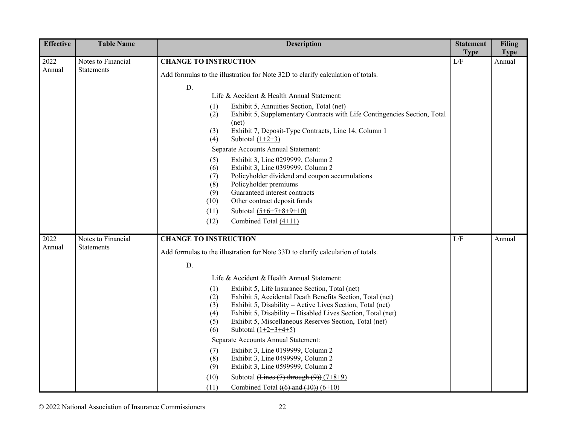| <b>Effective</b> | <b>Table Name</b>                       | <b>Description</b>                                                                                                                                                                                                                                                                                                                                                                                                                                                                                                                                                                                                                                                                                              | <b>Statement</b>   | <b>Filing</b>         |
|------------------|-----------------------------------------|-----------------------------------------------------------------------------------------------------------------------------------------------------------------------------------------------------------------------------------------------------------------------------------------------------------------------------------------------------------------------------------------------------------------------------------------------------------------------------------------------------------------------------------------------------------------------------------------------------------------------------------------------------------------------------------------------------------------|--------------------|-----------------------|
| 2022             | Notes to Financial                      | <b>CHANGE TO INSTRUCTION</b>                                                                                                                                                                                                                                                                                                                                                                                                                                                                                                                                                                                                                                                                                    | <b>Type</b><br>L/F | <b>Type</b><br>Annual |
| Annual           | <b>Statements</b>                       | Add formulas to the illustration for Note 32D to clarify calculation of totals.                                                                                                                                                                                                                                                                                                                                                                                                                                                                                                                                                                                                                                 |                    |                       |
|                  |                                         | D.<br>Life & Accident & Health Annual Statement:<br>Exhibit 5, Annuities Section, Total (net)<br>(1)<br>Exhibit 5, Supplementary Contracts with Life Contingencies Section, Total<br>(2)<br>(net)<br>Exhibit 7, Deposit-Type Contracts, Line 14, Column 1<br>(3)<br>Subtotal $(1+2+3)$<br>(4)<br>Separate Accounts Annual Statement:<br>Exhibit 3, Line 0299999, Column 2<br>(5)<br>(6)<br>Exhibit 3, Line 0399999, Column 2<br>Policyholder dividend and coupon accumulations<br>(7)<br>(8)<br>Policyholder premiums<br>Guaranteed interest contracts<br>(9)<br>Other contract deposit funds<br>(10)<br>(11)<br>Subtotal $(5+6+7+8+9+10)$<br>(12)<br>Combined Total (4+11)                                     |                    |                       |
| 2022<br>Annual   | Notes to Financial<br><b>Statements</b> | <b>CHANGE TO INSTRUCTION</b><br>Add formulas to the illustration for Note 33D to clarify calculation of totals.<br>D.                                                                                                                                                                                                                                                                                                                                                                                                                                                                                                                                                                                           | L/F                | Annual                |
|                  |                                         | Life & Accident & Health Annual Statement:<br>Exhibit 5, Life Insurance Section, Total (net)<br>(1)<br>Exhibit 5, Accidental Death Benefits Section, Total (net)<br>(2)<br>Exhibit 5, Disability – Active Lives Section, Total (net)<br>(3)<br>Exhibit 5, Disability – Disabled Lives Section, Total (net)<br>(4)<br>(5)<br>Exhibit 5, Miscellaneous Reserves Section, Total (net)<br>Subtotal $(1+2+3+4+5)$<br>(6)<br>Separate Accounts Annual Statement:<br>Exhibit 3, Line 0199999, Column 2<br>(7)<br>Exhibit 3, Line 0499999, Column 2<br>(8)<br>(9)<br>Exhibit 3, Line 0599999, Column 2<br>Subtotal (Lines $(7)$ through $(9)$ ) $(7+8+9)$<br>(10)<br>Combined Total $((6)$ and $(10))$ $(6+10)$<br>(11) |                    |                       |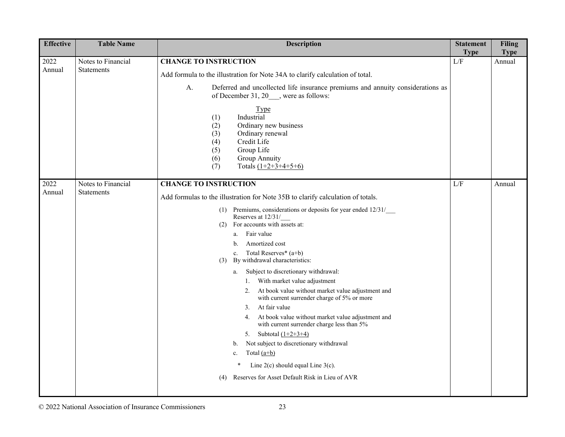| <b>Effective</b> | <b>Table Name</b>                       | <b>Description</b>                                                                                                                                                                                                                                                                                                                                                                                                                                                                                                                                                                                                                                                                                                                                                                                                                                                                                         | <b>Statement</b><br><b>Type</b> | <b>Filing</b><br><b>Type</b> |
|------------------|-----------------------------------------|------------------------------------------------------------------------------------------------------------------------------------------------------------------------------------------------------------------------------------------------------------------------------------------------------------------------------------------------------------------------------------------------------------------------------------------------------------------------------------------------------------------------------------------------------------------------------------------------------------------------------------------------------------------------------------------------------------------------------------------------------------------------------------------------------------------------------------------------------------------------------------------------------------|---------------------------------|------------------------------|
| 2022<br>Annual   | Notes to Financial<br>Statements        | <b>CHANGE TO INSTRUCTION</b><br>Add formula to the illustration for Note 34A to clarify calculation of total.<br>Deferred and uncollected life insurance premiums and annuity considerations as<br>A.<br>of December 31, 20 ___, were as follows:<br><b>Type</b><br>Industrial<br>(1)<br>Ordinary new business<br>(2)<br>Ordinary renewal<br>(3)<br>(4)<br>Credit Life<br>Group Life<br>(5)<br>Group Annuity<br>(6)<br>Totals $(1+2+3+4+5+6)$<br>(7)                                                                                                                                                                                                                                                                                                                                                                                                                                                       | L/F                             | Annual                       |
| 2022<br>Annual   | Notes to Financial<br><b>Statements</b> | <b>CHANGE TO INSTRUCTION</b><br>Add formulas to the illustration for Note 35B to clarify calculation of totals.<br>(1) Premiums, considerations or deposits for year ended 12/31/<br>Reserves at 12/31/<br>For accounts with assets at:<br>(2)<br>Fair value<br>a.<br>Amortized cost<br>b.<br>c. Total Reserves* $(a+b)$<br>By withdrawal characteristics:<br>(3)<br>Subject to discretionary withdrawal:<br>a.<br>1. With market value adjustment<br>At book value without market value adjustment and<br>2.<br>with current surrender charge of 5% or more<br>At fair value<br>3.<br>At book value without market value adjustment and<br>4.<br>with current surrender charge less than 5%<br>Subtotal $(1+2+3+4)$<br>5.<br>Not subject to discretionary withdrawal<br>b.<br>Total $(a+b)$<br>c.<br>Line $2(c)$ should equal Line $3(c)$ .<br>*<br>Reserves for Asset Default Risk in Lieu of AVR<br>(4) | L/F                             | Annual                       |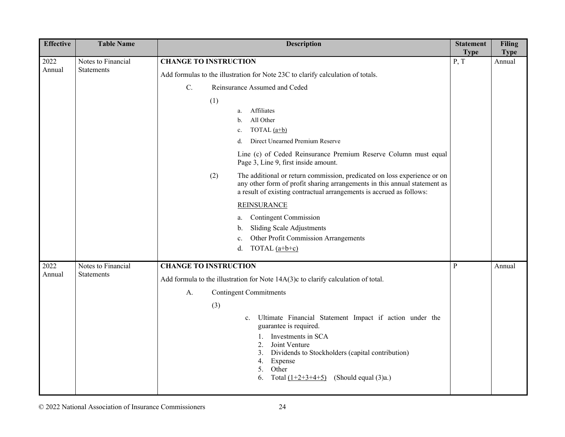| <b>Effective</b> | <b>Table Name</b>                       | <b>Description</b>                                                                                                                                                                                                                                                                                                                                                                                                                                                                                                           | <b>Statement</b>    | <b>Filing</b>         |
|------------------|-----------------------------------------|------------------------------------------------------------------------------------------------------------------------------------------------------------------------------------------------------------------------------------------------------------------------------------------------------------------------------------------------------------------------------------------------------------------------------------------------------------------------------------------------------------------------------|---------------------|-----------------------|
| 2022<br>Annual   | Notes to Financial<br><b>Statements</b> | <b>CHANGE TO INSTRUCTION</b><br>Add formulas to the illustration for Note 23C to clarify calculation of totals.<br>C.<br>Reinsurance Assumed and Ceded<br>(1)<br>Affiliates<br>a.<br>All Other<br>b.<br>TOTAL $(a+b)$<br>c.<br>Direct Unearned Premium Reserve<br>d.                                                                                                                                                                                                                                                         | <b>Type</b><br>P, T | <b>Type</b><br>Annual |
|                  |                                         | Line (c) of Ceded Reinsurance Premium Reserve Column must equal<br>Page 3, Line 9, first inside amount.<br>The additional or return commission, predicated on loss experience or on<br>(2)<br>any other form of profit sharing arrangements in this annual statement as<br>a result of existing contractual arrangements is accrued as follows:<br><b>REINSURANCE</b><br><b>Contingent Commission</b><br>a.<br><b>Sliding Scale Adjustments</b><br>b.<br>Other Profit Commission Arrangements<br>c.<br>TOTAL $(a+b+c)$<br>d. |                     |                       |
| 2022<br>Annual   | Notes to Financial<br><b>Statements</b> | <b>CHANGE TO INSTRUCTION</b><br>Add formula to the illustration for Note 14A(3)c to clarify calculation of total.<br><b>Contingent Commitments</b><br>А.<br>(3)<br>Ultimate Financial Statement Impact if action under the<br>c.<br>guarantee is required.<br>Investments in SCA<br>2.<br>Joint Venture<br>Dividends to Stockholders (capital contribution)<br>3.<br>4.<br>Expense<br>5.<br>Other<br>6.<br>Total $(1+2+3+4+5)$<br>(Should equal $(3)a$ .)                                                                    | $\mathbf{P}$        | Annual                |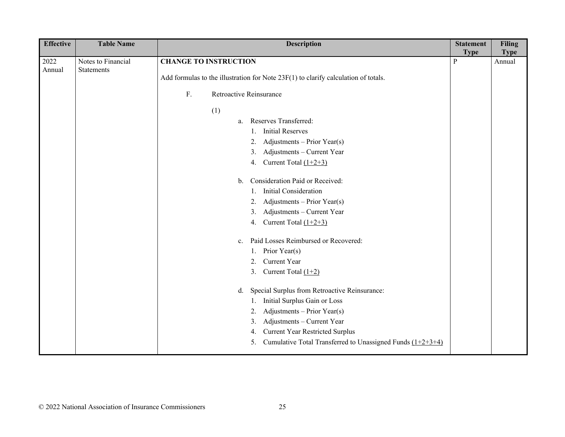| <b>Effective</b> | <b>Table Name</b>  | <b>Description</b>                                                                   | <b>Statement</b><br><b>Type</b> | <b>Filing</b><br><b>Type</b> |
|------------------|--------------------|--------------------------------------------------------------------------------------|---------------------------------|------------------------------|
| 2022             | Notes to Financial | <b>CHANGE TO INSTRUCTION</b>                                                         | $\mathbf{P}$                    | Annual                       |
| Annual           | Statements         | Add formulas to the illustration for Note $23F(1)$ to clarify calculation of totals. |                                 |                              |
|                  |                    |                                                                                      |                                 |                              |
|                  |                    | ${\bf F}.$<br>Retroactive Reinsurance                                                |                                 |                              |
|                  |                    | (1)                                                                                  |                                 |                              |
|                  |                    | Reserves Transferred:<br>a.                                                          |                                 |                              |
|                  |                    | <b>Initial Reserves</b><br>1.                                                        |                                 |                              |
|                  |                    | Adjustments - Prior Year(s)<br>2.                                                    |                                 |                              |
|                  |                    | Adjustments - Current Year<br>3.                                                     |                                 |                              |
|                  |                    | Current Total $(1+2+3)$<br>4.                                                        |                                 |                              |
|                  |                    | Consideration Paid or Received:<br>$\mathbf{b}$ .                                    |                                 |                              |
|                  |                    | <b>Initial Consideration</b>                                                         |                                 |                              |
|                  |                    | Adjustments - Prior Year(s)<br>2.                                                    |                                 |                              |
|                  |                    | Adjustments - Current Year<br>3.                                                     |                                 |                              |
|                  |                    | Current Total $(1+2+3)$<br>4.                                                        |                                 |                              |
|                  |                    | Paid Losses Reimbursed or Recovered:<br>$c_{\cdot}$                                  |                                 |                              |
|                  |                    | Prior Year(s)<br>1.                                                                  |                                 |                              |
|                  |                    | Current Year<br>2.                                                                   |                                 |                              |
|                  |                    | Current Total $(1+2)$<br>3.                                                          |                                 |                              |
|                  |                    | Special Surplus from Retroactive Reinsurance:<br>d.                                  |                                 |                              |
|                  |                    | Initial Surplus Gain or Loss<br>1.                                                   |                                 |                              |
|                  |                    | Adjustments - Prior Year(s)<br>2.                                                    |                                 |                              |
|                  |                    | Adjustments - Current Year<br>3.                                                     |                                 |                              |
|                  |                    | <b>Current Year Restricted Surplus</b><br>4.                                         |                                 |                              |
|                  |                    | Cumulative Total Transferred to Unassigned Funds $(1+2+3+4)$<br>5.                   |                                 |                              |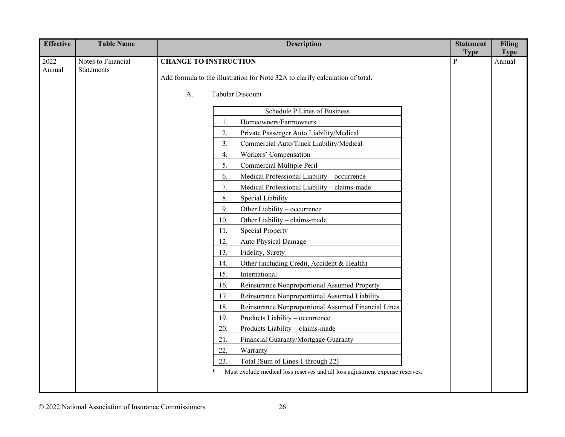| <b>Effective</b> | <b>Table Name</b>                       | <b>Description</b>                                                                     | <b>Statement</b> | <b>Filing</b> |
|------------------|-----------------------------------------|----------------------------------------------------------------------------------------|------------------|---------------|
|                  |                                         |                                                                                        | <b>Type</b>      | <b>Type</b>   |
| 2022<br>Annual   | Notes to Financial<br><b>Statements</b> | <b>CHANGE TO INSTRUCTION</b>                                                           | P                | Annual        |
|                  |                                         | Add formula to the illustration for Note 32A to clarify calculation of total.          |                  |               |
|                  |                                         | <b>Tabular Discount</b><br>A.                                                          |                  |               |
|                  |                                         |                                                                                        |                  |               |
|                  |                                         | Schedule P Lines of Business                                                           |                  |               |
|                  |                                         | Homeowners/Farmowners<br>1.                                                            |                  |               |
|                  |                                         | 2.<br>Private Passenger Auto Liability/Medical                                         |                  |               |
|                  |                                         | Commercial Auto/Truck Liability/Medical<br>3.                                          |                  |               |
|                  |                                         | 4.<br>Workers' Compensation                                                            |                  |               |
|                  |                                         | 5.<br>Commercial Multiple Peril                                                        |                  |               |
|                  |                                         | 6.<br>Medical Professional Liability - occurrence                                      |                  |               |
|                  |                                         | 7.<br>Medical Professional Liability - claims-made                                     |                  |               |
|                  |                                         | 8.<br>Special Liability                                                                |                  |               |
|                  |                                         | 9.<br>Other Liability - occurrence                                                     |                  |               |
|                  |                                         | Other Liability - claims-made<br>10.                                                   |                  |               |
|                  |                                         | <b>Special Property</b><br>11.                                                         |                  |               |
|                  |                                         | 12.<br>Auto Physical Damage                                                            |                  |               |
|                  |                                         | Fidelity, Surety<br>13.                                                                |                  |               |
|                  |                                         | Other (including Credit, Accident & Health)<br>14.                                     |                  |               |
|                  |                                         | 15.<br>International                                                                   |                  |               |
|                  |                                         | Reinsurance Nonproportional Assumed Property<br>16.                                    |                  |               |
|                  |                                         | Reinsurance Nonproportional Assumed Liability<br>17.                                   |                  |               |
|                  |                                         | 18.<br>Reinsurance Nonproportional Assumed Financial Lines                             |                  |               |
|                  |                                         | Products Liability - occurrence<br>19.                                                 |                  |               |
|                  |                                         | Products Liability - claims-made<br>20.                                                |                  |               |
|                  |                                         | Financial Guaranty/Mortgage Guaranty<br>21.                                            |                  |               |
|                  |                                         | 22.<br>Warranty                                                                        |                  |               |
|                  |                                         | Total (Sum of Lines 1 through 22)<br>23.                                               |                  |               |
|                  |                                         | Must exclude medical loss reserves and all loss adjustment expense reserves.<br>$\ast$ |                  |               |
|                  |                                         |                                                                                        |                  |               |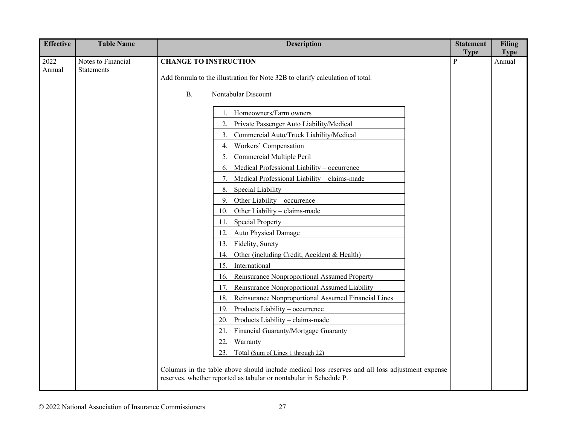| <b>Effective</b> | <b>Table Name</b>                       | <b>Description</b>                                                                                                                                                    | <b>Statement</b> | <b>Filing</b> |
|------------------|-----------------------------------------|-----------------------------------------------------------------------------------------------------------------------------------------------------------------------|------------------|---------------|
|                  |                                         |                                                                                                                                                                       | <b>Type</b>      | <b>Type</b>   |
| 2022<br>Annual   | Notes to Financial<br><b>Statements</b> | <b>CHANGE TO INSTRUCTION</b>                                                                                                                                          | P                | Annual        |
|                  |                                         | Add formula to the illustration for Note 32B to clarify calculation of total.                                                                                         |                  |               |
|                  |                                         | Nontabular Discount<br><b>B.</b>                                                                                                                                      |                  |               |
|                  |                                         | Homeowners/Farm owners                                                                                                                                                |                  |               |
|                  |                                         | Private Passenger Auto Liability/Medical<br>2.                                                                                                                        |                  |               |
|                  |                                         | Commercial Auto/Truck Liability/Medical<br>3.                                                                                                                         |                  |               |
|                  |                                         | Workers' Compensation<br>4.                                                                                                                                           |                  |               |
|                  |                                         | Commercial Multiple Peril<br>5.                                                                                                                                       |                  |               |
|                  |                                         | Medical Professional Liability - occurrence<br>6.                                                                                                                     |                  |               |
|                  |                                         | Medical Professional Liability - claims-made<br>7.                                                                                                                    |                  |               |
|                  |                                         | Special Liability<br>8.                                                                                                                                               |                  |               |
|                  |                                         | 9.<br>Other Liability - occurrence                                                                                                                                    |                  |               |
|                  |                                         | 10. Other Liability - claims-made                                                                                                                                     |                  |               |
|                  |                                         | <b>Special Property</b><br>11.                                                                                                                                        |                  |               |
|                  |                                         | Auto Physical Damage<br>12.                                                                                                                                           |                  |               |
|                  |                                         | Fidelity, Surety<br>13.                                                                                                                                               |                  |               |
|                  |                                         | Other (including Credit, Accident & Health)<br>14.                                                                                                                    |                  |               |
|                  |                                         | International<br>15.                                                                                                                                                  |                  |               |
|                  |                                         | Reinsurance Nonproportional Assumed Property<br>16.                                                                                                                   |                  |               |
|                  |                                         | Reinsurance Nonproportional Assumed Liability<br>17.                                                                                                                  |                  |               |
|                  |                                         | Reinsurance Nonproportional Assumed Financial Lines<br>18.                                                                                                            |                  |               |
|                  |                                         | 19. Products Liability – occurrence                                                                                                                                   |                  |               |
|                  |                                         | Products Liability - claims-made<br>20.                                                                                                                               |                  |               |
|                  |                                         | Financial Guaranty/Mortgage Guaranty<br>21.                                                                                                                           |                  |               |
|                  |                                         | 22.<br>Warranty                                                                                                                                                       |                  |               |
|                  |                                         | 23. Total (Sum of Lines 1 through 22)                                                                                                                                 |                  |               |
|                  |                                         | Columns in the table above should include medical loss reserves and all loss adjustment expense<br>reserves, whether reported as tabular or nontabular in Schedule P. |                  |               |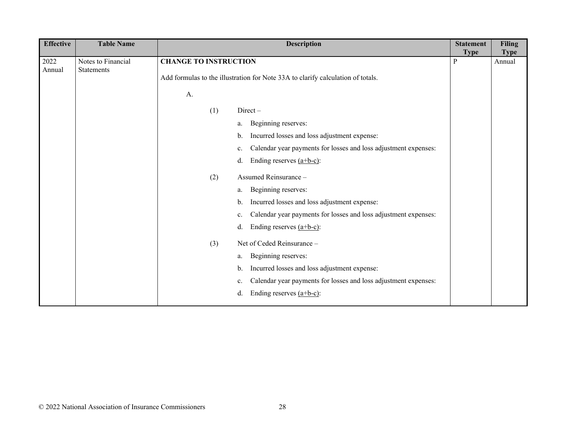| <b>Effective</b> | <b>Table Name</b>                | <b>Description</b>                                                                                              | <b>Statement</b><br><b>Type</b> | <b>Filing</b><br><b>Type</b> |
|------------------|----------------------------------|-----------------------------------------------------------------------------------------------------------------|---------------------------------|------------------------------|
| 2022<br>Annual   | Notes to Financial<br>Statements | <b>CHANGE TO INSTRUCTION</b><br>Add formulas to the illustration for Note 33A to clarify calculation of totals. | $\mathbf{P}$                    | Annual                       |
|                  |                                  | A.                                                                                                              |                                 |                              |
|                  |                                  | Direct-<br>(1)                                                                                                  |                                 |                              |
|                  |                                  | Beginning reserves:<br>a.                                                                                       |                                 |                              |
|                  |                                  | Incurred losses and loss adjustment expense:<br>b.                                                              |                                 |                              |
|                  |                                  | Calendar year payments for losses and loss adjustment expenses:<br>c.                                           |                                 |                              |
|                  |                                  | Ending reserves $(a+b-c)$ :<br>d.                                                                               |                                 |                              |
|                  |                                  | Assumed Reinsurance-<br>(2)                                                                                     |                                 |                              |
|                  |                                  | Beginning reserves:<br>a.                                                                                       |                                 |                              |
|                  |                                  | Incurred losses and loss adjustment expense:<br>b.                                                              |                                 |                              |
|                  |                                  | Calendar year payments for losses and loss adjustment expenses:<br>c.                                           |                                 |                              |
|                  |                                  | Ending reserves $(a+b-c)$ :<br>d.                                                                               |                                 |                              |
|                  |                                  | Net of Ceded Reinsurance -<br>(3)                                                                               |                                 |                              |
|                  |                                  | Beginning reserves:<br>a.                                                                                       |                                 |                              |
|                  |                                  | Incurred losses and loss adjustment expense:<br>b.                                                              |                                 |                              |
|                  |                                  | Calendar year payments for losses and loss adjustment expenses:<br>c.                                           |                                 |                              |
|                  |                                  | Ending reserves $(a+b-c)$ :<br>d.                                                                               |                                 |                              |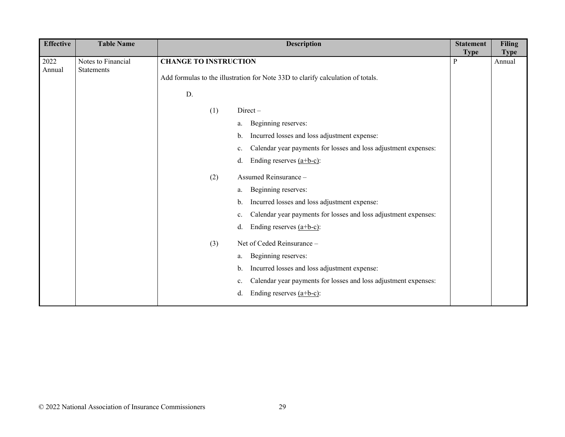| <b>Effective</b> | <b>Table Name</b>                       | <b>Description</b>                                                                                              | <b>Statement</b><br><b>Type</b> | <b>Filing</b><br><b>Type</b> |
|------------------|-----------------------------------------|-----------------------------------------------------------------------------------------------------------------|---------------------------------|------------------------------|
| 2022<br>Annual   | Notes to Financial<br><b>Statements</b> | <b>CHANGE TO INSTRUCTION</b><br>Add formulas to the illustration for Note 33D to clarify calculation of totals. | P                               | Annual                       |
|                  |                                         | D.                                                                                                              |                                 |                              |
|                  |                                         | (1)<br>$Direct -$                                                                                               |                                 |                              |
|                  |                                         | Beginning reserves:<br>a.                                                                                       |                                 |                              |
|                  |                                         | Incurred losses and loss adjustment expense:<br>b.                                                              |                                 |                              |
|                  |                                         | Calendar year payments for losses and loss adjustment expenses:<br>c.                                           |                                 |                              |
|                  |                                         | Ending reserves $(a+b-c)$ :<br>d.                                                                               |                                 |                              |
|                  |                                         | Assumed Reinsurance-<br>(2)                                                                                     |                                 |                              |
|                  |                                         | Beginning reserves:<br>a.                                                                                       |                                 |                              |
|                  |                                         | Incurred losses and loss adjustment expense:<br>b.                                                              |                                 |                              |
|                  |                                         | Calendar year payments for losses and loss adjustment expenses:<br>c.                                           |                                 |                              |
|                  |                                         | Ending reserves $(a+b-c)$ :<br>d.                                                                               |                                 |                              |
|                  |                                         | Net of Ceded Reinsurance -<br>(3)                                                                               |                                 |                              |
|                  |                                         | Beginning reserves:<br>a.                                                                                       |                                 |                              |
|                  |                                         | Incurred losses and loss adjustment expense:<br>b.                                                              |                                 |                              |
|                  |                                         | Calendar year payments for losses and loss adjustment expenses:<br>c.                                           |                                 |                              |
|                  |                                         | Ending reserves $(a+b-c)$ :<br>d.                                                                               |                                 |                              |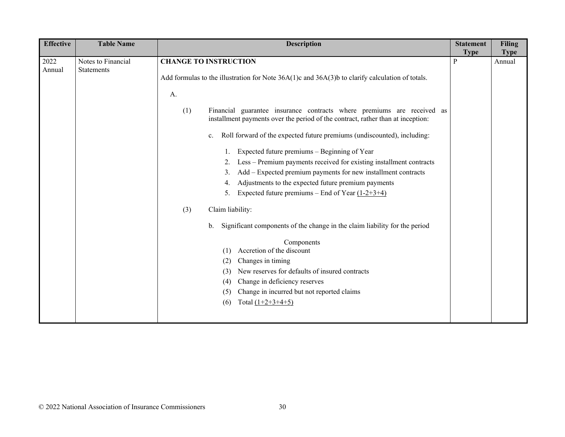| <b>Table Name</b> | <b>Description</b>                                                                                                                                                                                                                                                                                                        | <b>Statement</b>             | <b>Filing</b>         |
|-------------------|---------------------------------------------------------------------------------------------------------------------------------------------------------------------------------------------------------------------------------------------------------------------------------------------------------------------------|------------------------------|-----------------------|
|                   |                                                                                                                                                                                                                                                                                                                           |                              | <b>Type</b><br>Annual |
|                   |                                                                                                                                                                                                                                                                                                                           |                              |                       |
|                   | Add formulas to the illustration for Note 36A(1)c and 36A(3)b to clarify calculation of totals.                                                                                                                                                                                                                           |                              |                       |
|                   | A.                                                                                                                                                                                                                                                                                                                        |                              |                       |
|                   | Financial guarantee insurance contracts where premiums are received as<br>(1)<br>installment payments over the period of the contract, rather than at inception:                                                                                                                                                          |                              |                       |
|                   | Roll forward of the expected future premiums (undiscounted), including:<br>c.                                                                                                                                                                                                                                             |                              |                       |
|                   | Expected future premiums – Beginning of Year<br>Less - Premium payments received for existing installment contracts<br>2.<br>Add – Expected premium payments for new installment contracts<br>3.<br>Adjustments to the expected future premium payments<br>4.<br>Expected future premiums – End of Year $(1-2+3+4)$<br>5. |                              |                       |
|                   | (3)<br>Claim liability:                                                                                                                                                                                                                                                                                                   |                              |                       |
|                   | Significant components of the change in the claim liability for the period<br>b.                                                                                                                                                                                                                                          |                              |                       |
|                   | Components<br>Accretion of the discount<br>(1)<br>Changes in timing<br>(2)<br>New reserves for defaults of insured contracts<br>(3)<br>Change in deficiency reserves<br>(4)<br>Change in incurred but not reported claims<br>(5)<br>Total $(1+2+3+4+5)$<br>(6)                                                            |                              |                       |
|                   | Notes to Financial<br><b>Statements</b>                                                                                                                                                                                                                                                                                   | <b>CHANGE TO INSTRUCTION</b> | <b>Type</b><br>P      |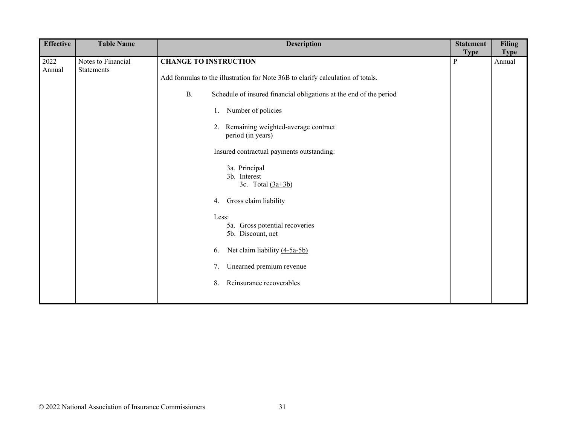| <b>Effective</b> | <b>Table Name</b>                | <b>Description</b>                                                              | <b>Statement</b><br><b>Type</b> | <b>Filing</b><br><b>Type</b> |
|------------------|----------------------------------|---------------------------------------------------------------------------------|---------------------------------|------------------------------|
| 2022<br>Annual   | Notes to Financial<br>Statements | <b>CHANGE TO INSTRUCTION</b>                                                    | $\mathbf{P}$                    | Annual                       |
|                  |                                  | Add formulas to the illustration for Note 36B to clarify calculation of totals. |                                 |                              |
|                  |                                  | Schedule of insured financial obligations at the end of the period<br><b>B.</b> |                                 |                              |
|                  |                                  | Number of policies<br>1.                                                        |                                 |                              |
|                  |                                  | 2. Remaining weighted-average contract<br>period (in years)                     |                                 |                              |
|                  |                                  | Insured contractual payments outstanding:                                       |                                 |                              |
|                  |                                  | 3a. Principal<br>3b. Interest<br>3c. Total $(3a+3b)$                            |                                 |                              |
|                  |                                  | Gross claim liability<br>4.                                                     |                                 |                              |
|                  |                                  | Less:<br>5a. Gross potential recoveries<br>5b. Discount, net                    |                                 |                              |
|                  |                                  | Net claim liability (4-5a-5b)<br>6.                                             |                                 |                              |
|                  |                                  | Unearned premium revenue<br>7.                                                  |                                 |                              |
|                  |                                  | Reinsurance recoverables<br>8.                                                  |                                 |                              |
|                  |                                  |                                                                                 |                                 |                              |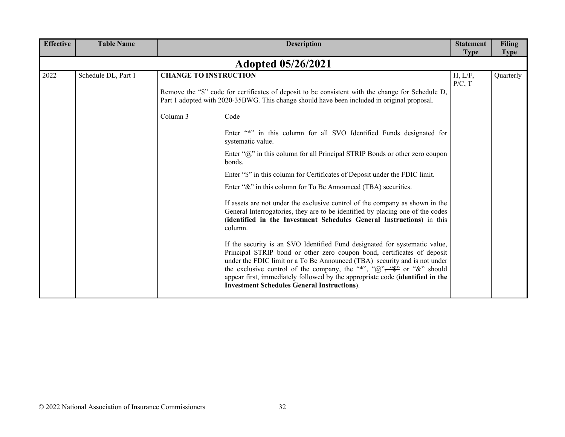| <b>Effective</b> | <b>Table Name</b>         | <b>Description</b>                                                                                                                                                                                                                                                                                                                                                                                                                                                                                                                                                                                                                                                                                                                                                                                                                                                                                                                                                                                                                                                                                                                                                                                                  | <b>Statement</b><br><b>Type</b> | <b>Filing</b><br><b>Type</b> |  |  |  |
|------------------|---------------------------|---------------------------------------------------------------------------------------------------------------------------------------------------------------------------------------------------------------------------------------------------------------------------------------------------------------------------------------------------------------------------------------------------------------------------------------------------------------------------------------------------------------------------------------------------------------------------------------------------------------------------------------------------------------------------------------------------------------------------------------------------------------------------------------------------------------------------------------------------------------------------------------------------------------------------------------------------------------------------------------------------------------------------------------------------------------------------------------------------------------------------------------------------------------------------------------------------------------------|---------------------------------|------------------------------|--|--|--|
|                  | <b>Adopted 05/26/2021</b> |                                                                                                                                                                                                                                                                                                                                                                                                                                                                                                                                                                                                                                                                                                                                                                                                                                                                                                                                                                                                                                                                                                                                                                                                                     |                                 |                              |  |  |  |
| 2022             | Schedule DL, Part 1       | <b>CHANGE TO INSTRUCTION</b><br>Remove the "\$" code for certificates of deposit to be consistent with the change for Schedule D,<br>Part 1 adopted with 2020-35BWG. This change should have been included in original proposal.<br>Column 3<br>Code<br>Enter "*" in this column for all SVO Identified Funds designated for<br>systematic value.<br>Enter " $\hat{w}$ " in this column for all Principal STRIP Bonds or other zero coupon<br>bonds.<br>Enter "\$" in this column for Certificates of Deposit under the FDIC limit.<br>Enter " $\&$ " in this column for To Be Announced (TBA) securities.<br>If assets are not under the exclusive control of the company as shown in the<br>General Interrogatories, they are to be identified by placing one of the codes<br>(identified in the Investment Schedules General Instructions) in this<br>column.<br>If the security is an SVO Identified Fund designated for systematic value,<br>Principal STRIP bond or other zero coupon bond, certificates of deposit<br>under the FDIC limit or a To Be Announced (TBA) security and is not under<br>the exclusive control of the company, the "*", " $\mathbb{Q}$ ", " $\mathbb{S}^{\bullet}$ " or "&" should | H, L/F,<br>P/C, T               | Quarterly                    |  |  |  |
|                  |                           | appear first, immediately followed by the appropriate code (identified in the<br><b>Investment Schedules General Instructions</b> ).                                                                                                                                                                                                                                                                                                                                                                                                                                                                                                                                                                                                                                                                                                                                                                                                                                                                                                                                                                                                                                                                                |                                 |                              |  |  |  |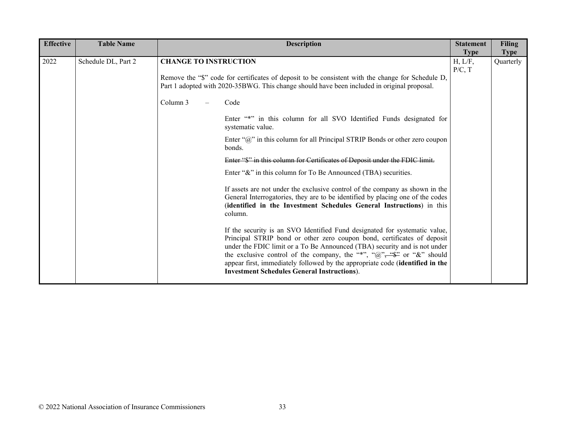| <b>Effective</b> | <b>Table Name</b>   | <b>Description</b>           |                                                                                                                                                                                                                                                                                                                                                                                                                                                             | <b>Statement</b><br><b>Type</b> | <b>Filing</b><br><b>Type</b> |
|------------------|---------------------|------------------------------|-------------------------------------------------------------------------------------------------------------------------------------------------------------------------------------------------------------------------------------------------------------------------------------------------------------------------------------------------------------------------------------------------------------------------------------------------------------|---------------------------------|------------------------------|
| 2022             | Schedule DL, Part 2 | <b>CHANGE TO INSTRUCTION</b> | Remove the "\$" code for certificates of deposit to be consistent with the change for Schedule D,                                                                                                                                                                                                                                                                                                                                                           | H, L/F,<br>P/C, T               | Quarterly                    |
|                  |                     |                              | Part 1 adopted with 2020-35BWG. This change should have been included in original proposal.                                                                                                                                                                                                                                                                                                                                                                 |                                 |                              |
|                  |                     | Column 3                     | Code                                                                                                                                                                                                                                                                                                                                                                                                                                                        |                                 |                              |
|                  |                     |                              | Enter "*" in this column for all SVO Identified Funds designated for<br>systematic value.                                                                                                                                                                                                                                                                                                                                                                   |                                 |                              |
|                  |                     |                              | Enter " $\hat{w}$ " in this column for all Principal STRIP Bonds or other zero coupon<br>bonds.                                                                                                                                                                                                                                                                                                                                                             |                                 |                              |
|                  |                     |                              | Enter "\$" in this column for Certificates of Deposit under the FDIC limit.                                                                                                                                                                                                                                                                                                                                                                                 |                                 |                              |
|                  |                     |                              | Enter "&" in this column for To Be Announced (TBA) securities.                                                                                                                                                                                                                                                                                                                                                                                              |                                 |                              |
|                  |                     |                              | If assets are not under the exclusive control of the company as shown in the<br>General Interrogatories, they are to be identified by placing one of the codes<br>(identified in the Investment Schedules General Instructions) in this<br>column.                                                                                                                                                                                                          |                                 |                              |
|                  |                     |                              | If the security is an SVO Identified Fund designated for systematic value,<br>Principal STRIP bond or other zero coupon bond, certificates of deposit<br>under the FDIC limit or a To Be Announced (TBA) security and is not under<br>the exclusive control of the company, the "*", " $@$ ", " $@$ "" or "&" should<br>appear first, immediately followed by the appropriate code (identified in the<br><b>Investment Schedules General Instructions).</b> |                                 |                              |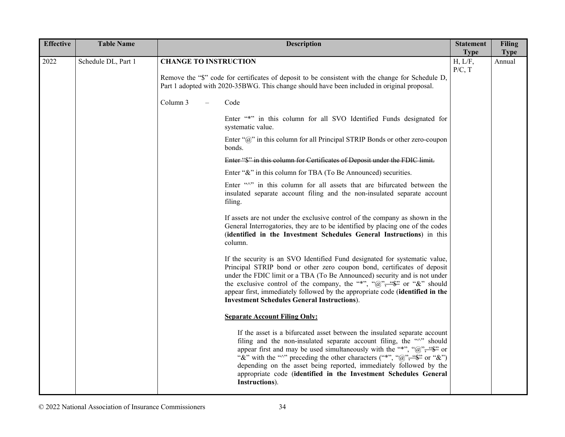| <b>Effective</b> | <b>Table Name</b>   | <b>Description</b>                                                                                                                                                                                                                                                                                                                                                                                                                                                                                                      |                        | <b>Filing</b><br><b>Statement</b> |
|------------------|---------------------|-------------------------------------------------------------------------------------------------------------------------------------------------------------------------------------------------------------------------------------------------------------------------------------------------------------------------------------------------------------------------------------------------------------------------------------------------------------------------------------------------------------------------|------------------------|-----------------------------------|
| 2022             | Schedule DL, Part 1 | <b>CHANGE TO INSTRUCTION</b>                                                                                                                                                                                                                                                                                                                                                                                                                                                                                            | <b>Type</b><br>H, L/F, | <b>Type</b><br>Annual             |
|                  |                     | Remove the "\$" code for certificates of deposit to be consistent with the change for Schedule D,<br>Part 1 adopted with 2020-35BWG. This change should have been included in original proposal.                                                                                                                                                                                                                                                                                                                        | P/C, T                 |                                   |
|                  |                     | Column 3<br>Code                                                                                                                                                                                                                                                                                                                                                                                                                                                                                                        |                        |                                   |
|                  |                     | Enter "*" in this column for all SVO Identified Funds designated for<br>systematic value.                                                                                                                                                                                                                                                                                                                                                                                                                               |                        |                                   |
|                  |                     | Enter " $\hat{a}$ " in this column for all Principal STRIP Bonds or other zero-coupon<br>bonds.                                                                                                                                                                                                                                                                                                                                                                                                                         |                        |                                   |
|                  |                     | Enter "\$" in this column for Certificates of Deposit under the FDIC limit.                                                                                                                                                                                                                                                                                                                                                                                                                                             |                        |                                   |
|                  |                     | Enter "&" in this column for TBA (To Be Announced) securities.                                                                                                                                                                                                                                                                                                                                                                                                                                                          |                        |                                   |
|                  |                     | Enter "/" in this column for all assets that are bifurcated between the<br>insulated separate account filing and the non-insulated separate account<br>filing.                                                                                                                                                                                                                                                                                                                                                          |                        |                                   |
|                  |                     | If assets are not under the exclusive control of the company as shown in the<br>General Interrogatories, they are to be identified by placing one of the codes<br>(identified in the Investment Schedules General Instructions) in this<br>column.                                                                                                                                                                                                                                                                      |                        |                                   |
|                  |                     | If the security is an SVO Identified Fund designated for systematic value,<br>Principal STRIP bond or other zero coupon bond, certificates of deposit<br>under the FDIC limit or a TBA (To Be Announced) security and is not under<br>the exclusive control of the company, the "*", " $\hat{a}$ ", " $\hat{\Phi}$ " or "&" should<br>appear first, immediately followed by the appropriate code (identified in the<br><b>Investment Schedules General Instructions).</b>                                               |                        |                                   |
|                  |                     | <b>Separate Account Filing Only:</b>                                                                                                                                                                                                                                                                                                                                                                                                                                                                                    |                        |                                   |
|                  |                     | If the asset is a bifurcated asset between the insulated separate account<br>filing and the non-insulated separate account filing, the "^" should<br>appear first and may be used simultaneously with the "*", " $\mathcal{D}$ ", " $\mathcal{D}$ " or<br>"&" with the " $\wedge$ " preceding the other characters ("*", " $\omega$ ", " $\omega$ " or "&")<br>depending on the asset being reported, immediately followed by the<br>appropriate code (identified in the Investment Schedules General<br>Instructions). |                        |                                   |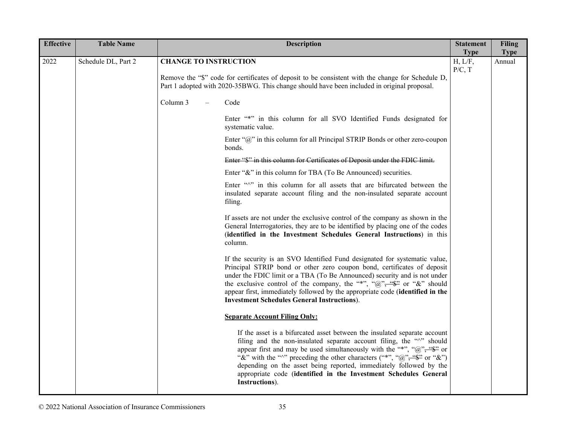| <b>Effective</b> | <b>Table Name</b>   | <b>Description</b>                                                                                                                                                                                                                                                                                                                                                                                                                                                                |                   | <b>Filing</b> |
|------------------|---------------------|-----------------------------------------------------------------------------------------------------------------------------------------------------------------------------------------------------------------------------------------------------------------------------------------------------------------------------------------------------------------------------------------------------------------------------------------------------------------------------------|-------------------|---------------|
|                  |                     |                                                                                                                                                                                                                                                                                                                                                                                                                                                                                   | <b>Type</b>       | <b>Type</b>   |
| 2022             | Schedule DL, Part 2 | <b>CHANGE TO INSTRUCTION</b><br>Remove the "\$" code for certificates of deposit to be consistent with the change for Schedule D,                                                                                                                                                                                                                                                                                                                                                 | H, L/F,<br>P/C, T | Annual        |
|                  |                     | Part 1 adopted with 2020-35BWG. This change should have been included in original proposal.                                                                                                                                                                                                                                                                                                                                                                                       |                   |               |
|                  |                     | Column 3<br>Code                                                                                                                                                                                                                                                                                                                                                                                                                                                                  |                   |               |
|                  |                     | Enter "*" in this column for all SVO Identified Funds designated for<br>systematic value.                                                                                                                                                                                                                                                                                                                                                                                         |                   |               |
|                  |                     | Enter " $@$ " in this column for all Principal STRIP Bonds or other zero-coupon<br>bonds.                                                                                                                                                                                                                                                                                                                                                                                         |                   |               |
|                  |                     | Enter "\$" in this column for Certificates of Deposit under the FDIC limit.                                                                                                                                                                                                                                                                                                                                                                                                       |                   |               |
|                  |                     | Enter "&" in this column for TBA (To Be Announced) securities.                                                                                                                                                                                                                                                                                                                                                                                                                    |                   |               |
|                  |                     | Enter """ in this column for all assets that are bifurcated between the<br>insulated separate account filing and the non-insulated separate account<br>filing.                                                                                                                                                                                                                                                                                                                    |                   |               |
|                  |                     | If assets are not under the exclusive control of the company as shown in the<br>General Interrogatories, they are to be identified by placing one of the codes<br>(identified in the Investment Schedules General Instructions) in this<br>column.                                                                                                                                                                                                                                |                   |               |
|                  |                     | If the security is an SVO Identified Fund designated for systematic value,<br>Principal STRIP bond or other zero coupon bond, certificates of deposit<br>under the FDIC limit or a TBA (To Be Announced) security and is not under<br>the exclusive control of the company, the "*", " $\hat{a}$ ", " $\hat{\Phi}$ " or "&" should<br>appear first, immediately followed by the appropriate code (identified in the<br><b>Investment Schedules General Instructions</b> ).        |                   |               |
|                  |                     | <b>Separate Account Filing Only:</b>                                                                                                                                                                                                                                                                                                                                                                                                                                              |                   |               |
|                  |                     | If the asset is a bifurcated asset between the insulated separate account<br>filing and the non-insulated separate account filing, the "^" should<br>appear first and may be used simultaneously with the "*", " $@$ ", " $@$ "" or<br>"&" with the " $\sim$ " preceding the other characters ("*", "@", "\"" or "&")<br>depending on the asset being reported, immediately followed by the<br>appropriate code (identified in the Investment Schedules General<br>Instructions). |                   |               |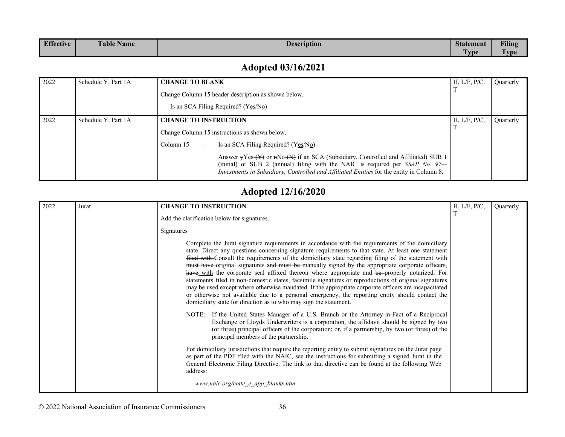| <b>Effective</b> | <b>Table Name</b> | <b>Description</b> | <b>Statement</b> | <b>Filing</b>         |
|------------------|-------------------|--------------------|------------------|-----------------------|
|                  |                   |                    | <b>vpe</b>       | <b>STATE</b><br>" vpe |

#### **Adopted 03/16/2021**

| 2022 | Schedule Y, Part 1A | <b>CHANGE TO BLANK</b>                |                                                                                                                                                                                                                                                                        | H, L/F, P/C, | Quarterly |
|------|---------------------|---------------------------------------|------------------------------------------------------------------------------------------------------------------------------------------------------------------------------------------------------------------------------------------------------------------------|--------------|-----------|
|      |                     |                                       | Change Column 15 header description as shown below.                                                                                                                                                                                                                    |              |           |
|      |                     |                                       | Is an SCA Filing Required? (Yes/No)                                                                                                                                                                                                                                    |              |           |
| 2022 | Schedule Y, Part 1A | <b>CHANGE TO INSTRUCTION</b>          |                                                                                                                                                                                                                                                                        | H, L/F, P/C, | Quarterly |
|      |                     |                                       | Change Column 15 instructions as shown below.                                                                                                                                                                                                                          |              |           |
|      |                     | Column 15<br>$\overline{\phantom{m}}$ | Is an SCA Filing Required? (Yes/No)                                                                                                                                                                                                                                    |              |           |
|      |                     |                                       | Answer $yYes (Y)$ or $nNo (N)$ if an SCA (Subsidiary, Controlled and Affiliated) SUB 1<br>(initial) or SUB 2 (annual) filing with the NAIC is required per $SSAP$ No. 97-<br>Investments in Subsidiary, Controlled and Affiliated Entities for the entity in Column 8. |              |           |

#### **Adopted 12/16/2020**

| 2022 | Jurat | <b>CHANGE TO INSTRUCTION</b>                                                                                                                                                                                                                                                                                                                                                                                                                                                                                                                                                                                                                                                                                                                                                                                                                                                                                 | H, L/F, P/C, | Quarterly |
|------|-------|--------------------------------------------------------------------------------------------------------------------------------------------------------------------------------------------------------------------------------------------------------------------------------------------------------------------------------------------------------------------------------------------------------------------------------------------------------------------------------------------------------------------------------------------------------------------------------------------------------------------------------------------------------------------------------------------------------------------------------------------------------------------------------------------------------------------------------------------------------------------------------------------------------------|--------------|-----------|
|      |       | Add the clarification below for signatures.                                                                                                                                                                                                                                                                                                                                                                                                                                                                                                                                                                                                                                                                                                                                                                                                                                                                  | T            |           |
|      |       | Signatures                                                                                                                                                                                                                                                                                                                                                                                                                                                                                                                                                                                                                                                                                                                                                                                                                                                                                                   |              |           |
|      |       | Complete the Jurat signature requirements in accordance with the requirements of the domiciliary<br>state. Direct any questions concerning signature requirements to that state. At least one statement<br>filed with Consult the requirements of the domiciliary state regarding filing of the statement with<br>must have original signatures and must be manually signed by the appropriate corporate officers,<br>have with the corporate seal affixed thereon where appropriate and be-properly notarized. For<br>statements filed in non-domestic states, facsimile signatures or reproductions of original signatures<br>may be used except where otherwise mandated. If the appropriate corporate officers are incapacitated<br>or otherwise not available due to a personal emergency, the reporting entity should contact the<br>domiciliary state for direction as to who may sign the statement. |              |           |
|      |       | NOTE: If the United States Manager of a U.S. Branch or the Attorney-in-Fact of a Reciprocal<br>Exchange or Lloyds Underwriters is a corporation, the affidavit should be signed by two<br>(or three) principal officers of the corporation; or, if a partnership, by two (or three) of the<br>principal members of the partnership.                                                                                                                                                                                                                                                                                                                                                                                                                                                                                                                                                                          |              |           |
|      |       | For domiciliary jurisdictions that require the reporting entity to submit signatures on the Jurat page<br>as part of the PDF filed with the NAIC, see the instructions for submitting a signed Jurat in the<br>General Electronic Filing Directive. The link to that directive can be found at the following Web<br>address:                                                                                                                                                                                                                                                                                                                                                                                                                                                                                                                                                                                 |              |           |
|      |       | www.naic.org/cmte e app blanks.htm                                                                                                                                                                                                                                                                                                                                                                                                                                                                                                                                                                                                                                                                                                                                                                                                                                                                           |              |           |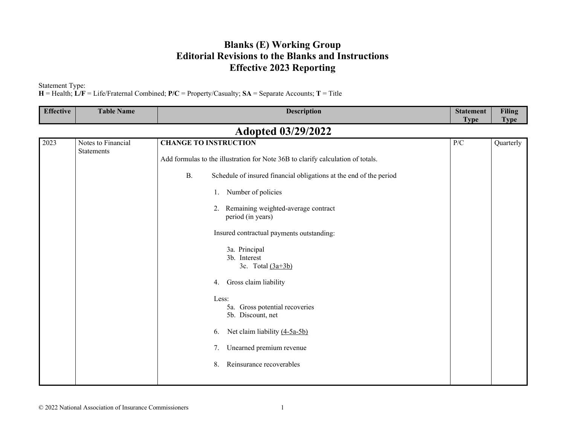#### **Blanks (E) Working Group Editorial Revisions to the Blanks and Instructions Effective 2023 Reporting**

Statement Type:

**H** = Health; **L/F** = Life/Fraternal Combined; **P/C** = Property/Casualty; **SA** = Separate Accounts; **T** = Title

| <b>Effective</b>          | <b>Table Name</b>                | <b>Description</b>                                                              | <b>Statement</b><br><b>Type</b> | <b>Filing</b><br><b>Type</b> |  |  |  |
|---------------------------|----------------------------------|---------------------------------------------------------------------------------|---------------------------------|------------------------------|--|--|--|
| <b>Adopted 03/29/2022</b> |                                  |                                                                                 |                                 |                              |  |  |  |
| 2023                      | Notes to Financial<br>Statements | <b>CHANGE TO INSTRUCTION</b>                                                    | P/C                             | Quarterly                    |  |  |  |
|                           |                                  | Add formulas to the illustration for Note 36B to clarify calculation of totals. |                                 |                              |  |  |  |
|                           |                                  | <b>B.</b><br>Schedule of insured financial obligations at the end of the period |                                 |                              |  |  |  |
|                           |                                  | Number of policies<br>1.                                                        |                                 |                              |  |  |  |
|                           |                                  | Remaining weighted-average contract<br>2.<br>period (in years)                  |                                 |                              |  |  |  |
|                           |                                  | Insured contractual payments outstanding:                                       |                                 |                              |  |  |  |
|                           |                                  | 3a. Principal<br>3b. Interest<br>3c. Total $(3a+3b)$                            |                                 |                              |  |  |  |
|                           |                                  | Gross claim liability<br>4.                                                     |                                 |                              |  |  |  |
|                           |                                  | Less:<br>5a. Gross potential recoveries<br>5b. Discount, net                    |                                 |                              |  |  |  |
|                           |                                  | Net claim liability (4-5a-5b)<br>6.                                             |                                 |                              |  |  |  |
|                           |                                  | Unearned premium revenue<br>7.                                                  |                                 |                              |  |  |  |
|                           |                                  | Reinsurance recoverables<br>8.                                                  |                                 |                              |  |  |  |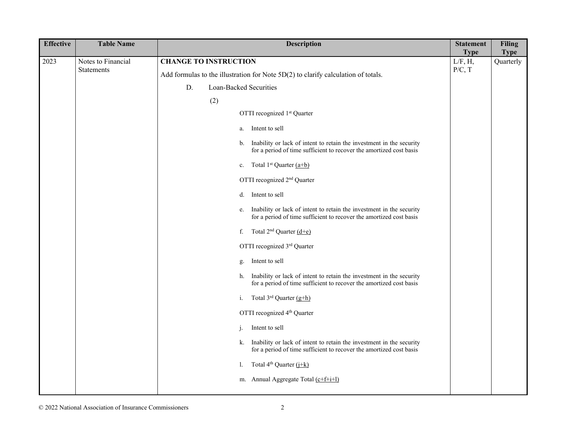| <b>Effective</b> | <b>Table Name</b>                       | <b>Description</b>                                                                                                                                                                                                                                                                                                                                                                                                                                                                                                                                                                                                                                                                                                                                                                                                                                                                                                                                                                                                                                                                                                                                                                                                                             | <b>Statement</b>                 | <b>Filing</b>            |
|------------------|-----------------------------------------|------------------------------------------------------------------------------------------------------------------------------------------------------------------------------------------------------------------------------------------------------------------------------------------------------------------------------------------------------------------------------------------------------------------------------------------------------------------------------------------------------------------------------------------------------------------------------------------------------------------------------------------------------------------------------------------------------------------------------------------------------------------------------------------------------------------------------------------------------------------------------------------------------------------------------------------------------------------------------------------------------------------------------------------------------------------------------------------------------------------------------------------------------------------------------------------------------------------------------------------------|----------------------------------|--------------------------|
| 2023             | Notes to Financial<br><b>Statements</b> | <b>CHANGE TO INSTRUCTION</b><br>Add formulas to the illustration for Note 5D(2) to clarify calculation of totals.<br>Loan-Backed Securities<br>D.<br>(2)<br>OTTI recognized 1st Quarter<br>Intent to sell<br>a.<br>Inability or lack of intent to retain the investment in the security<br>b.<br>for a period of time sufficient to recover the amortized cost basis<br>Total 1 <sup>st</sup> Quarter $(a+b)$<br>c.<br>OTTI recognized 2 <sup>nd</sup> Quarter<br>Intent to sell<br>d.<br>Inability or lack of intent to retain the investment in the security<br>e.<br>for a period of time sufficient to recover the amortized cost basis<br>Total $2^{nd}$ Quarter $(d+e)$<br>f.<br>OTTI recognized 3rd Quarter<br>Intent to sell<br>g.<br>Inability or lack of intent to retain the investment in the security<br>h.<br>for a period of time sufficient to recover the amortized cost basis<br>Total $3^{rd}$ Quarter $(g+h)$<br>i.<br>OTTI recognized 4 <sup>th</sup> Quarter<br>Intent to sell<br>j.<br>Inability or lack of intent to retain the investment in the security<br>k.<br>for a period of time sufficient to recover the amortized cost basis<br>Total $4^{th}$ Quarter $(i+k)$<br>1.<br>m. Annual Aggregate Total (c+f+i+l) | <b>Type</b><br>L/F, H,<br>P/C, T | <b>Type</b><br>Quarterly |